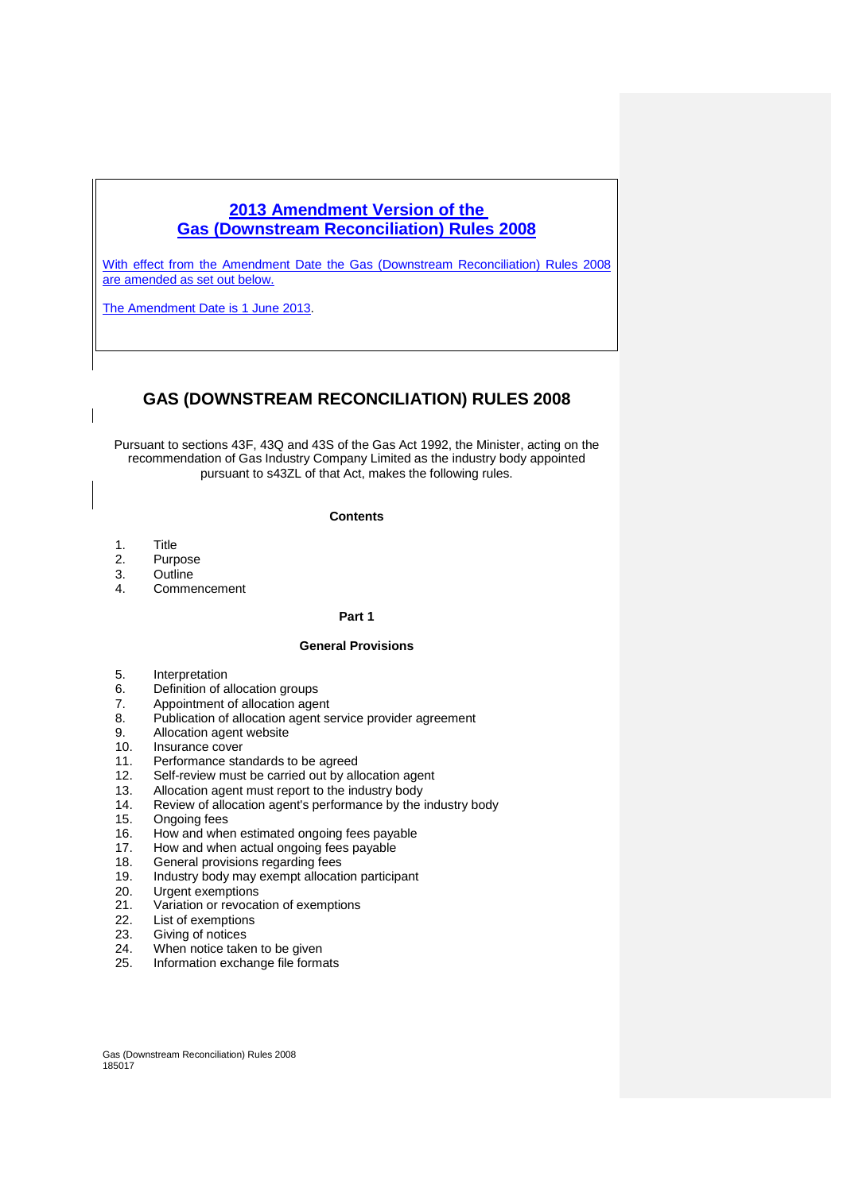# **2013 Amendment Version of the Gas (Downstream Reconciliation) Rules 2008**

With effect from the Amendment Date the Gas (Downstream Reconciliation) Rules 2008 are amended as set out below.

The Amendment Date is 1 June 2013.

# **GAS (DOWNSTREAM RECONCILIATION) RULES 2008**

Pursuant to sections 43F, 43Q and 43S of the Gas Act 1992, the Minister, acting on the recommendation of Gas Industry Company Limited as the industry body appointed pursuant to s43ZL of that Act, makes the following rules.

#### **Contents**

- 1. Title
- 2. Purpose
- 3. Outline
- 4. Commencement

# **Part 1**

# **General Provisions**

- 5. Interpretation<br>6. Definition of a
- **Definition of allocation groups**
- 7. Appointment of allocation agent
- 8. Publication of allocation agent service provider agreement
- 9. Allocation agent website
- 10. Insurance cover
- 11. Performance standards to be agreed
- 12. Self-review must be carried out by allocation agent
- 13. Allocation agent must report to the industry body
- 14. Review of allocation agent's performance by the industry body
- 15. Ongoing fees
- 16. How and when estimated ongoing fees payable
- 17. How and when actual ongoing fees payable
- 18. General provisions regarding fees
- 19. Industry body may exempt allocation participant
- 20. Urgent exemptions<br>21. Variation or revocat
- 21. Variation or revocation of exemptions<br>22. List of exemptions
- 22. List of exemptions<br>23. Giving of notices
- Giving of notices
- 24. When notice taken to be given
- 25. Information exchange file formats

Gas (Downstream Reconciliation) Rules 2008 185017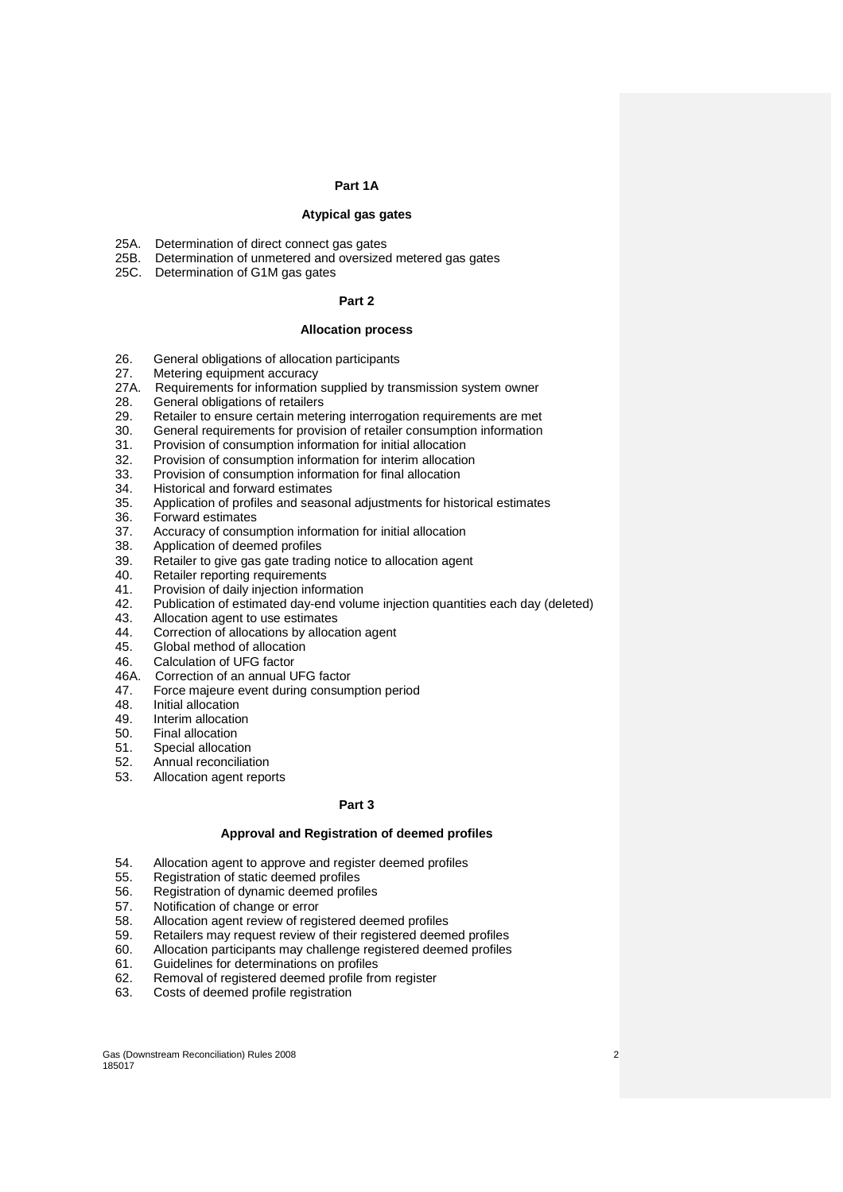#### **Part 1A**

## **Atypical gas gates**

- 25A. Determination of direct connect gas gates
- 25B. Determination of unmetered and oversized metered gas gates
- 25C. Determination of G1M gas gates

## **Part 2**

#### **Allocation process**

- 26. General obligations of allocation participants
- 27. Metering equipment accuracy<br>27A. Requirements for information
- Requirements for information supplied by transmission system owner
- 28. General obligations of retailers
- 29. Retailer to ensure certain metering interrogation requirements are met
- 30. General requirements for provision of retailer consumption information
- 31. Provision of consumption information for initial allocation
- 32. Provision of consumption information for interim allocation<br>33. Provision of consumption information for final allocation
- 33. Provision of consumption information for final allocation
- Historical and forward estimates
- 35. Application of profiles and seasonal adjustments for historical estimates
- Forward estimates
- 37. Accuracy of consumption information for initial allocation
- 38. Application of deemed profiles
- 39. Retailer to give gas gate trading notice to allocation agent
- 40. Retailer reporting requirements<br>41. Provision of daily injection inform
- Provision of daily injection information
- 42. Publication of estimated day-end volume injection quantities each day (deleted)
- 43. Allocation agent to use estimates
- 44. Correction of allocations by allocation agent
- 45. Global method of allocation<br>46. Calculation of UEG factor
- 46. Calculation of UFG factor
- 46A. Correction of an annual UFG factor
- 47. Force majeure event during consumption period<br>48. Initial allocation
- Initial allocation
- 49. Interim allocation<br>50. Final allocation
- Final allocation
- 51. Special allocation
- 52. Annual reconciliation
- 53. Allocation agent reports

#### **Part 3**

#### **Approval and Registration of deemed profiles**

- 54. Allocation agent to approve and register deemed profiles
- 55. Registration of static deemed profiles<br>56. Registration of dynamic deemed profil
- Registration of dynamic deemed profiles
- 57. Notification of change or error
- 58. Allocation agent review of registered deemed profiles
- 59. Retailers may request review of their registered deemed profiles
- 60. Allocation participants may challenge registered deemed profiles
- 61. Guidelines for determinations on profiles
- 62. Removal of registered deemed profile from register
- 63. Costs of deemed profile registration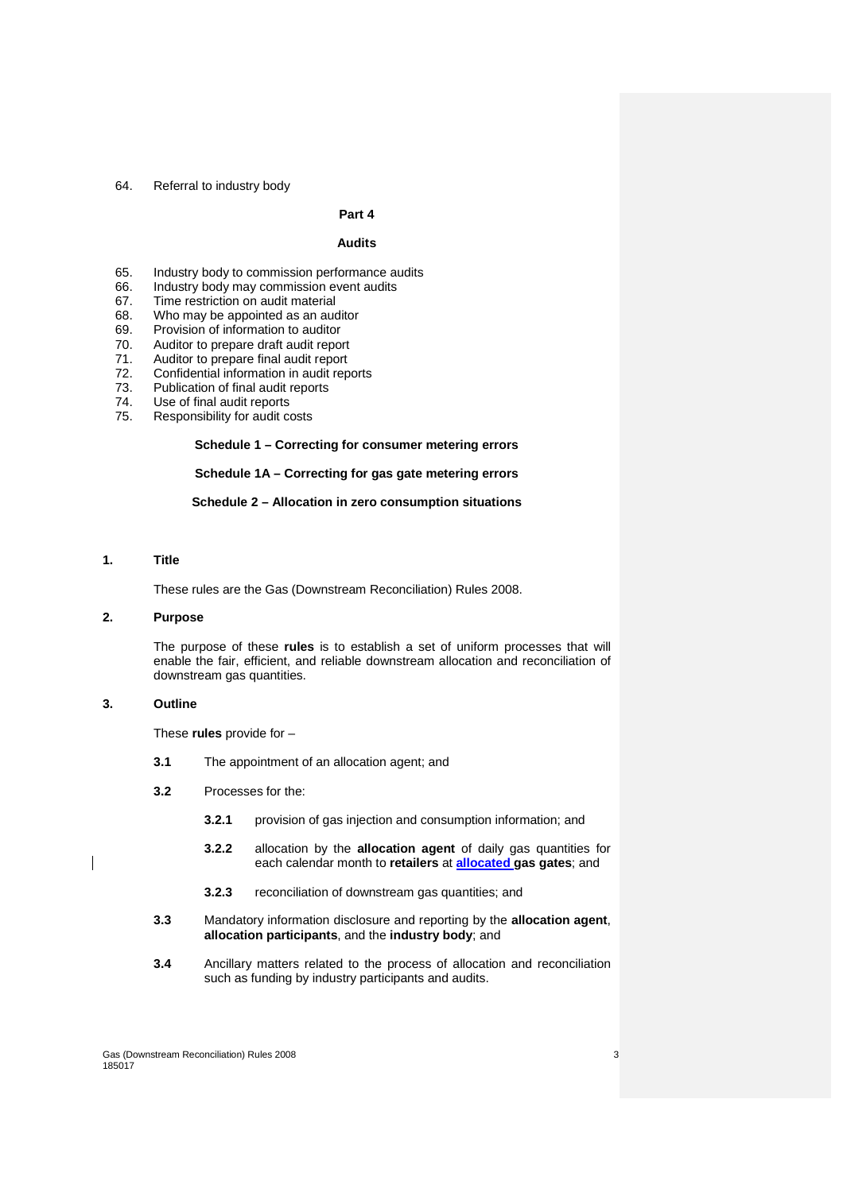#### 64. Referral to industry body

# **Part 4**

# **Audits**

- 65. Industry body to commission performance audits
	- Industry body may commission event audits
- 67. Time restriction on audit material
- 68. Who may be appointed as an auditor
- 69. Provision of information to auditor
- 70. Auditor to prepare draft audit report<br>71. Auditor to prepare final audit report
- Auditor to prepare final audit report
- 72. Confidential information in audit reports
- 73. Publication of final audit reports
- 74. Use of final audit reports
- 75. Responsibility for audit costs

#### **Schedule 1 – Correcting for consumer metering errors**

# **Schedule 1A – Correcting for gas gate metering errors**

#### **Schedule 2 – Allocation in zero consumption situations**

## **1. Title**

These rules are the Gas (Downstream Reconciliation) Rules 2008.

# **2. Purpose**

The purpose of these **rules** is to establish a set of uniform processes that will enable the fair, efficient, and reliable downstream allocation and reconciliation of downstream gas quantities.

# **3. Outline**

These **rules** provide for –

- **3.1** The appointment of an allocation agent; and
- **3.2** Processes for the:
	- **3.2.1** provision of gas injection and consumption information; and
	- **3.2.2** allocation by the **allocation agent** of daily gas quantities for each calendar month to **retailers** at **allocated gas gates**; and
	- **3.2.3** reconciliation of downstream gas quantities; and
- **3.3** Mandatory information disclosure and reporting by the **allocation agent**, **allocation participants**, and the **industry body**; and
- **3.4** Ancillary matters related to the process of allocation and reconciliation such as funding by industry participants and audits.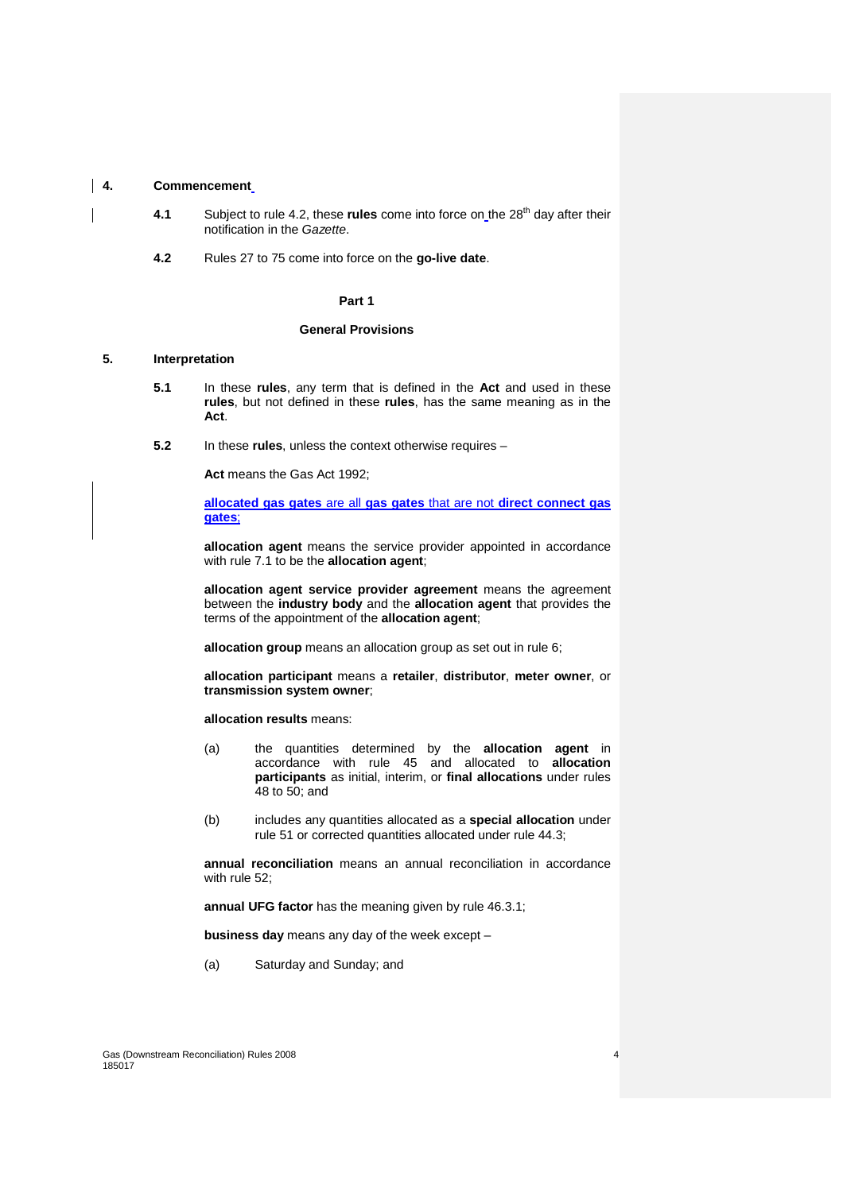#### **4. Commencement**

- **4.1** Subject to rule 4.2, these **rules** come into force on the 28<sup>th</sup> day after their notification in the Gazette.
- **4.2** Rules 27 to 75 come into force on the **go-live date**.

#### **Part 1**

#### **General Provisions**

# **5. Interpretation**

- **5.1** In these **rules**, any term that is defined in the **Act** and used in these **rules**, but not defined in these **rules**, has the same meaning as in the **Act**.
- **5.2** In these **rules**, unless the context otherwise requires –

**Act** means the Gas Act 1992;

**allocated gas gates** are all **gas gates** that are not **direct connect gas gates**;

**allocation agent** means the service provider appointed in accordance with rule 7.1 to be the **allocation agent**;

**allocation agent service provider agreement** means the agreement between the **industry body** and the **allocation agent** that provides the terms of the appointment of the **allocation agent**;

**allocation group** means an allocation group as set out in rule 6;

**allocation participant** means a **retailer**, **distributor**, **meter owner**, or **transmission system owner**;

**allocation results** means:

- (a) the quantities determined by the **allocation agent** in accordance with rule 45 and allocated to **allocation participants** as initial, interim, or **final allocations** under rules 48 to 50; and
- (b) includes any quantities allocated as a **special allocation** under rule 51 or corrected quantities allocated under rule 44.3;

**annual reconciliation** means an annual reconciliation in accordance with rule 52;

**annual UFG factor** has the meaning given by rule 46.3.1;

**business day** means any day of the week except –

(a) Saturday and Sunday; and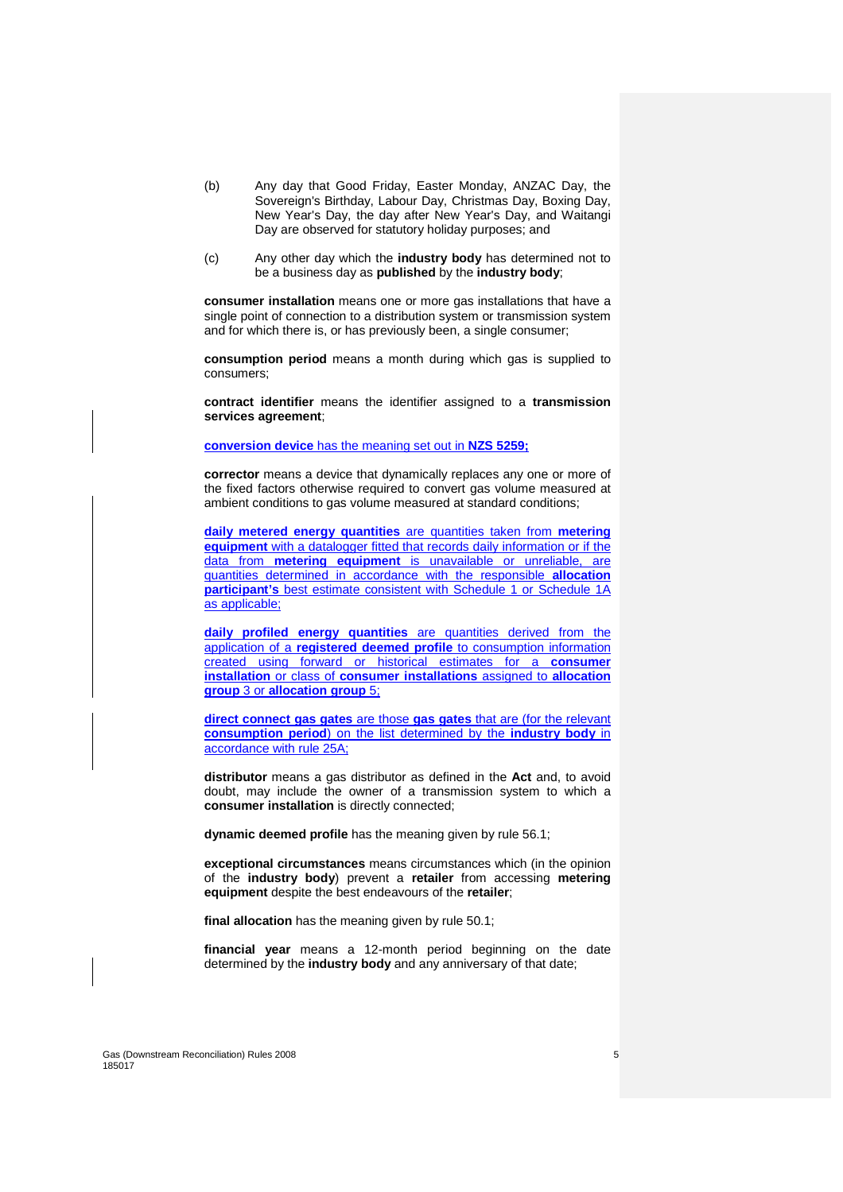- (b) Any day that Good Friday, Easter Monday, ANZAC Day, the Sovereign's Birthday, Labour Day, Christmas Day, Boxing Day, New Year's Day, the day after New Year's Day, and Waitangi Day are observed for statutory holiday purposes; and
- (c) Any other day which the **industry body** has determined not to be a business day as **published** by the **industry body**;

**consumer installation** means one or more gas installations that have a single point of connection to a distribution system or transmission system and for which there is, or has previously been, a single consumer;

**consumption period** means a month during which gas is supplied to consumers;

**contract identifier** means the identifier assigned to a **transmission services agreement**;

## **conversion device** has the meaning set out in **NZS 5259;**

**corrector** means a device that dynamically replaces any one or more of the fixed factors otherwise required to convert gas volume measured at ambient conditions to gas volume measured at standard conditions;

**daily metered energy quantities** are quantities taken from **metering equipment** with a datalogger fitted that records daily information or if the data from **metering equipment** is unavailable or unreliable, are quantities determined in accordance with the responsible **allocation participant's** best estimate consistent with Schedule 1 or Schedule 1A as applicable;

**daily profiled energy quantities** are quantities derived from the application of a **registered deemed profile** to consumption information created using forward or historical estimates for a **consumer installation** or class of **consumer installations** assigned to **allocation group** 3 or **allocation group** 5;

**direct connect gas gates** are those **gas gates** that are (for the relevant **consumption period**) on the list determined by the **industry body** in accordance with rule 25A;

**distributor** means a gas distributor as defined in the **Act** and, to avoid doubt, may include the owner of a transmission system to which a **consumer installation** is directly connected;

**dynamic deemed profile** has the meaning given by rule 56.1;

**exceptional circumstances** means circumstances which (in the opinion of the **industry body**) prevent a **retailer** from accessing **metering equipment** despite the best endeavours of the **retailer**;

**final allocation** has the meaning given by rule 50.1;

**financial year** means a 12-month period beginning on the date determined by the **industry body** and any anniversary of that date;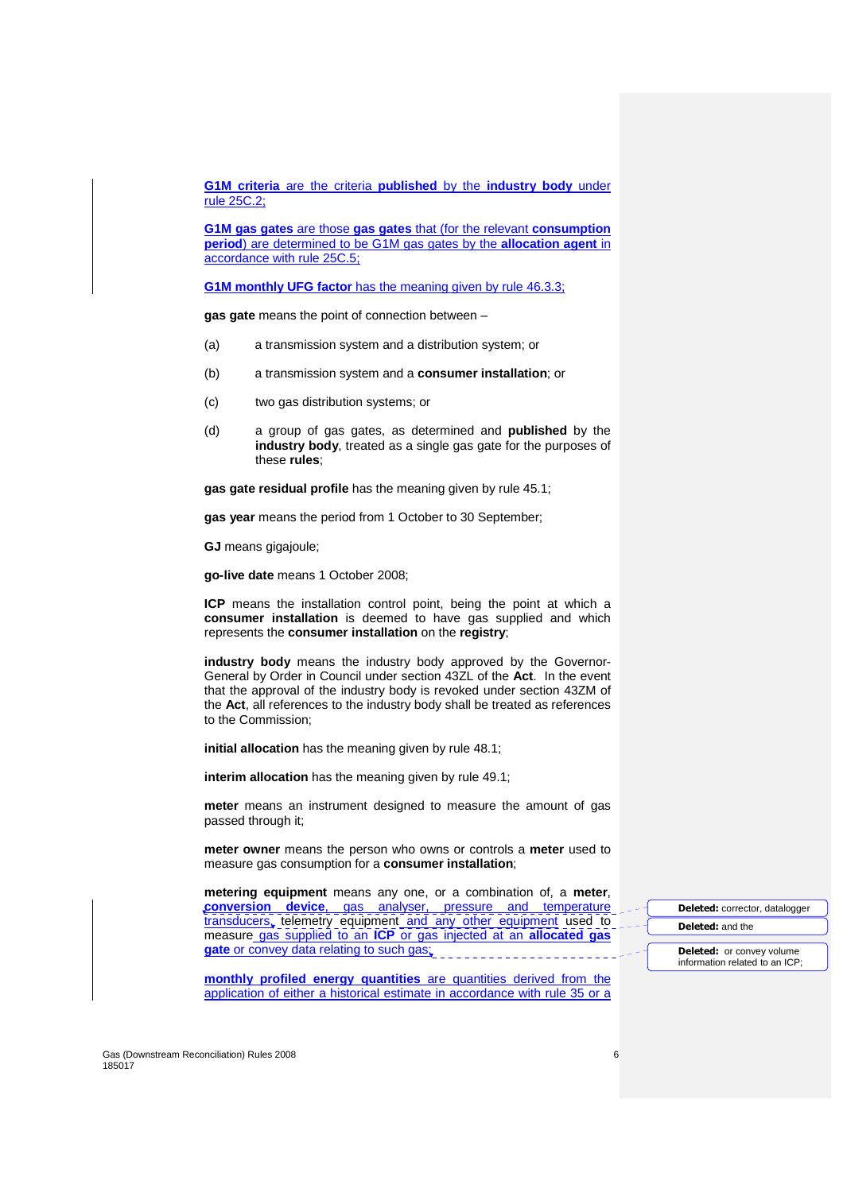**G1M criteria** are the criteria **published** by the **industry body** under rule 25C.2;

**G1M gas gates** are those **gas gates** that (for the relevant **consumption period**) are determined to be G1M gas gates by the **allocation agent** in accordance with rule 25C.5;

**G1M monthly UFG factor** has the meaning given by rule 46.3.3;

**gas gate** means the point of connection between –

- (a) a transmission system and a distribution system; or
- (b) a transmission system and a **consumer installation**; or
- (c) two gas distribution systems; or
- (d) a group of gas gates, as determined and **published** by the **industry body**, treated as a single gas gate for the purposes of these **rules**;

**gas gate residual profile** has the meaning given by rule 45.1;

**gas year** means the period from 1 October to 30 September;

**GJ** means gigajoule;

**go-live date** means 1 October 2008;

**ICP** means the installation control point, being the point at which a **consumer installation** is deemed to have gas supplied and which represents the **consumer installation** on the **registry**;

**industry body** means the industry body approved by the Governor-General by Order in Council under section 43ZL of the **Act**. In the event that the approval of the industry body is revoked under section 43ZM of the **Act**, all references to the industry body shall be treated as references to the Commission;

**initial allocation** has the meaning given by rule 48.1;

**interim allocation** has the meaning given by rule 49.1;

**meter** means an instrument designed to measure the amount of gas passed through it;

**meter owner** means the person who owns or controls a **meter** used to measure gas consumption for a **consumer installation**;

**metering equipment** means any one, or a combination of, a **meter**, **conversion device**, gas analyser, pressure and temperature transducers, telemetry equipment and any other equipment used to measure gas supplied to an **ICP** or gas injected at an **allocated gas**  gate or convey data relating to such gas;

**monthly profiled energy quantities** are quantities derived from the application of either a historical estimate in accordance with rule 35 or a **Deleted:** corrector, datalogger **Deleted:** and the

**Deleted:** or convey volume information related to an ICP;

Gas (Downstream Reconciliation) Rules 2008 6 185017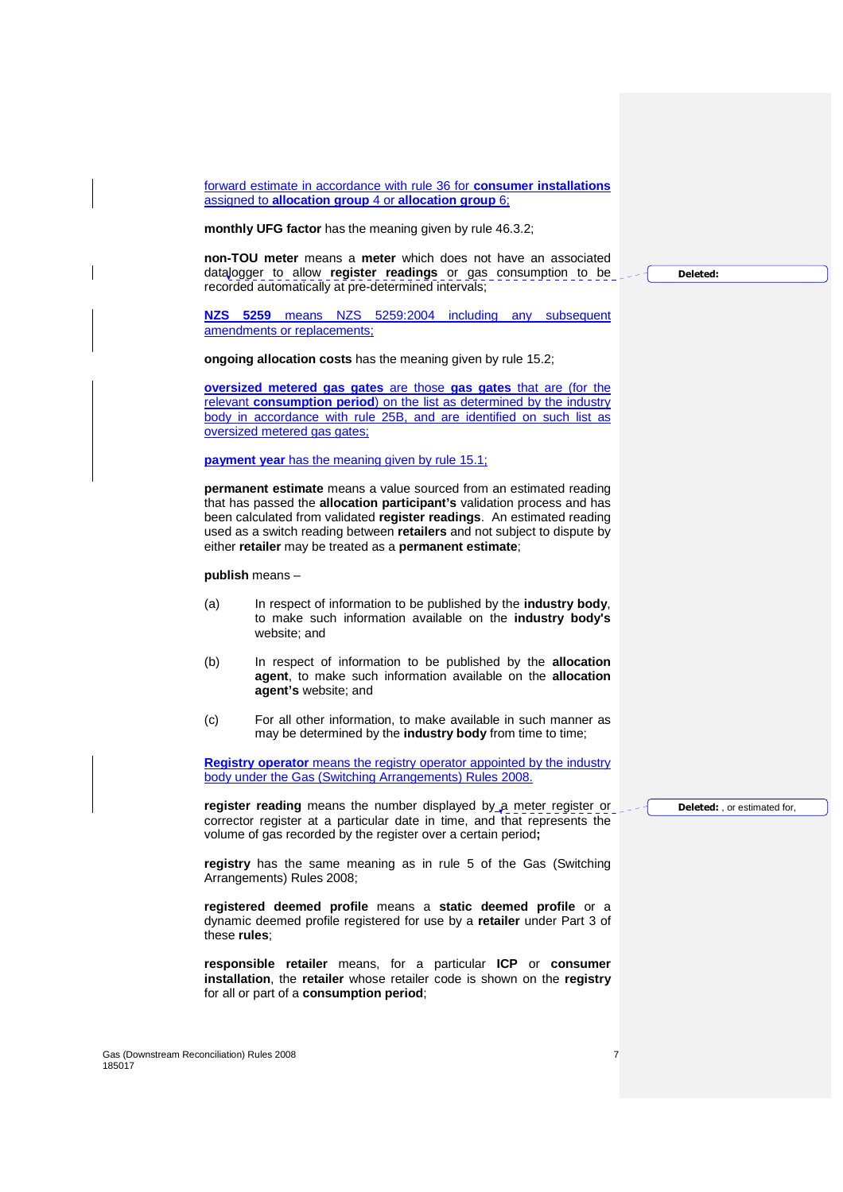forward estimate in accordance with rule 36 for **consumer installations** assigned to **allocation group** 4 or **allocation group** 6;

**monthly UFG factor** has the meaning given by rule 46.3.2;

**non-TOU meter** means a **meter** which does not have an associated datalogger to allow **register readings** or gas consumption to be recorded automatically at pre-determined intervals;

**NZS 5259** means NZS 5259:2004 including any subsequent amendments or replacements;

**ongoing allocation costs** has the meaning given by rule 15.2;

**oversized metered gas gates** are those **gas gates** that are (for the relevant **consumption period**) on the list as determined by the industry body in accordance with rule 25B, and are identified on such list as oversized metered gas gates;

**payment year** has the meaning given by rule 15.1;

**permanent estimate** means a value sourced from an estimated reading that has passed the **allocation participant's** validation process and has been calculated from validated **register readings**. An estimated reading used as a switch reading between **retailers** and not subject to dispute by either **retailer** may be treated as a **permanent estimate**;

**publish** means –

- (a) In respect of information to be published by the **industry body**, to make such information available on the **industry body's**  website; and
- (b) In respect of information to be published by the **allocation agent**, to make such information available on the **allocation agent's** website; and
- (c) For all other information, to make available in such manner as may be determined by the **industry body** from time to time;

**Registry operator** means the registry operator appointed by the industry body under the Gas (Switching Arrangements) Rules 2008.

**register reading** means the number displayed by a meter register or corrector register at a particular date in time, and that represents the volume of gas recorded by the register over a certain period**;** 

**registry** has the same meaning as in rule 5 of the Gas (Switching Arrangements) Rules 2008;

**registered deemed profile** means a **static deemed profile** or a dynamic deemed profile registered for use by a **retailer** under Part 3 of these **rules**;

**responsible retailer** means, for a particular **ICP** or **consumer installation**, the **retailer** whose retailer code is shown on the **registry** for all or part of a **consumption period**;

Gas (Downstream Reconciliation) Rules 2008 **7 7** 185017

**Deleted:** , or estimated for,

**Deleted:**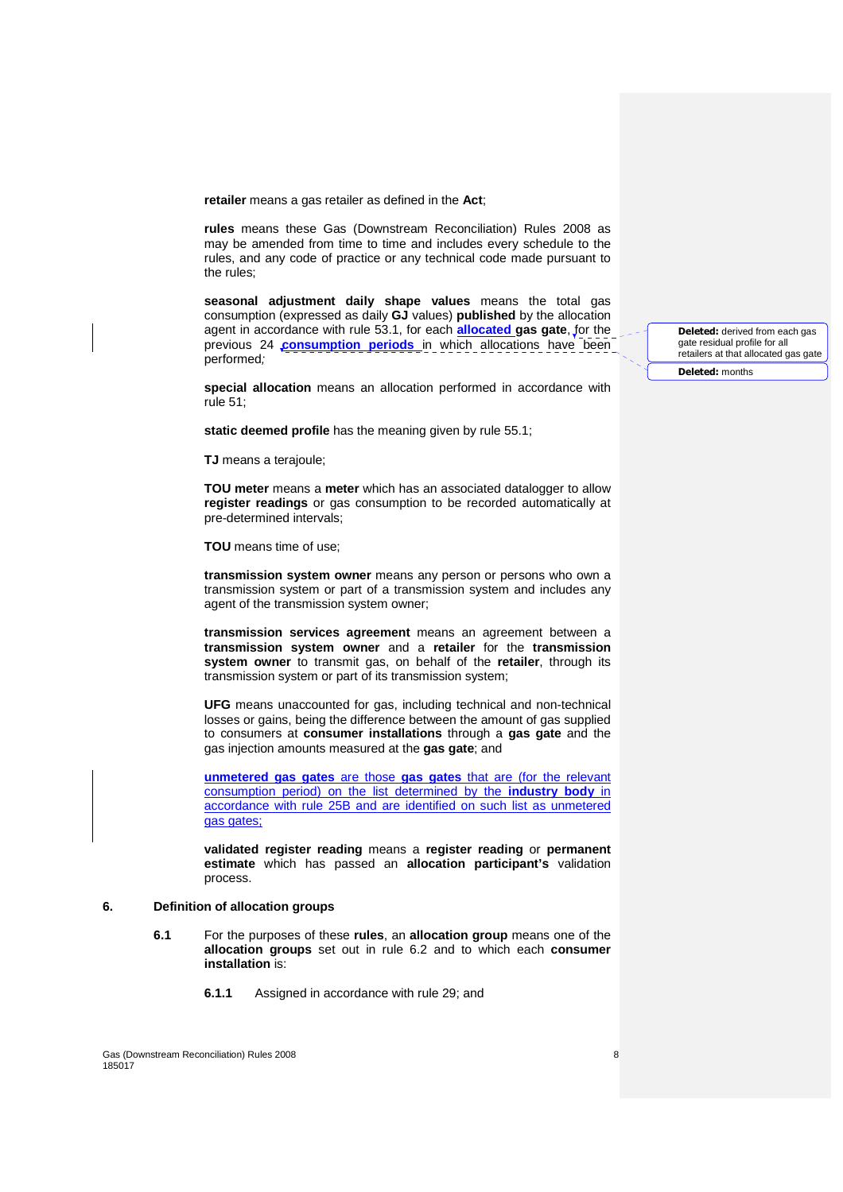**retailer** means a gas retailer as defined in the **Act**;

**rules** means these Gas (Downstream Reconciliation) Rules 2008 as may be amended from time to time and includes every schedule to the rules, and any code of practice or any technical code made pursuant to the rules;

**seasonal adjustment daily shape values** means the total gas consumption (expressed as daily **GJ** values) **published** by the allocation agent in accordance with rule 53.1, for each **allocated gas gate**, for the previous 24 **consumption periods** in which allocations have been performed;

**special allocation** means an allocation performed in accordance with rule 51;

**static deemed profile** has the meaning given by rule 55.1;

**TJ** means a terajoule;

**TOU meter** means a **meter** which has an associated datalogger to allow **register readings** or gas consumption to be recorded automatically at pre-determined intervals;

**TOU** means time of use;

**transmission system owner** means any person or persons who own a transmission system or part of a transmission system and includes any agent of the transmission system owner;

**transmission services agreement** means an agreement between a **transmission system owner** and a **retailer** for the **transmission system owner** to transmit gas, on behalf of the **retailer**, through its transmission system or part of its transmission system;

**UFG** means unaccounted for gas, including technical and non-technical losses or gains, being the difference between the amount of gas supplied to consumers at **consumer installations** through a **gas gate** and the gas injection amounts measured at the **gas gate**; and

**unmetered gas gates** are those **gas gates** that are (for the relevant consumption period) on the list determined by the **industry body** in accordance with rule 25B and are identified on such list as unmetered gas gates;

**validated register reading** means a **register reading** or **permanent estimate** which has passed an **allocation participant's** validation process.

# **6. Definition of allocation groups**

- **6.1** For the purposes of these **rules**, an **allocation group** means one of the **allocation groups** set out in rule 6.2 and to which each **consumer installation** is:
	- **6.1.1** Assigned in accordance with rule 29; and

**Deleted:** derived from each gas gate residual profile for all retailers at that allocated gas gate

**Deleted:** months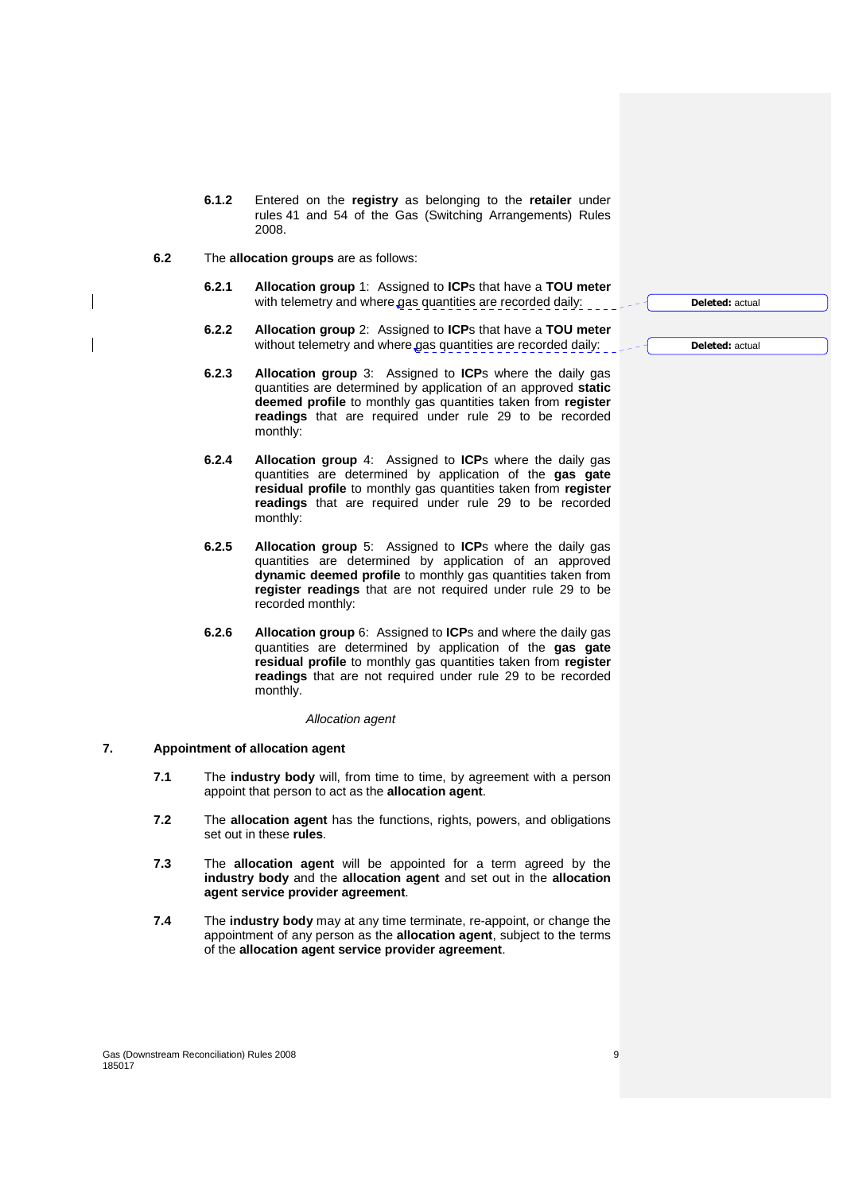- **6.1.2** Entered on the **registry** as belonging to the **retailer** under rules 41 and 54 of the Gas (Switching Arrangements) Rules 2008.
- **6.2** The **allocation groups** are as follows:
	- **6.2.1 Allocation group** 1: Assigned to **ICP**s that have a **TOU meter** with telemetry and where gas quantities are recorded daily:
	- **6.2.2 Allocation group** 2: Assigned to **ICP**s that have a **TOU meter** without telemetry and where gas quantities are recorded daily:
	- **6.2.3 Allocation group** 3: Assigned to **ICP**s where the daily gas quantities are determined by application of an approved **static deemed profile** to monthly gas quantities taken from **register readings** that are required under rule 29 to be recorded monthly:
	- **6.2.4 Allocation group** 4: Assigned to **ICP**s where the daily gas quantities are determined by application of the **gas gate residual profile** to monthly gas quantities taken from **register readings** that are required under rule 29 to be recorded monthly:
	- **6.2.5 Allocation group** 5: Assigned to **ICP**s where the daily gas quantities are determined by application of an approved **dynamic deemed profile** to monthly gas quantities taken from **register readings** that are not required under rule 29 to be recorded monthly:
	- **6.2.6 Allocation group** 6: Assigned to **ICP**s and where the daily gas quantities are determined by application of the **gas gate residual profile** to monthly gas quantities taken from **register readings** that are not required under rule 29 to be recorded monthly.

#### Allocation agent

#### **7. Appointment of allocation agent**

- **7.1** The **industry body** will, from time to time, by agreement with a person appoint that person to act as the **allocation agent**.
- **7.2** The **allocation agent** has the functions, rights, powers, and obligations set out in these **rules**.
- **7.3** The **allocation agent** will be appointed for a term agreed by the **industry body** and the **allocation agent** and set out in the **allocation agent service provider agreement**.
- **7.4** The **industry body** may at any time terminate, re-appoint, or change the appointment of any person as the **allocation agent**, subject to the terms of the **allocation agent service provider agreement**.

Gas (Downstream Reconciliation) Rules 2008 99 (1999) 99 (1999) 99 (1999) 99 (1999) 99 (1999) 99 (1999) 99 (1999) 99 (1999) 99 (1999) 99 (1999) 99 (1999) 99 (1999) 99 (1999) 99 (1999) 99 (1999) 99 (1999) 99 (1999) 99 (1999) 185017

**Deleted:** actual

**Deleted:** actual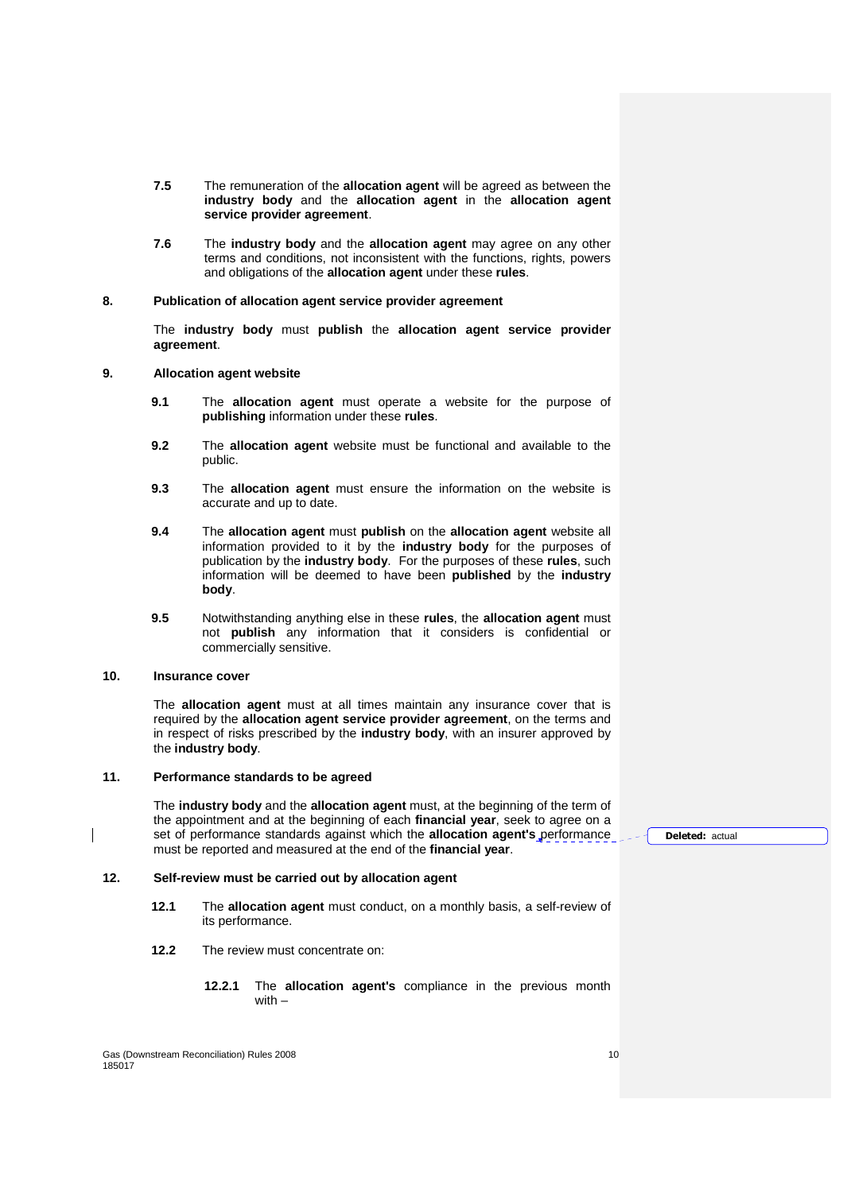- **7.5** The remuneration of the **allocation agent** will be agreed as between the **industry body** and the **allocation agent** in the **allocation agent service provider agreement**.
- **7.6** The **industry body** and the **allocation agent** may agree on any other terms and conditions, not inconsistent with the functions, rights, powers and obligations of the **allocation agent** under these **rules**.

#### **8. Publication of allocation agent service provider agreement**

The **industry body** must **publish** the **allocation agent service provider agreement**.

#### **9. Allocation agent website**

- **9.1** The **allocation agent** must operate a website for the purpose of **publishing** information under these **rules**.
- **9.2** The **allocation agent** website must be functional and available to the public.
- **9.3** The **allocation agent** must ensure the information on the website is accurate and up to date.
- **9.4** The **allocation agent** must **publish** on the **allocation agent** website all information provided to it by the **industry body** for the purposes of publication by the **industry body**. For the purposes of these **rules**, such information will be deemed to have been **published** by the **industry body**.
- **9.5** Notwithstanding anything else in these **rules**, the **allocation agent** must not **publish** any information that it considers is confidential or commercially sensitive.

# **10. Insurance cover**

The **allocation agent** must at all times maintain any insurance cover that is required by the **allocation agent service provider agreement**, on the terms and in respect of risks prescribed by the **industry body**, with an insurer approved by the **industry body**.

# **11. Performance standards to be agreed**

The **industry body** and the **allocation agent** must, at the beginning of the term of the appointment and at the beginning of each **financial year**, seek to agree on a set of performance standards against which the **allocation agent's** performance must be reported and measured at the end of the **financial year**.

#### **12. Self-review must be carried out by allocation agent**

- **12.1** The **allocation agent** must conduct, on a monthly basis, a self-review of its performance.
- **12.2** The review must concentrate on:
	- **12.2.1** The **allocation agent's** compliance in the previous month with –

**Deleted:** actual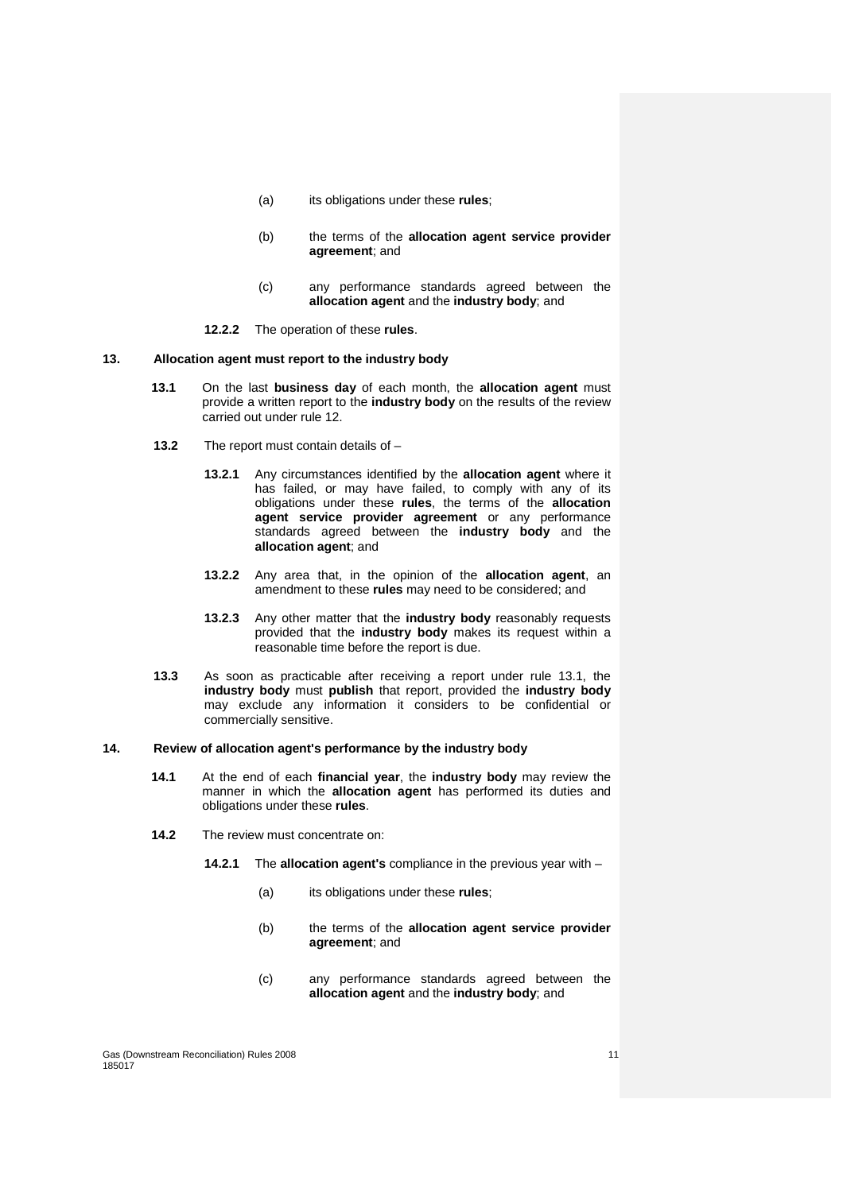- (a) its obligations under these **rules**;
- (b) the terms of the **allocation agent service provider agreement**; and
- (c) any performance standards agreed between the **allocation agent** and the **industry body**; and
- **12.2.2** The operation of these **rules**.

#### **13. Allocation agent must report to the industry body**

- **13.1** On the last **business day** of each month, the **allocation agent** must provide a written report to the **industry body** on the results of the review carried out under rule 12.
- **13.2** The report must contain details of
	- **13.2.1** Any circumstances identified by the **allocation agent** where it has failed, or may have failed, to comply with any of its obligations under these **rules**, the terms of the **allocation agent service provider agreement** or any performance standards agreed between the **industry body** and the **allocation agent**; and
	- **13.2.2** Any area that, in the opinion of the **allocation agent**, an amendment to these **rules** may need to be considered; and
	- **13.2.3** Any other matter that the **industry body** reasonably requests provided that the **industry body** makes its request within a reasonable time before the report is due.
- **13.3** As soon as practicable after receiving a report under rule 13.1, the **industry body** must **publish** that report, provided the **industry body** may exclude any information it considers to be confidential or commercially sensitive.

#### **14. Review of allocation agent's performance by the industry body**

- **14.1** At the end of each **financial year**, the **industry body** may review the manner in which the **allocation agent** has performed its duties and obligations under these **rules**.
- **14.2** The review must concentrate on:
	- **14.2.1** The **allocation agent's** compliance in the previous year with
		- (a) its obligations under these **rules**;
		- (b) the terms of the **allocation agent service provider agreement**; and
		- (c) any performance standards agreed between the **allocation agent** and the **industry body**; and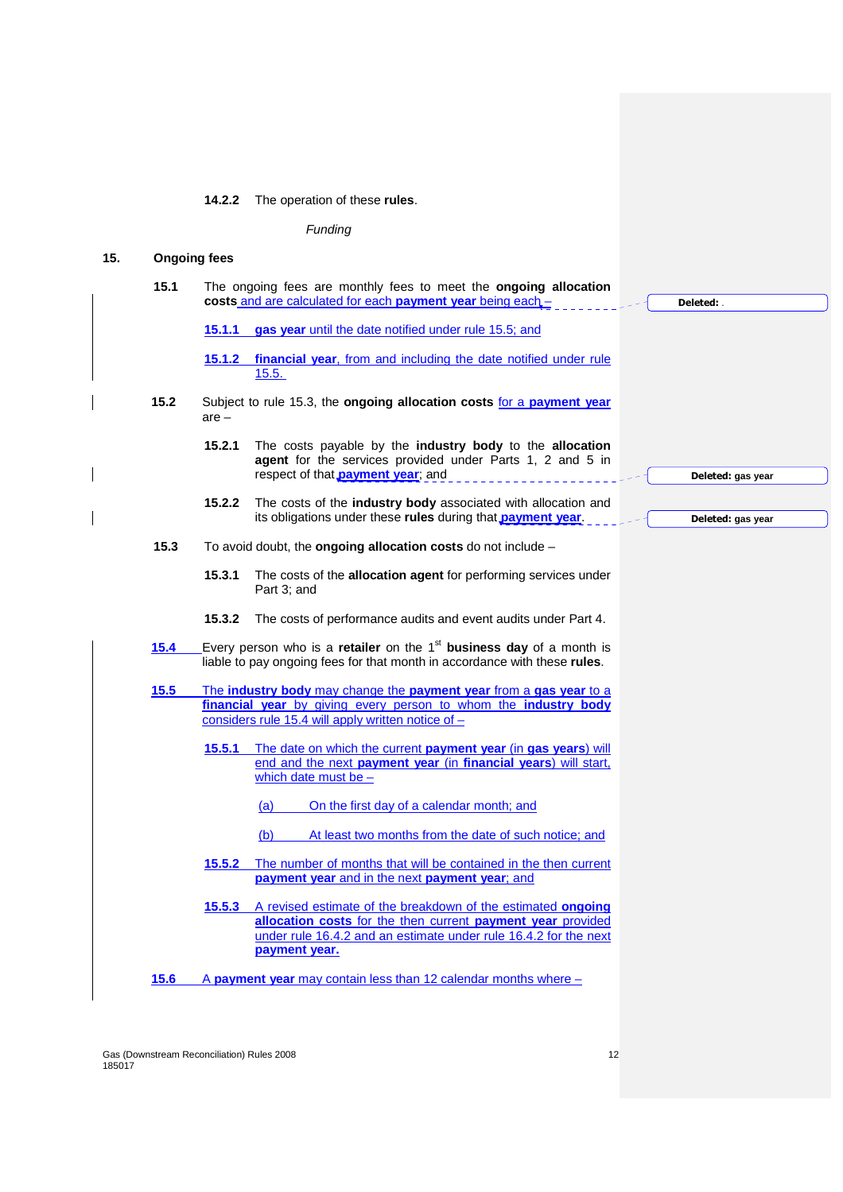**14.2.2** The operation of these **rules**.

Funding

# **15. Ongoing fees**

 $\overline{\phantom{a}}$ 

 $\overline{\phantom{a}}$ 

|      |         | costs and are calculated for each payment year being each -                                                                                                          | Deleted:          |
|------|---------|----------------------------------------------------------------------------------------------------------------------------------------------------------------------|-------------------|
|      | 15.1.1  | gas year until the date notified under rule 15.5; and                                                                                                                |                   |
|      | 15.1.2  | financial year, from and including the date notified under rule<br>15.5.                                                                                             |                   |
| 15.2 | $are -$ | Subject to rule 15.3, the ongoing allocation costs for a payment year                                                                                                |                   |
|      | 15.2.1  | The costs payable by the <b>industry body</b> to the <b>allocation</b><br>agent for the services provided under Parts 1, 2 and 5 in                                  |                   |
|      |         | respect of that <b>payment year</b> ; and                                                                                                                            | Deleted: gas year |
|      | 15.2.2  | The costs of the <b>industry body</b> associated with allocation and<br>its obligations under these rules during that <b>payment year</b> .                          | Deleted: gas year |
| 15.3 |         | To avoid doubt, the ongoing allocation costs do not include $-$                                                                                                      |                   |
|      | 15.3.1  | The costs of the allocation agent for performing services under<br>Part 3; and                                                                                       |                   |
|      |         |                                                                                                                                                                      |                   |
|      | 15.3.2  | The costs of performance audits and event audits under Part 4.                                                                                                       |                   |
|      |         |                                                                                                                                                                      |                   |
| 15.4 |         | Every person who is a <b>retailer</b> on the 1 <sup>st</sup> business day of a month is<br>liable to pay ongoing fees for that month in accordance with these rules. |                   |
|      |         |                                                                                                                                                                      |                   |
| 15.5 |         | The industry body may change the payment year from a gas year to a                                                                                                   |                   |
|      |         | financial year by giving every person to whom the industry body<br>considers rule 15.4 will apply written notice of $-$                                              |                   |
|      | 15.5.1  | The date on which the current payment year (in gas years) will                                                                                                       |                   |
|      |         | end and the next payment year (in financial years) will start,                                                                                                       |                   |
|      |         | which date must be $-$                                                                                                                                               |                   |
|      |         | On the first day of a calendar month; and<br>(a)                                                                                                                     |                   |
|      |         | (b)<br>At least two months from the date of such notice; and                                                                                                         |                   |
|      | 15.5.2  | The number of months that will be contained in the then current                                                                                                      |                   |
|      |         | payment year and in the next payment year; and                                                                                                                       |                   |
|      | 15.5.3  | A revised estimate of the breakdown of the estimated ongoing                                                                                                         |                   |
|      |         | allocation costs for the then current payment year provided                                                                                                          |                   |
|      |         | under rule 16.4.2 and an estimate under rule 16.4.2 for the next<br>payment year.                                                                                    |                   |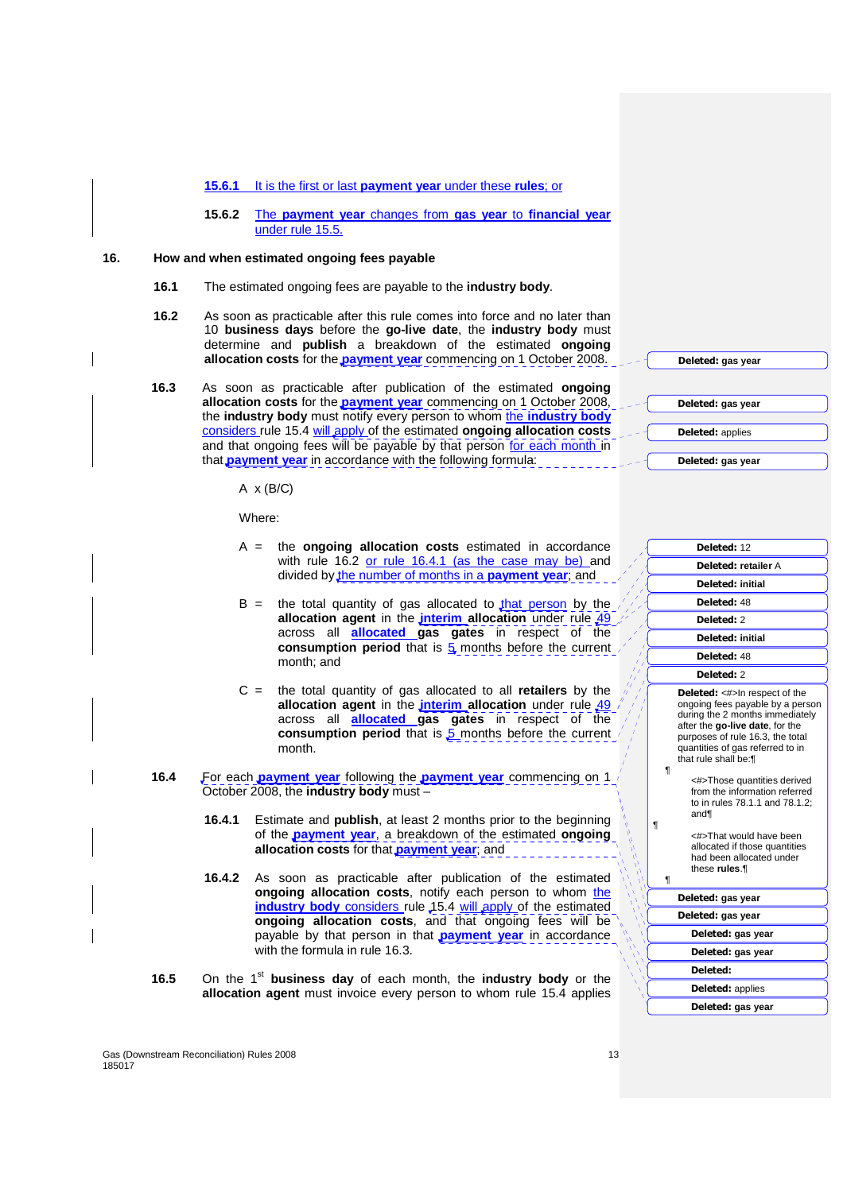#### **15.6.1** It is the first or last **payment year** under these **rules**; or

**15.6.2** The **payment year** changes from **gas year** to **financial year** under rule 15.5.

## **16. How and when estimated ongoing fees payable**

- **16.1** The estimated ongoing fees are payable to the **industry body**.
- **16.2** As soon as practicable after this rule comes into force and no later than 10 **business days** before the **go-live date**, the **industry body** must determine and **publish** a breakdown of the estimated **ongoing allocation costs** for the **payment year** commencing on 1 October 2008.
- **16.3** As soon as practicable after publication of the estimated **ongoing allocation costs** for the **payment year** commencing on 1 October 2008, the **industry body** must notify every person to whom the **industry body** considers rule 15.4 will apply of the estimated **ongoing allocation costs** and that ongoing fees will be payable by that person for each month in that **payment year** in accordance with the following formula:

 $A \times (B/C)$ 

Where:

- A = the **ongoing allocation costs** estimated in accordance with rule 16.2 or rule 16.4.1 (as the case may be) and divided by the number of months in a **payment year**; and
- $B =$  the total quantity of gas allocated to that person by the allocation agent in the *interim* allocation under rule 49 across all **allocated gas gates** in respect of the **consumption period** that is  $\frac{1}{2}$  months before the current month; and
- C = the total quantity of gas allocated to all **retailers** by the **allocation agent** in the **interim allocation** under rule 49 / across all **allocated gas gates** in respect of the **consumption period** that is 5 months before the current month.
- **16.4** For each **payment year** following the **payment year** commencing on 1 October 2008, the **industry body** must –
	- **16.4.1** Estimate and **publish**, at least 2 months prior to the beginning of the **payment year**, a breakdown of the estimated **ongoing allocation costs** for that **payment year**; and
	- **16.4.2** As soon as practicable after publication of the estimated **ongoing allocation costs**, notify each person to whom the industry body considers rule 15.4 will apply of the estimated **ongoing allocation costs**, and that ongoing fees will be payable by that person in that **payment year** in accordance with the formula in rule 16.3.
- **16.5** On the 1<sup>st</sup> business day of each month, the industry body or the **allocation agent** must invoice every person to whom rule 15.4 applies

**Deleted:** applies **Deleted: gas year Deleted:** 12

**Deleted: gas year**

**Deleted: gas year**

|   | <b>Deleted: retailer A</b>                                                                                                                                                                                                                                                                                                                                                                                              |
|---|-------------------------------------------------------------------------------------------------------------------------------------------------------------------------------------------------------------------------------------------------------------------------------------------------------------------------------------------------------------------------------------------------------------------------|
|   | Deleted: initial                                                                                                                                                                                                                                                                                                                                                                                                        |
|   | Deleted: 48                                                                                                                                                                                                                                                                                                                                                                                                             |
|   | Deleted: 2                                                                                                                                                                                                                                                                                                                                                                                                              |
|   | <b>Deleted: initial</b>                                                                                                                                                                                                                                                                                                                                                                                                 |
|   | Deleted: 48                                                                                                                                                                                                                                                                                                                                                                                                             |
|   | Deleted: 2                                                                                                                                                                                                                                                                                                                                                                                                              |
| ¶ | <b>Deleted:</b> <#>In respect of the<br>ongoing fees payable by a person<br>during the 2 months immediately<br>after the go-live date, for the<br>purposes of rule 16.3, the total<br>quantities of gas referred to in<br>that rule shall be: [1]<br><#>Those quantities derived<br>from the information referred<br>to in rules 78.1.1 and 78.1.2:<br>and¶<br><#>That would have been<br>allocated if those quantities |
|   | had been allocated under<br>these rules.¶                                                                                                                                                                                                                                                                                                                                                                               |
| ¶ |                                                                                                                                                                                                                                                                                                                                                                                                                         |
|   | Deleted: gas year                                                                                                                                                                                                                                                                                                                                                                                                       |
|   | Deleted: gas year                                                                                                                                                                                                                                                                                                                                                                                                       |
|   | Deleted: gas year                                                                                                                                                                                                                                                                                                                                                                                                       |
|   | Deleted: gas year                                                                                                                                                                                                                                                                                                                                                                                                       |
|   | Deleted:                                                                                                                                                                                                                                                                                                                                                                                                                |
|   | <b>Deleted:</b> applies                                                                                                                                                                                                                                                                                                                                                                                                 |
|   | Deleted: gas year                                                                                                                                                                                                                                                                                                                                                                                                       |
|   |                                                                                                                                                                                                                                                                                                                                                                                                                         |

Gas (Downstream Reconciliation) Rules 2008 13 and 2008 13 and 2008 13 and 2012 13 and 2013 13 and 2013 13 and 2013 13 and 2013 13 and 2013 13 and 2013 13 and 2013 13 and 2013 13 and 2013 13 and 2013 13 and 2013 13 and 2013 185017

¶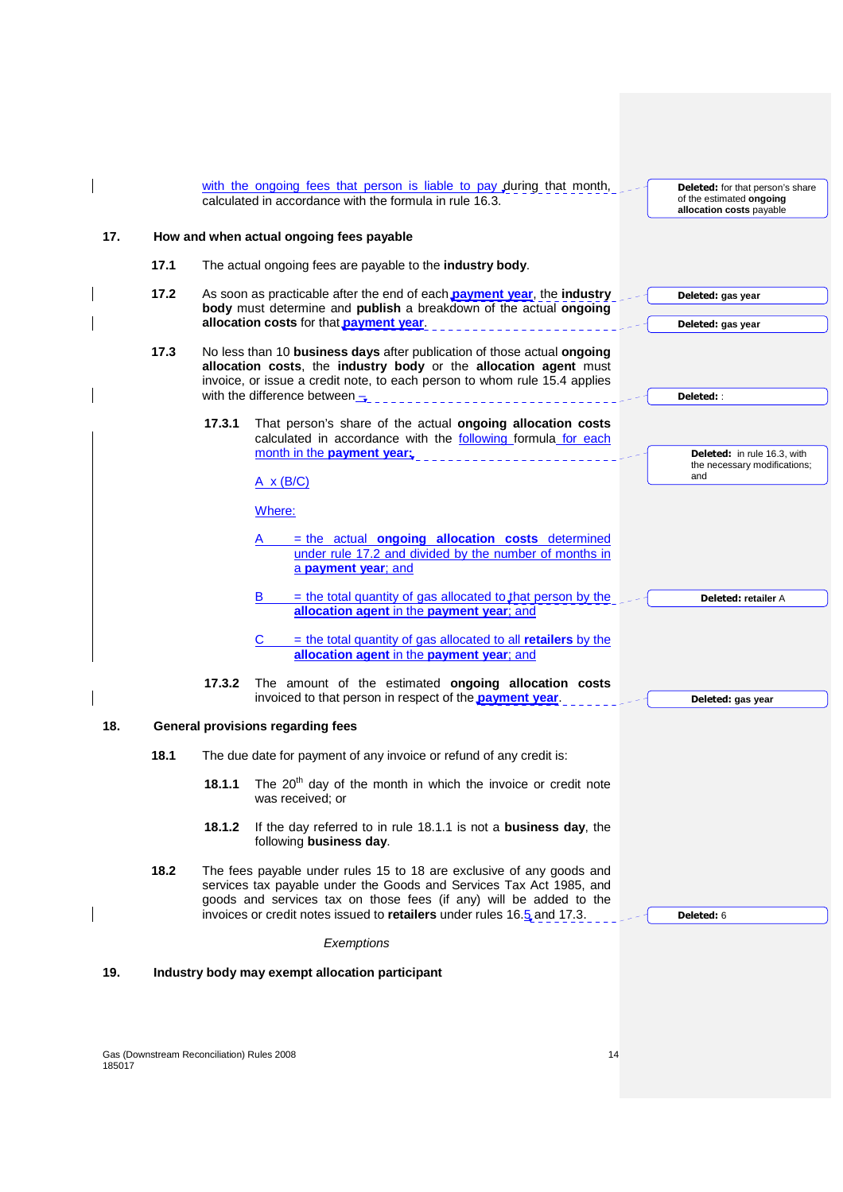|     |      | with the ongoing fees that person is liable to pay during that month,<br><b>Deleted:</b> for that person's share<br>calculated in accordance with the formula in rule 16.3.<br>of the estimated ongoing<br>allocation costs payable                                                                                                                                                                                     |
|-----|------|-------------------------------------------------------------------------------------------------------------------------------------------------------------------------------------------------------------------------------------------------------------------------------------------------------------------------------------------------------------------------------------------------------------------------|
| 17. |      | How and when actual ongoing fees payable                                                                                                                                                                                                                                                                                                                                                                                |
|     | 17.1 | The actual ongoing fees are payable to the industry body.                                                                                                                                                                                                                                                                                                                                                               |
|     | 17.2 | As soon as practicable after the end of each payment year, the industry<br>Deleted: gas year<br>body must determine and publish a breakdown of the actual ongoing<br>allocation costs for that payment year.<br>Deleted: gas year                                                                                                                                                                                       |
|     | 17.3 | No less than 10 business days after publication of those actual ongoing<br>allocation costs, the industry body or the allocation agent must<br>invoice, or issue a credit note, to each person to whom rule 15.4 applies<br>with the difference between $\overline{\phantom{a}}$<br>Deleted: :                                                                                                                          |
|     |      | 17.3.1<br>That person's share of the actual ongoing allocation costs<br>calculated in accordance with the following formula for each<br>month in the payment year;<br><b>Deleted:</b> in rule 16.3, with<br>the necessary modifications;<br>and<br>$A \times (B/C)$                                                                                                                                                     |
|     |      | Where:<br>= the actual ongoing allocation costs determined<br>under rule 17.2 and divided by the number of months in<br>a payment year; and                                                                                                                                                                                                                                                                             |
|     |      | $=$ the total quantity of gas allocated to that person by the<br>B<br><b>Deleted: retailer A</b><br>allocation agent in the payment year; and<br>$=$ the total quantity of gas allocated to all retailers by the<br>allocation agent in the payment year; and<br>17.3.2<br>The amount of the estimated ongoing allocation costs<br>invoiced to that person in respect of the <b>payment year</b> .<br>Deleted: gas year |
| 18. |      | <b>General provisions regarding fees</b>                                                                                                                                                                                                                                                                                                                                                                                |
|     | 18.1 | The due date for payment of any invoice or refund of any credit is:                                                                                                                                                                                                                                                                                                                                                     |
|     |      | The $20th$ day of the month in which the invoice or credit note<br>18.1.1<br>was received; or                                                                                                                                                                                                                                                                                                                           |
|     |      | 18.1.2<br>If the day referred to in rule 18.1.1 is not a business day, the<br>following business day.                                                                                                                                                                                                                                                                                                                   |
|     | 18.2 | The fees payable under rules 15 to 18 are exclusive of any goods and<br>services tax payable under the Goods and Services Tax Act 1985, and<br>goods and services tax on those fees (if any) will be added to the<br>invoices or credit notes issued to retailers under rules 16.5 and 17.3.<br>Deleted: 6                                                                                                              |
|     |      | Exemptions                                                                                                                                                                                                                                                                                                                                                                                                              |
| 19. |      | Industry body may exempt allocation participant                                                                                                                                                                                                                                                                                                                                                                         |
|     |      |                                                                                                                                                                                                                                                                                                                                                                                                                         |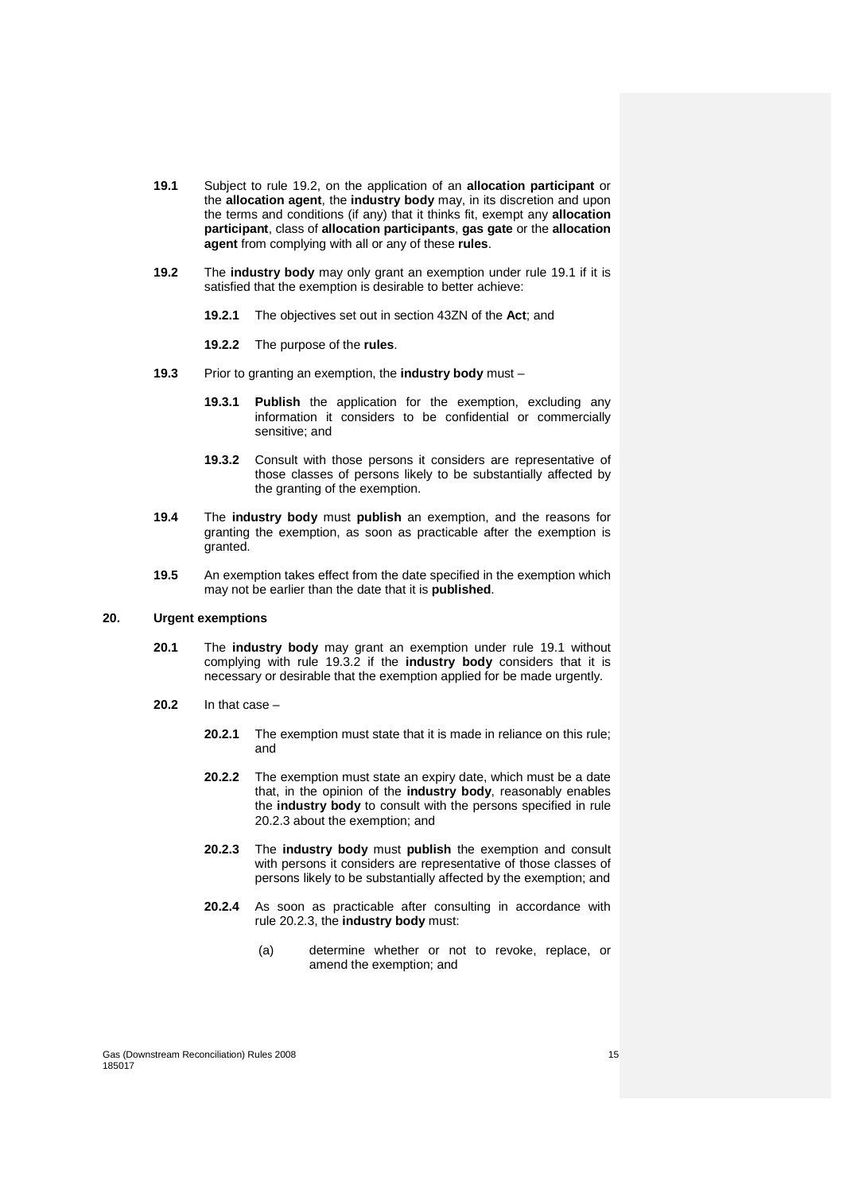- **19.1** Subject to rule 19.2, on the application of an **allocation participant** or the **allocation agent**, the **industry body** may, in its discretion and upon the terms and conditions (if any) that it thinks fit, exempt any **allocation participant**, class of **allocation participants**, **gas gate** or the **allocation agent** from complying with all or any of these **rules**.
- **19.2** The **industry body** may only grant an exemption under rule 19.1 if it is satisfied that the exemption is desirable to better achieve:
	- **19.2.1** The objectives set out in section 43ZN of the **Act**; and
	- **19.2.2** The purpose of the **rules**.
- **19.3** Prior to granting an exemption, the **industry body** must
	- **19.3.1 Publish** the application for the exemption, excluding any information it considers to be confidential or commercially sensitive; and
	- **19.3.2** Consult with those persons it considers are representative of those classes of persons likely to be substantially affected by the granting of the exemption.
- **19.4** The **industry body** must **publish** an exemption, and the reasons for granting the exemption, as soon as practicable after the exemption is granted.
- **19.5** An exemption takes effect from the date specified in the exemption which may not be earlier than the date that it is **published**.

#### **20. Urgent exemptions**

- **20.1** The **industry body** may grant an exemption under rule 19.1 without complying with rule 19.3.2 if the **industry body** considers that it is necessary or desirable that the exemption applied for be made urgently.
- **20.2** In that case
	- **20.2.1** The exemption must state that it is made in reliance on this rule; and
	- **20.2.2** The exemption must state an expiry date, which must be a date that, in the opinion of the **industry body**, reasonably enables the **industry body** to consult with the persons specified in rule 20.2.3 about the exemption; and
	- **20.2.3** The **industry body** must **publish** the exemption and consult with persons it considers are representative of those classes of persons likely to be substantially affected by the exemption; and
	- **20.2.4** As soon as practicable after consulting in accordance with rule 20.2.3, the **industry body** must:
		- (a) determine whether or not to revoke, replace, or amend the exemption; and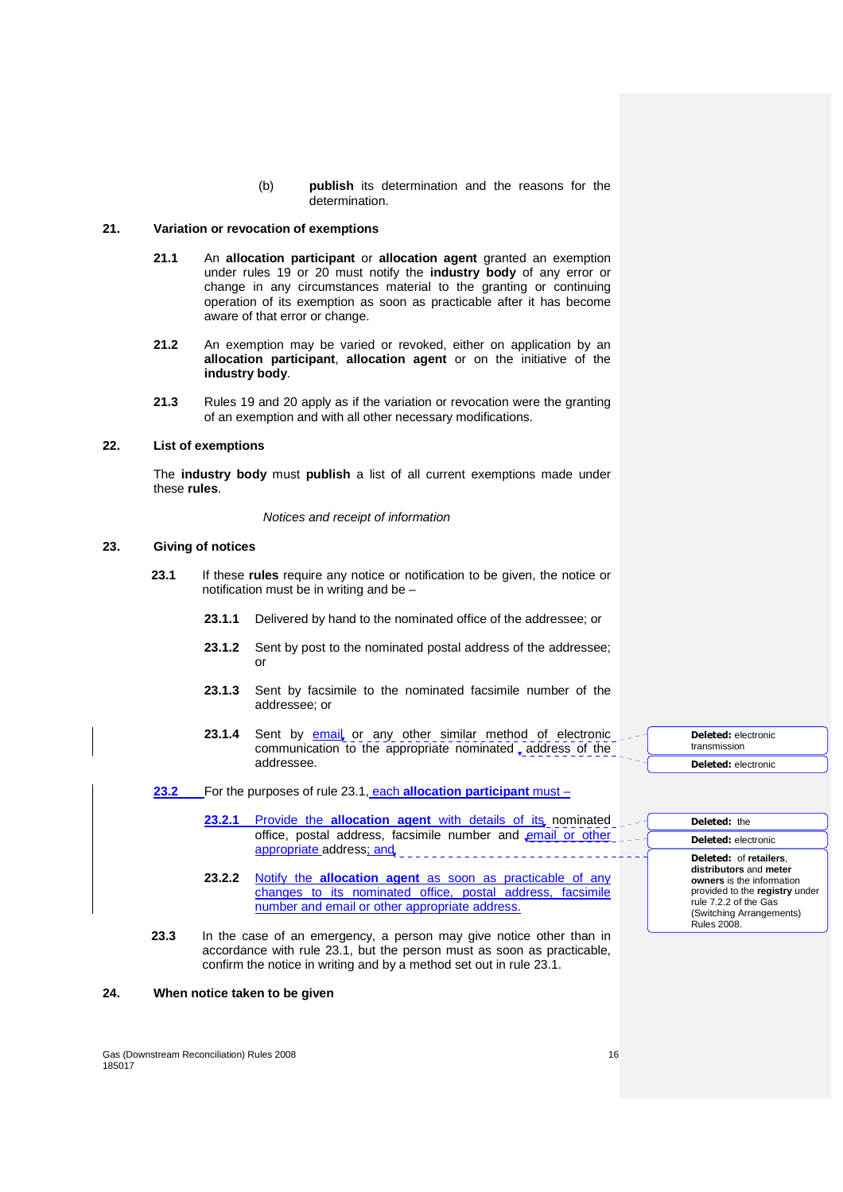(b) **publish** its determination and the reasons for the determination.

# **21. Variation or revocation of exemptions**

- **21.1** An **allocation participant** or **allocation agent** granted an exemption under rules 19 or 20 must notify the **industry body** of any error or change in any circumstances material to the granting or continuing operation of its exemption as soon as practicable after it has become aware of that error or change.
- **21.2** An exemption may be varied or revoked, either on application by an **allocation participant**, **allocation agent** or on the initiative of the **industry body**.
- **21.3** Rules 19 and 20 apply as if the variation or revocation were the granting of an exemption and with all other necessary modifications.

# **22. List of exemptions**

The **industry body** must **publish** a list of all current exemptions made under these **rules**.

# Notices and receipt of information

## **23. Giving of notices**

- **23.1** If these **rules** require any notice or notification to be given, the notice or notification must be in writing and be –
	- **23.1.1** Delivered by hand to the nominated office of the addressee; or
	- **23.1.2** Sent by post to the nominated postal address of the addressee: or
	- **23.1.3** Sent by facsimile to the nominated facsimile number of the addressee; or
	- 23.1.4 Sent by **email** or any other similar method of electronic communication to the appropriate nominated , address of the addressee.
- **23.2** For the purposes of rule 23.1, each **allocation participant** must
	- 23.2.1 Provide the **allocation agent** with details of its nominated office, postal address, facsimile number and email or other appropriate address; and
	- **23.2.2** Notify the **allocation agent** as soon as practicable of any changes to its nominated office, postal address, facsimile number and email or other appropriate address.
- **23.3** In the case of an emergency, a person may give notice other than in accordance with rule 23.1, but the person must as soon as practicable, confirm the notice in writing and by a method set out in rule 23.1.

# **24. When notice taken to be given**

**Deleted:** electronic transmission **Deleted:** electronic

# **Deleted:** the

#### **Deleted:** electronic **Deleted:** of **retailers**,

**distributors** and **meter owners** is the information provided to the **registry** under rule 7.2.2 of the Gas (Switching Arrangements) Rules 2008.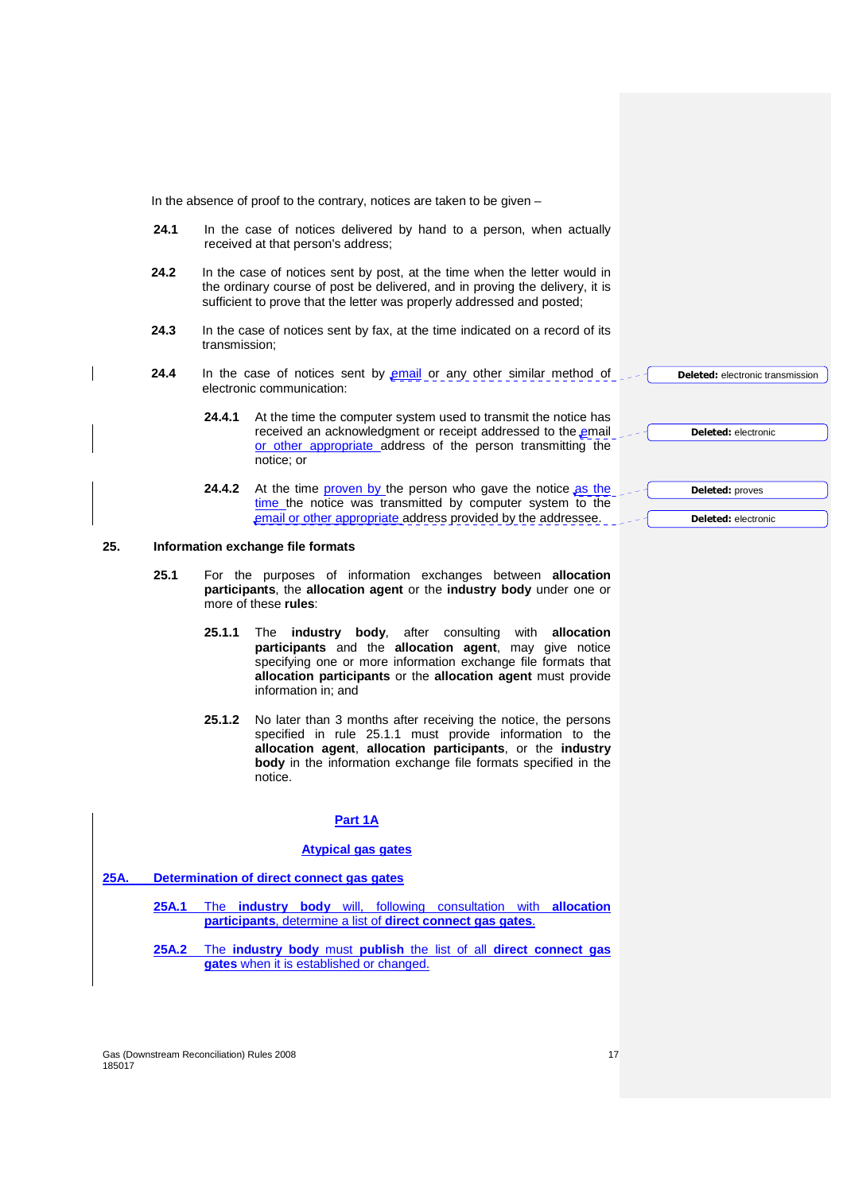In the absence of proof to the contrary, notices are taken to be given –

- **24.1** In the case of notices delivered by hand to a person, when actually received at that person's address;
- **24.2** In the case of notices sent by post, at the time when the letter would in the ordinary course of post be delivered, and in proving the delivery, it is sufficient to prove that the letter was properly addressed and posted;
- **24.3** In the case of notices sent by fax, at the time indicated on a record of its transmission;
- **24.4** In the case of notices sent by email or any other similar method of electronic communication:
	- **24.4.1** At the time the computer system used to transmit the notice has received an acknowledgment or receipt addressed to the email or other appropriate address of the person transmitting the notice; or
	- **24.4.2** At the time proven by the person who gave the notice as the time the notice was transmitted by computer system to the email or other appropriate address provided by the addressee.

#### **25. Information exchange file formats**

- **25.1** For the purposes of information exchanges between **allocation participants**, the **allocation agent** or the **industry body** under one or more of these **rules**:
	- **25.1.1** The **industry body**, after consulting with **allocation participants** and the **allocation agent**, may give notice specifying one or more information exchange file formats that **allocation participants** or the **allocation agent** must provide information in; and
	- **25.1.2** No later than 3 months after receiving the notice, the persons specified in rule 25.1.1 must provide information to the **allocation agent**, **allocation participants**, or the **industry body** in the information exchange file formats specified in the notice.

# **Part 1A**

#### **Atypical gas gates**

- **25A. Determination of direct connect gas gates** 
	- **25A.1** The **industry body** will, following consultation with **allocation participants**, determine a list of **direct connect gas gates**.
	- **25A.2** The **industry body** must **publish** the list of all **direct connect gas gates** when it is established or changed.

Gas (Downstream Reconciliation) Rules 2008 17 17 185017

**Deleted:** electronic transmission **Deleted:** electronic **Deleted:** proves

**Deleted:** electronic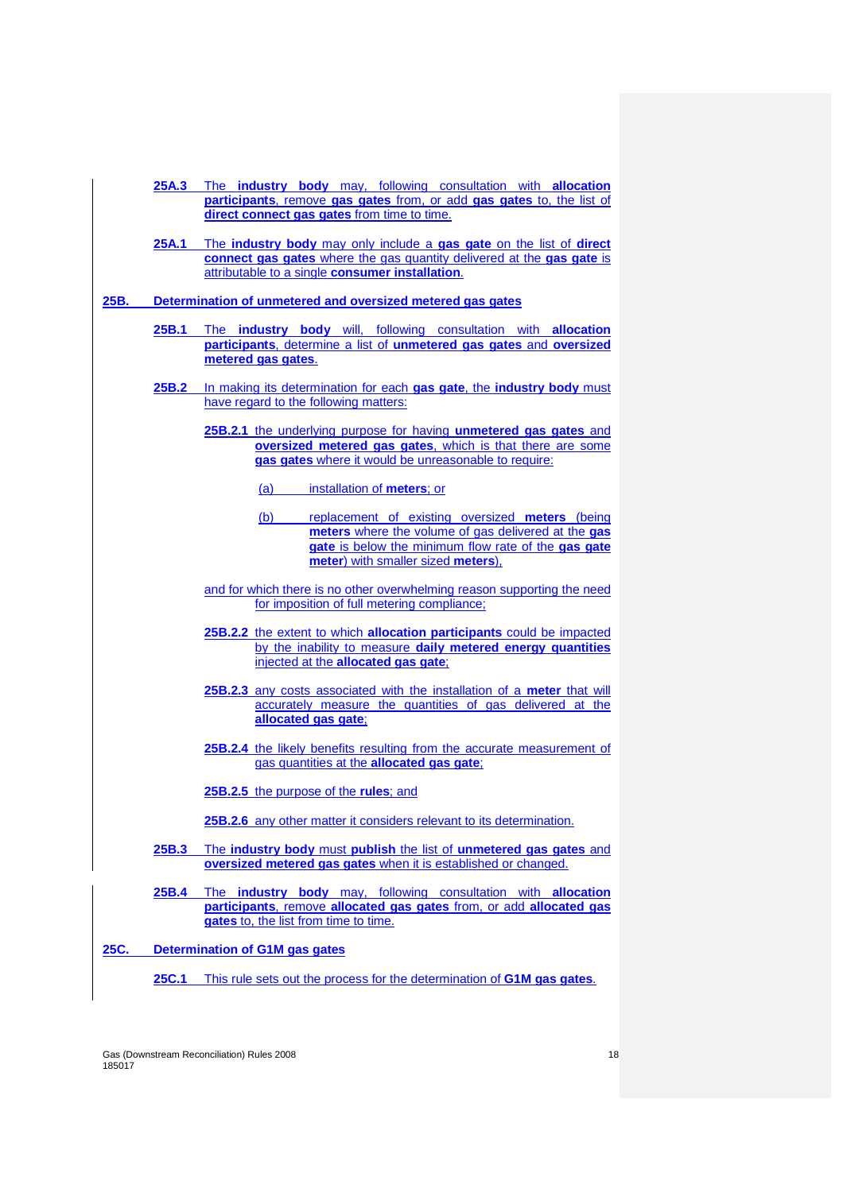|               |       | 25A.3 The industry body may, following consultation with allocation                                                                                         |
|---------------|-------|-------------------------------------------------------------------------------------------------------------------------------------------------------------|
|               |       | participants, remove gas gates from, or add gas gates to, the list of<br>direct connect gas gates from time to time.                                        |
|               | 25A.1 | The industry body may only include a gas gate on the list of direct                                                                                         |
|               |       | connect gas gates where the gas quantity delivered at the gas gate is                                                                                       |
|               |       | attributable to a single consumer installation.                                                                                                             |
| 25B.          |       | Determination of unmetered and oversized metered gas gates                                                                                                  |
|               | 25B.1 | The industry body will, following consultation with allocation                                                                                              |
|               |       | participants, determine a list of unmetered gas gates and oversized                                                                                         |
|               |       | metered gas gates.                                                                                                                                          |
|               |       | 25B.2 In making its determination for each gas gate, the industry body must                                                                                 |
|               |       | have regard to the following matters:                                                                                                                       |
|               |       | 25B.2.1 the underlying purpose for having unmetered gas gates and                                                                                           |
|               |       | oversized metered gas gates, which is that there are some<br>gas gates where it would be unreasonable to require:                                           |
|               |       | (a)<br>installation of meters; or                                                                                                                           |
|               |       |                                                                                                                                                             |
|               |       | replacement of existing oversized meters (being<br><u>(b)</u><br>meters where the volume of gas delivered at the gas                                        |
|               |       | gate is below the minimum flow rate of the gas gate                                                                                                         |
|               |       | meter) with smaller sized meters),                                                                                                                          |
|               |       | and for which there is no other overwhelming reason supporting the need<br>for imposition of full metering compliance;                                      |
|               |       | 25B.2.2 the extent to which allocation participants could be impacted                                                                                       |
|               |       | by the inability to measure daily metered energy quantities<br>injected at the allocated gas gate;                                                          |
|               |       |                                                                                                                                                             |
|               |       | 25B.2.3 any costs associated with the installation of a meter that will<br>accurately measure the quantities of gas delivered at the<br>allocated gas gate; |
|               |       | 25B.2.4 the likely benefits resulting from the accurate measurement of                                                                                      |
|               |       | gas quantities at the allocated gas gate;                                                                                                                   |
|               |       | 25B.2.5 the purpose of the rules; and                                                                                                                       |
|               |       | 25B.2.6 any other matter it considers relevant to its determination.                                                                                        |
|               | 25B.3 | The industry body must publish the list of unmetered gas gates and                                                                                          |
|               |       | oversized metered gas gates when it is established or changed.                                                                                              |
|               | 25B.4 | The industry body may, following consultation with allocation                                                                                               |
|               |       | participants, remove allocated gas gates from, or add allocated gas<br>gates to, the list from time to time.                                                |
|               |       |                                                                                                                                                             |
| <u>25C. _</u> |       | Determination of G1M gas gates                                                                                                                              |
|               | 25C.1 | This rule sets out the process for the determination of G1M gas gates.                                                                                      |

Gas (Downstream Reconciliation) Rules 2008<br>185017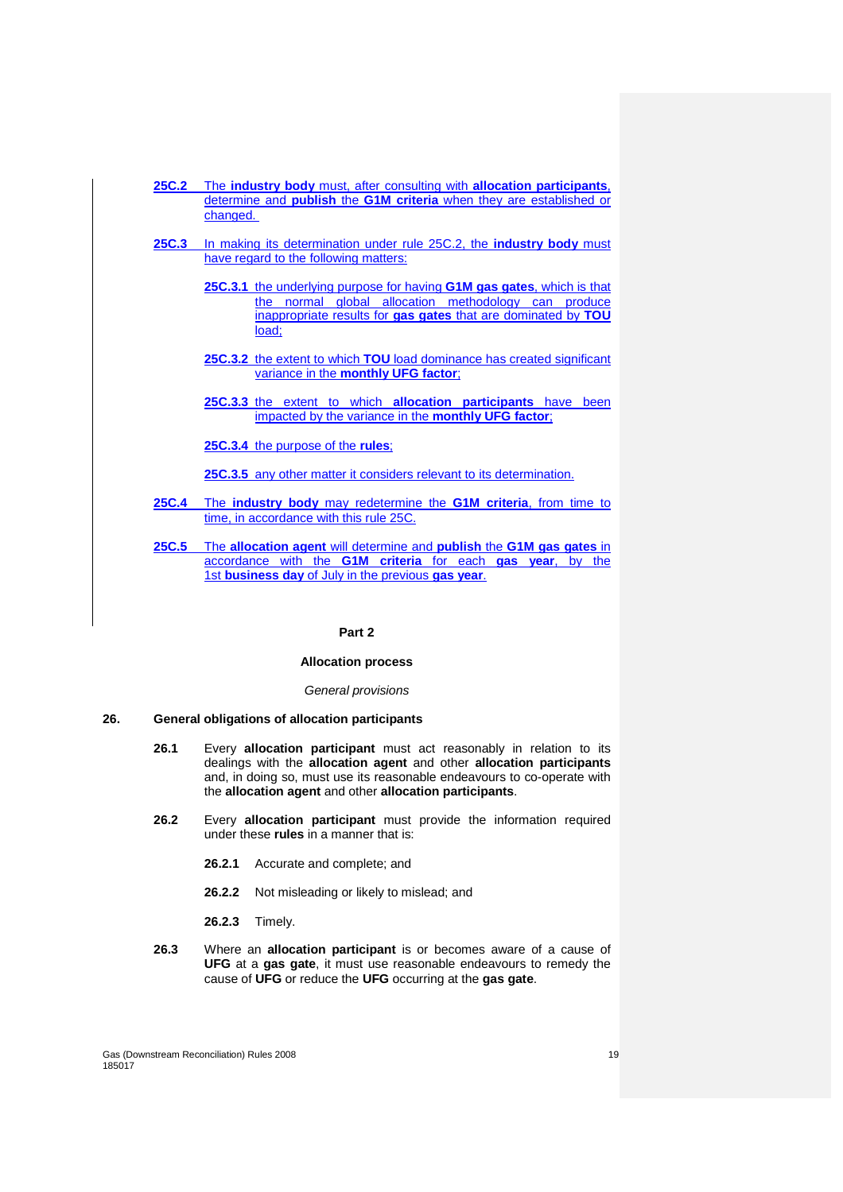|              | <b>25C.2</b> The industry body must, after consulting with allocation participants,   |
|--------------|---------------------------------------------------------------------------------------|
|              | determine and <b>publish</b> the <b>G1M criteria</b> when they are established or     |
|              | changed.                                                                              |
|              |                                                                                       |
| 25C.3        | In making its determination under rule 25C.2, the <b>industry body</b> must           |
|              | have regard to the following matters:                                                 |
|              |                                                                                       |
|              | <b>25C.3.1</b> the underlying purpose for having <b>G1M gas gates</b> , which is that |
|              | normal global allocation methodology can produce<br>the                               |
|              | inappropriate results for gas gates that are dominated by TOU                         |
|              | load;                                                                                 |
|              |                                                                                       |
|              | 25C.3.2 the extent to which TOU load dominance has created significant                |
|              | variance in the monthly UFG factor;                                                   |
|              |                                                                                       |
|              | 25C.3.3 the extent to which allocation participants have been                         |
|              | impacted by the variance in the <b>monthly UFG factor</b> ;                           |
|              |                                                                                       |
|              | 25C.3.4 the purpose of the rules;                                                     |
|              |                                                                                       |
|              | 25C.3.5 any other matter it considers relevant to its determination.                  |
|              |                                                                                       |
| <b>25C.4</b> | The industry body may redetermine the G1M criteria, from time to                      |
|              | time, in accordance with this rule 25C.                                               |
| ኃደጦ ድ        | The allocation agent will determine and publish the C4M gas gates in                  |

**25C.5** The **allocation agent** will determine and **publish** the **G1M gas gates** in accordance with the **G1M criteria** for each **gas year**, by the 1st **business day** of July in the previous **gas year**.

# **Part 2**

## **Allocation process**

#### General provisions

# **26. General obligations of allocation participants**

- **26.1** Every **allocation participant** must act reasonably in relation to its dealings with the **allocation agent** and other **allocation participants** and, in doing so, must use its reasonable endeavours to co-operate with the **allocation agent** and other **allocation participants**.
- **26.2** Every **allocation participant** must provide the information required under these **rules** in a manner that is:
	- **26.2.1** Accurate and complete; and
	- **26.2.2** Not misleading or likely to mislead; and
	- **26.2.3** Timely.
- **26.3** Where an **allocation participant** is or becomes aware of a cause of **UFG** at a **gas gate**, it must use reasonable endeavours to remedy the cause of **UFG** or reduce the **UFG** occurring at the **gas gate**.

Gas (Downstream Reconciliation) Rules 2008 19 185017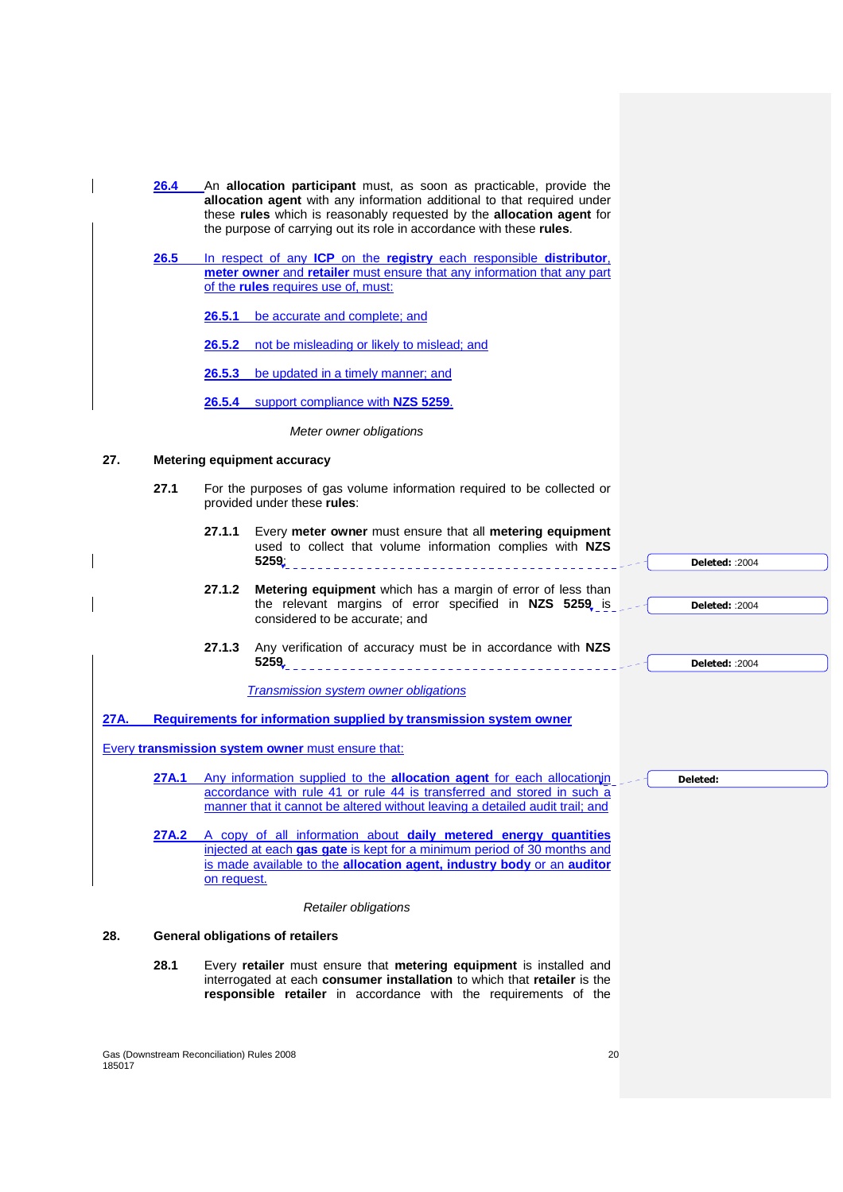|      | 26.4  |             | An allocation participant must, as soon as practicable, provide the<br>allocation agent with any information additional to that required under<br>these rules which is reasonably requested by the allocation agent for<br>the purpose of carrying out its role in accordance with these rules. |                        |
|------|-------|-------------|-------------------------------------------------------------------------------------------------------------------------------------------------------------------------------------------------------------------------------------------------------------------------------------------------|------------------------|
|      | 26.5  |             | In respect of any ICP on the registry each responsible distributor.<br>meter owner and retailer must ensure that any information that any part<br>of the rules requires use of, must:                                                                                                           |                        |
|      |       |             | <b>26.5.1</b> be accurate and complete; and                                                                                                                                                                                                                                                     |                        |
|      |       |             | 26.5.2 not be misleading or likely to mislead; and                                                                                                                                                                                                                                              |                        |
|      |       |             | <b>26.5.3</b> be updated in a timely manner; and                                                                                                                                                                                                                                                |                        |
|      |       |             | 26.5.4 support compliance with NZS 5259.                                                                                                                                                                                                                                                        |                        |
|      |       |             | Meter owner obligations                                                                                                                                                                                                                                                                         |                        |
| 27.  |       |             | <b>Metering equipment accuracy</b>                                                                                                                                                                                                                                                              |                        |
|      | 27.1  |             | For the purposes of gas volume information required to be collected or<br>provided under these rules:                                                                                                                                                                                           |                        |
|      |       | 27.1.1      | Every meter owner must ensure that all metering equipment<br>used to collect that volume information complies with NZS<br>5259.                                                                                                                                                                 | <b>Deleted: :2004</b>  |
|      |       | 27.1.2      | <b>Metering equipment</b> which has a margin of error of less than<br>the relevant margins of error specified in NZS 5259 is<br>considered to be accurate; and                                                                                                                                  | <b>Deleted: : 2004</b> |
|      |       | 27.1.3      | Any verification of accuracy must be in accordance with NZS<br>5259.                                                                                                                                                                                                                            | <b>Deleted: : 2004</b> |
|      |       |             | <b>Transmission system owner obligations</b>                                                                                                                                                                                                                                                    |                        |
| 27A. |       |             | Requirements for information supplied by transmission system owner                                                                                                                                                                                                                              |                        |
|      |       |             | <b>Every transmission system owner must ensure that:</b>                                                                                                                                                                                                                                        |                        |
|      | 27A.1 |             | Any information supplied to the allocation agent for each allocationin<br>accordance with rule 41 or rule 44 is transferred and stored in such a<br>manner that it cannot be altered without leaving a detailed audit trail; and                                                                | Deleted:               |
|      |       | on request. | 27A.2 A copy of all information about daily metered energy quantities<br>injected at each gas gate is kept for a minimum period of 30 months and<br>is made available to the allocation agent, industry body or an auditor                                                                      |                        |
|      |       |             | Retailer obligations                                                                                                                                                                                                                                                                            |                        |
| 28.  |       |             | <b>General obligations of retailers</b>                                                                                                                                                                                                                                                         |                        |
|      | 28.1  |             | Every retailer must ensure that metering equipment is installed and<br>interrogated at each consumer installation to which that retailer is the<br>responsible retailer in accordance with the requirements of the                                                                              |                        |

Gas (Downstream Reconciliation) Rules 2008 20 185017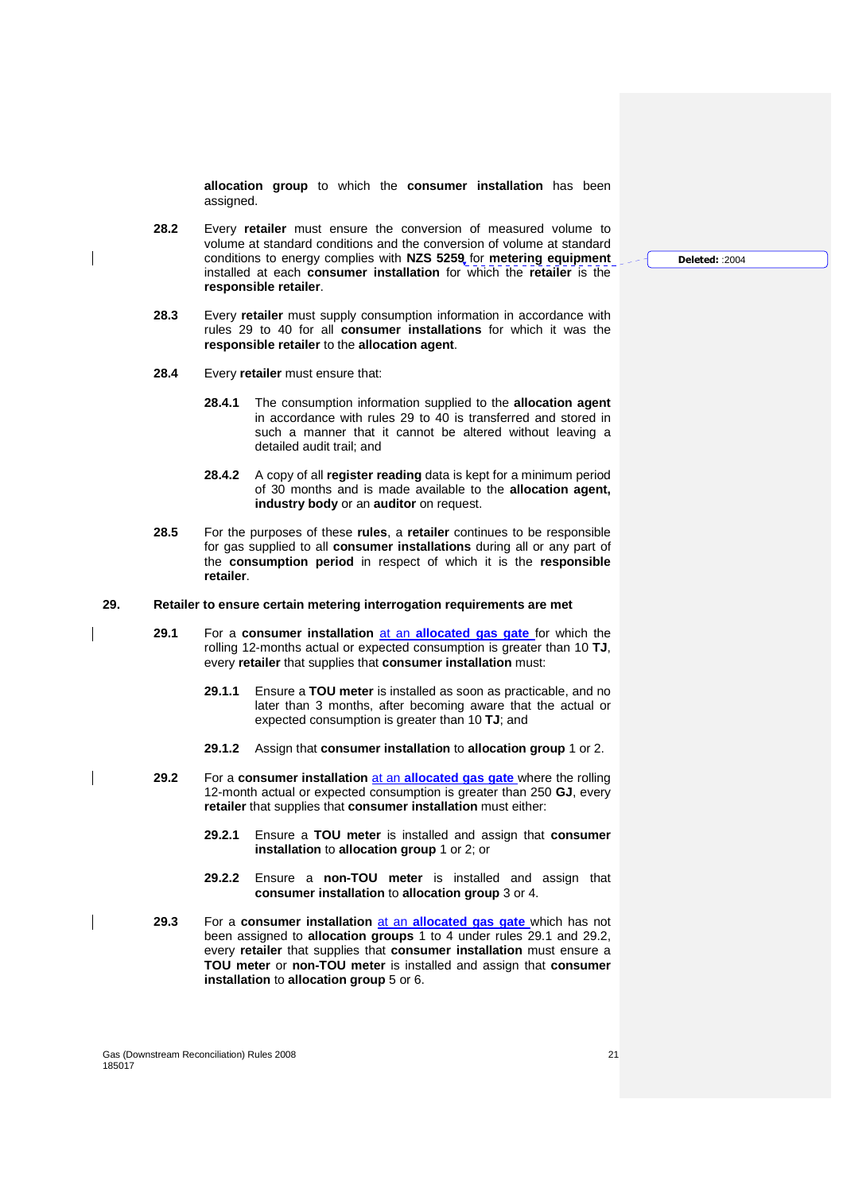**allocation group** to which the **consumer installation** has been assigned.

- **28.2** Every **retailer** must ensure the conversion of measured volume to volume at standard conditions and the conversion of volume at standard conditions to energy complies with **NZS 5259** for **metering equipment** installed at each **consumer installation** for which the **retailer** is the **responsible retailer**.
- **28.3** Every **retailer** must supply consumption information in accordance with rules 29 to 40 for all **consumer installations** for which it was the **responsible retailer** to the **allocation agent**.
- **28.4** Every **retailer** must ensure that:
	- **28.4.1** The consumption information supplied to the **allocation agent** in accordance with rules 29 to 40 is transferred and stored in such a manner that it cannot be altered without leaving a detailed audit trail; and
	- **28.4.2** A copy of all **register reading** data is kept for a minimum period of 30 months and is made available to the **allocation agent, industry body** or an **auditor** on request.
- **28.5** For the purposes of these **rules**, a **retailer** continues to be responsible for gas supplied to all **consumer installations** during all or any part of the **consumption period** in respect of which it is the **responsible retailer**.
- **29. Retailer to ensure certain metering interrogation requirements are met** 
	- **29.1** For a **consumer installation** at an **allocated gas gate** for which the rolling 12-months actual or expected consumption is greater than 10 **TJ**, every **retailer** that supplies that **consumer installation** must:
		- **29.1.1** Ensure a **TOU meter** is installed as soon as practicable, and no later than 3 months, after becoming aware that the actual or expected consumption is greater than 10 **TJ**; and
		- **29.1.2** Assign that **consumer installation** to **allocation group** 1 or 2.
	- **29.2** For a **consumer installation** at an **allocated gas gate** where the rolling 12-month actual or expected consumption is greater than 250 **GJ**, every **retailer** that supplies that **consumer installation** must either:
		- **29.2.1** Ensure a **TOU meter** is installed and assign that **consumer installation** to **allocation group** 1 or 2; or
		- **29.2.2** Ensure a **non-TOU meter** is installed and assign that **consumer installation** to **allocation group** 3 or 4.
	- **29.3** For a **consumer installation** at an **allocated gas gate** which has not been assigned to **allocation groups** 1 to 4 under rules 29.1 and 29.2, every **retailer** that supplies that **consumer installation** must ensure a **TOU meter** or **non-TOU meter** is installed and assign that **consumer installation** to **allocation group** 5 or 6.

**Deleted:** :2004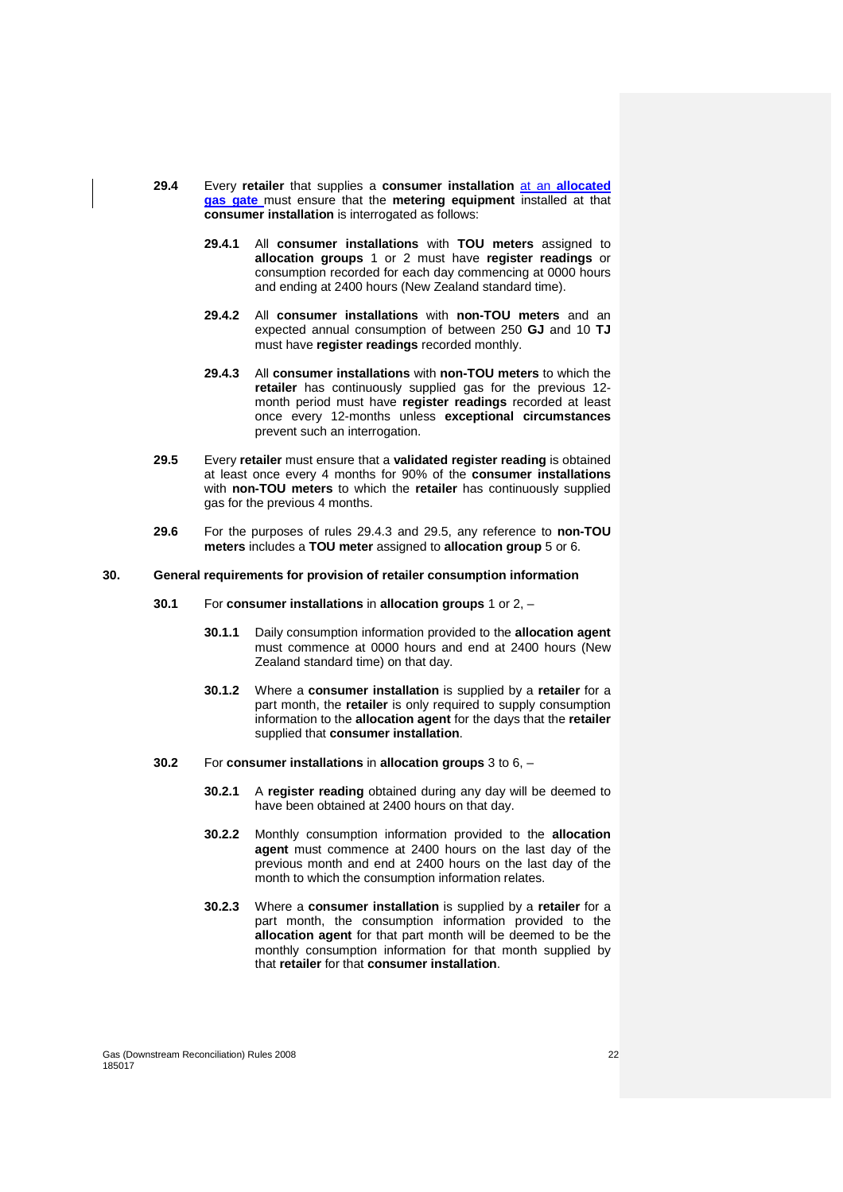- **29.4** Every **retailer** that supplies a **consumer installation** at an **allocated gas gate** must ensure that the **metering equipment** installed at that **consumer installation** is interrogated as follows:
	- **29.4.1** All **consumer installations** with **TOU meters** assigned to **allocation groups** 1 or 2 must have **register readings** or consumption recorded for each day commencing at 0000 hours and ending at 2400 hours (New Zealand standard time).
	- **29.4.2** All **consumer installations** with **non-TOU meters** and an expected annual consumption of between 250 **GJ** and 10 **TJ** must have **register readings** recorded monthly.
	- **29.4.3** All **consumer installations** with **non-TOU meters** to which the **retailer** has continuously supplied gas for the previous 12 month period must have **register readings** recorded at least once every 12-months unless **exceptional circumstances** prevent such an interrogation.
- **29.5** Every **retailer** must ensure that a **validated register reading** is obtained at least once every 4 months for 90% of the **consumer installations** with **non-TOU meters** to which the **retailer** has continuously supplied gas for the previous 4 months.
- **29.6** For the purposes of rules 29.4.3 and 29.5, any reference to **non-TOU meters** includes a **TOU meter** assigned to **allocation group** 5 or 6.

#### **30. General requirements for provision of retailer consumption information**

- **30.1** For **consumer installations** in **allocation groups** 1 or 2,
	- **30.1.1** Daily consumption information provided to the **allocation agent** must commence at 0000 hours and end at 2400 hours (New Zealand standard time) on that day.
	- **30.1.2** Where a **consumer installation** is supplied by a **retailer** for a part month, the **retailer** is only required to supply consumption information to the **allocation agent** for the days that the **retailer** supplied that **consumer installation**.
- **30.2** For **consumer installations** in **allocation groups** 3 to 6,
	- **30.2.1** A **register reading** obtained during any day will be deemed to have been obtained at 2400 hours on that day.
	- **30.2.2** Monthly consumption information provided to the **allocation agent** must commence at 2400 hours on the last day of the previous month and end at 2400 hours on the last day of the month to which the consumption information relates.
	- **30.2.3** Where a **consumer installation** is supplied by a **retailer** for a part month, the consumption information provided to the **allocation agent** for that part month will be deemed to be the monthly consumption information for that month supplied by that **retailer** for that **consumer installation**.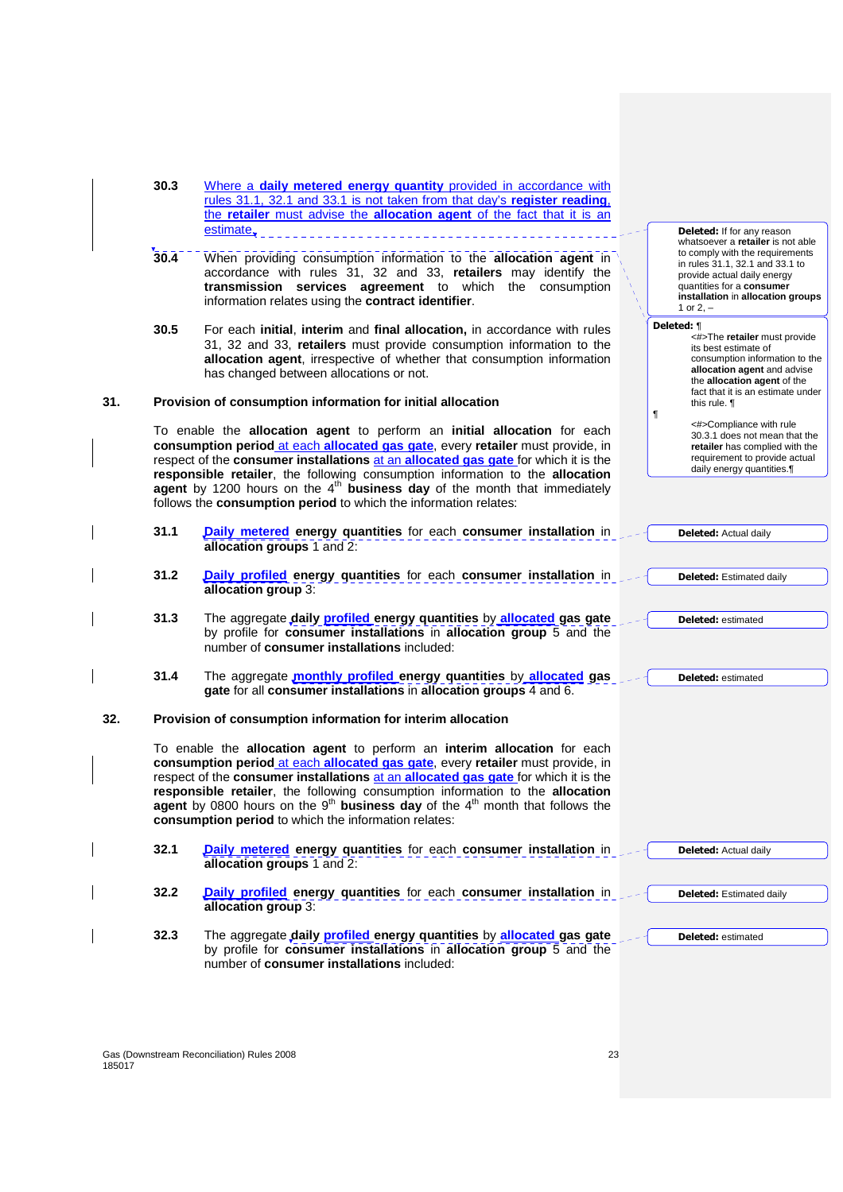|     | 30.3<br>Where a daily metered energy quantity provided in accordance with<br>rules 31.1, 32.1 and 33.1 is not taken from that day's register reading.<br>the retailer must advise the allocation agent of the fact that it is an |                                                                                                                                                                                                                                                                                                                                                                                                                                                                                                    |                                                                                                                                                                                                                         |
|-----|----------------------------------------------------------------------------------------------------------------------------------------------------------------------------------------------------------------------------------|----------------------------------------------------------------------------------------------------------------------------------------------------------------------------------------------------------------------------------------------------------------------------------------------------------------------------------------------------------------------------------------------------------------------------------------------------------------------------------------------------|-------------------------------------------------------------------------------------------------------------------------------------------------------------------------------------------------------------------------|
|     |                                                                                                                                                                                                                                  | estimate.                                                                                                                                                                                                                                                                                                                                                                                                                                                                                          | <b>Deleted:</b> If for any reason                                                                                                                                                                                       |
|     | 30.4                                                                                                                                                                                                                             | When providing consumption information to the allocation agent in<br>accordance with rules 31, 32 and 33, retailers may identify the<br>transmission services agreement to which the consumption<br>information relates using the contract identifier.                                                                                                                                                                                                                                             | whatsoever a retailer is not able<br>to comply with the requirements<br>in rules 31.1, 32.1 and 33.1 to<br>provide actual daily energy<br>quantities for a consumer<br>installation in allocation groups<br>1 or $2, -$ |
|     | 30.5                                                                                                                                                                                                                             | For each initial, interim and final allocation, in accordance with rules<br>31, 32 and 33, retailers must provide consumption information to the<br>allocation agent, irrespective of whether that consumption information<br>has changed between allocations or not.                                                                                                                                                                                                                              | Deleted: ¶<br><#>The retailer must provide<br>its best estimate of<br>consumption information to the<br>allocation agent and advise<br>the allocation agent of the<br>fact that it is an estimate under                 |
| 31. |                                                                                                                                                                                                                                  | Provision of consumption information for initial allocation                                                                                                                                                                                                                                                                                                                                                                                                                                        | this rule. 1<br>ſ                                                                                                                                                                                                       |
|     |                                                                                                                                                                                                                                  | To enable the allocation agent to perform an initial allocation for each<br>consumption period at each allocated gas gate, every retailer must provide, in<br>respect of the consumer installations at an allocated gas gate for which it is the<br>responsible retailer, the following consumption information to the allocation<br>agent by 1200 hours on the $4th$ business day of the month that immediately<br>follows the consumption period to which the information relates:               | <#>Compliance with rule<br>30.3.1 does not mean that the<br>retailer has complied with the<br>requirement to provide actual<br>daily energy quantities.                                                                 |
|     | 31.1                                                                                                                                                                                                                             | Daily metered energy quantities for each consumer installation in<br>allocation groups 1 and 2:                                                                                                                                                                                                                                                                                                                                                                                                    | <b>Deleted:</b> Actual daily                                                                                                                                                                                            |
|     | 31.2                                                                                                                                                                                                                             | Daily profiled energy quantities for each consumer installation in<br>allocation group 3:                                                                                                                                                                                                                                                                                                                                                                                                          | <b>Deleted:</b> Estimated daily                                                                                                                                                                                         |
|     | 31.3                                                                                                                                                                                                                             | The aggregate daily <b>profiled energy quantities</b> by allocated gas gate<br>by profile for consumer installations in allocation group 5 and the<br>number of consumer installations included:                                                                                                                                                                                                                                                                                                   | <b>Deleted: estimated</b>                                                                                                                                                                                               |
|     | 31.4                                                                                                                                                                                                                             | The aggregate <i>monthly profiled</i> energy quantities by allocated gas<br>gate for all consumer installations in allocation groups 4 and 6.                                                                                                                                                                                                                                                                                                                                                      | <b>Deleted:</b> estimated                                                                                                                                                                                               |
| 32. |                                                                                                                                                                                                                                  | Provision of consumption information for interim allocation                                                                                                                                                                                                                                                                                                                                                                                                                                        |                                                                                                                                                                                                                         |
|     |                                                                                                                                                                                                                                  | To enable the allocation agent to perform an interim allocation for each<br>consumption period at each allocated gas gate, every retailer must provide, in<br>respect of the consumer installations at an allocated gas gate for which it is the<br>responsible retailer, the following consumption information to the allocation<br>agent by 0800 hours on the 9 <sup>th</sup> business day of the 4 <sup>th</sup> month that follows the<br>consumption period to which the information relates: |                                                                                                                                                                                                                         |
|     | 32.1                                                                                                                                                                                                                             | Daily metered energy quantities for each consumer installation in<br>allocation groups 1 and 2:                                                                                                                                                                                                                                                                                                                                                                                                    | <b>Deleted:</b> Actual daily                                                                                                                                                                                            |
|     | 32.2                                                                                                                                                                                                                             | Daily profiled energy quantities for each consumer installation in<br>allocation group 3:                                                                                                                                                                                                                                                                                                                                                                                                          | <b>Deleted:</b> Estimated daily                                                                                                                                                                                         |
|     | 32.3                                                                                                                                                                                                                             | The aggregate daily <b>profiled</b> energy quantities by allocated gas gate<br>by profile for <b>consumer installations</b> in <b>allocation group</b> 5 and the<br>number of consumer installations included:                                                                                                                                                                                                                                                                                     | <b>Deleted: estimated</b>                                                                                                                                                                                               |
|     |                                                                                                                                                                                                                                  |                                                                                                                                                                                                                                                                                                                                                                                                                                                                                                    |                                                                                                                                                                                                                         |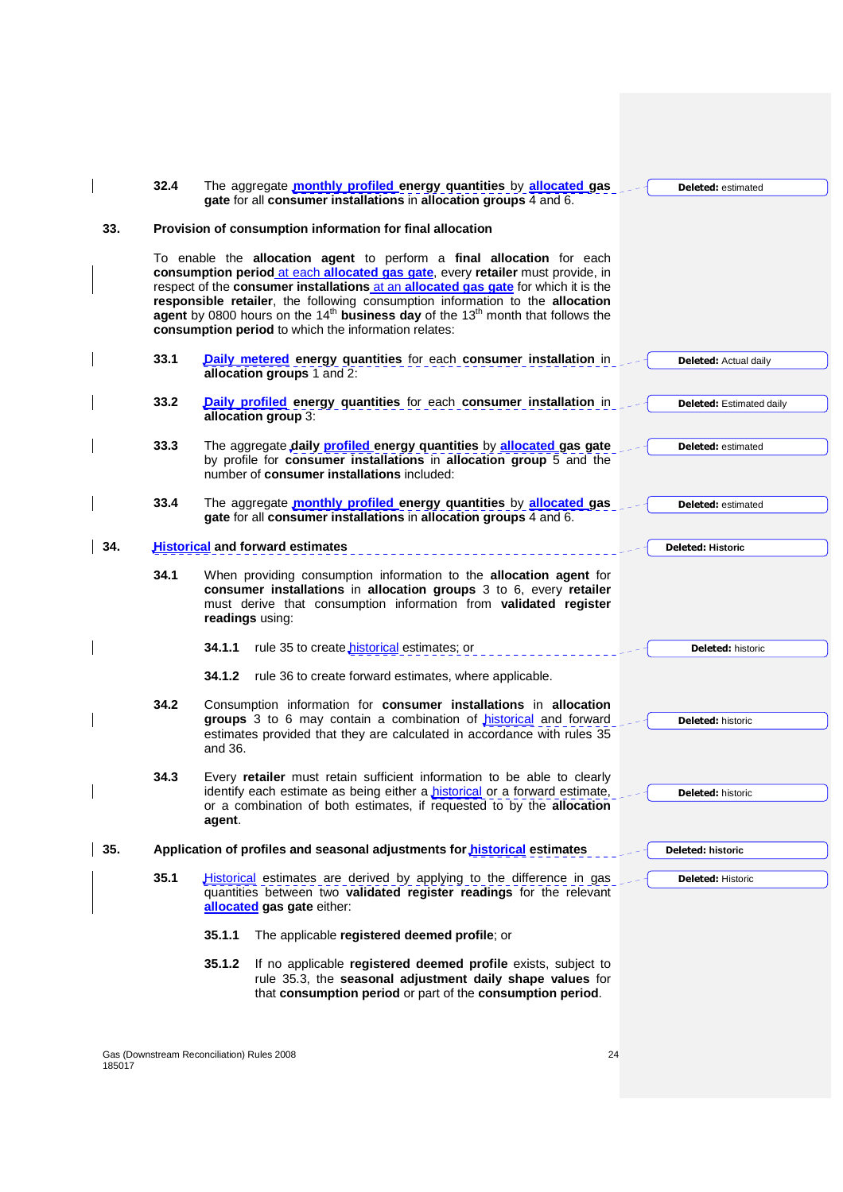|     | 32.4 | The aggregate monthly profiled energy quantities by allocated gas<br>gate for all consumer installations in allocation groups 4 and 6.                                                                                                                                                                                                                                                                                                                                        | <b>Deleted:</b> estimated       |
|-----|------|-------------------------------------------------------------------------------------------------------------------------------------------------------------------------------------------------------------------------------------------------------------------------------------------------------------------------------------------------------------------------------------------------------------------------------------------------------------------------------|---------------------------------|
| 33. |      | Provision of consumption information for final allocation                                                                                                                                                                                                                                                                                                                                                                                                                     |                                 |
|     |      | To enable the allocation agent to perform a final allocation for each<br>consumption period at each allocated gas gate, every retailer must provide, in<br>respect of the consumer installations at an allocated gas gate for which it is the<br>responsible retailer, the following consumption information to the allocation<br>agent by 0800 hours on the $14th$ business day of the $13th$ month that follows the<br>consumption period to which the information relates: |                                 |
|     | 33.1 | Daily metered energy quantities for each consumer installation in<br>allocation groups 1 and 2:                                                                                                                                                                                                                                                                                                                                                                               | <b>Deleted:</b> Actual daily    |
|     | 33.2 | Daily profiled energy quantities for each consumer installation in<br>allocation group 3:                                                                                                                                                                                                                                                                                                                                                                                     | <b>Deleted:</b> Estimated daily |
|     | 33.3 | The aggregate daily <b>profiled</b> energy quantities by allocated gas gate<br>by profile for consumer installations in allocation group 5 and the<br>number of consumer installations included:                                                                                                                                                                                                                                                                              | <b>Deleted:</b> estimated       |
|     | 33.4 | The aggregate monthly profiled energy quantities by allocated gas<br>gate for all consumer installations in allocation groups 4 and 6.                                                                                                                                                                                                                                                                                                                                        | <b>Deleted:</b> estimated       |
| 34. |      | <b>Historical and forward estimates</b>                                                                                                                                                                                                                                                                                                                                                                                                                                       | <b>Deleted: Historic</b>        |
|     | 34.1 | When providing consumption information to the allocation agent for<br>consumer installations in allocation groups 3 to 6, every retailer<br>must derive that consumption information from validated register<br>readings using:                                                                                                                                                                                                                                               |                                 |
|     |      | 34.1.1<br>rule 35 to create <i>historical</i> estimates; or                                                                                                                                                                                                                                                                                                                                                                                                                   | <b>Deleted: historic</b>        |
|     |      | 34.1.2<br>rule 36 to create forward estimates, where applicable.                                                                                                                                                                                                                                                                                                                                                                                                              |                                 |
|     | 34.2 | Consumption information for consumer installations in allocation<br>groups 3 to 6 may contain a combination of <b>historical</b> and forward<br>estimates provided that they are calculated in accordance with rules 35<br>and 36.                                                                                                                                                                                                                                            | <b>Deleted: historic</b>        |
|     | 34.3 | Every retailer must retain sufficient information to be able to clearly<br>identify each estimate as being either a <i>historical</i> or a forward estimate,<br>or a combination of both estimates, if requested to by the allocation<br>agent.                                                                                                                                                                                                                               | Deleted: historic               |
| 35. |      | Application of profiles and seasonal adjustments for <b>historical</b> estimates                                                                                                                                                                                                                                                                                                                                                                                              | Deleted: historic               |
|     | 35.1 | <b>Historical</b> estimates are derived by applying to the difference in gas<br>quantities between two validated register readings for the relevant<br>allocated gas gate either:                                                                                                                                                                                                                                                                                             | <b>Deleted: Historic</b>        |
|     |      | 35.1.1<br>The applicable registered deemed profile; or                                                                                                                                                                                                                                                                                                                                                                                                                        |                                 |
|     |      | 35.1.2<br>If no applicable registered deemed profile exists, subject to<br>rule 35.3, the seasonal adjustment daily shape values for<br>that consumption period or part of the consumption period.                                                                                                                                                                                                                                                                            |                                 |

Gas (Downstream Reconciliation) Rules 2008 24 185017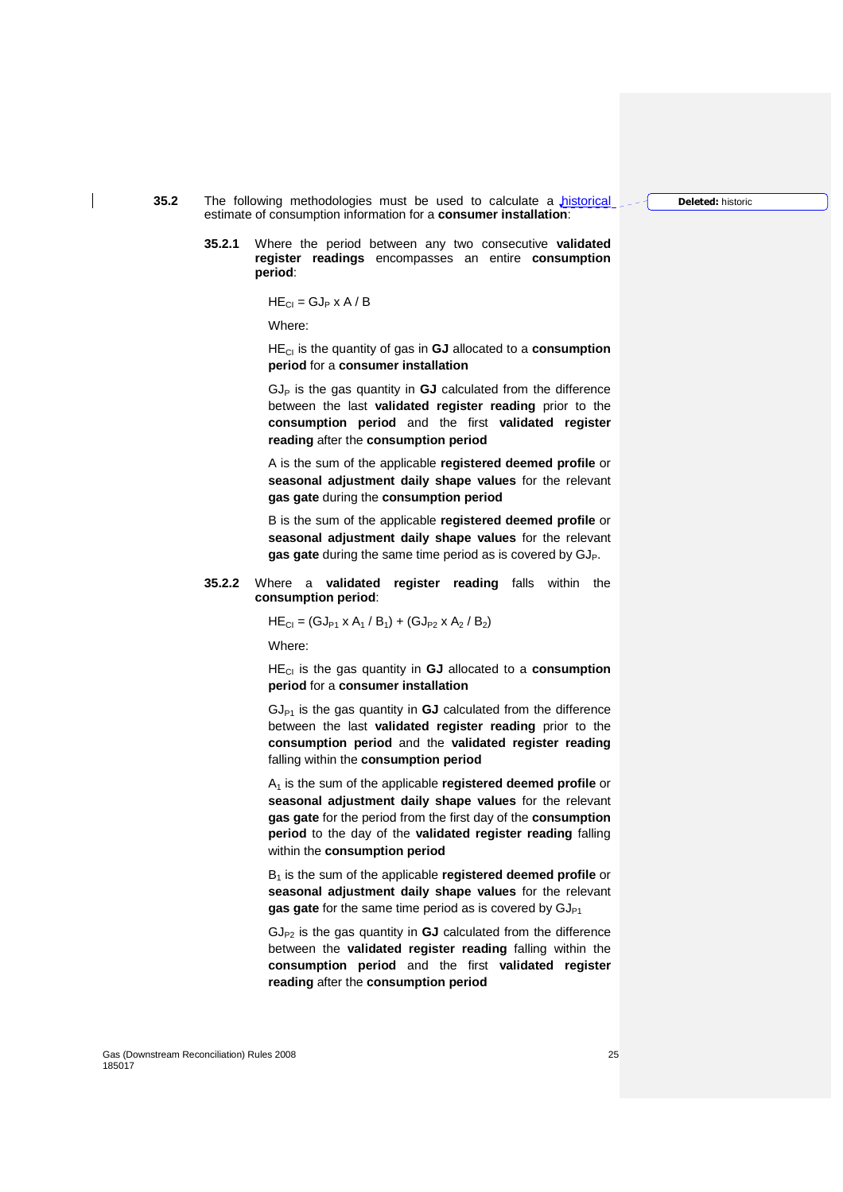**Deleted:** historic

- **35.2** The following methodologies must be used to calculate a historical estimate of consumption information for a **consumer installation**:
	- **35.2.1** Where the period between any two consecutive **validated register readings** encompasses an entire **consumption period**:

 $HE_{Cl} = GJ_P \times A / B$ 

Where:

HECI is the quantity of gas in **GJ** allocated to a **consumption period** for a **consumer installation**

 $GJ<sub>P</sub>$  is the gas quantity in  $GJ$  calculated from the difference between the last **validated register reading** prior to the **consumption period** and the first **validated register reading** after the **consumption period**

A is the sum of the applicable **registered deemed profile** or **seasonal adjustment daily shape values** for the relevant **gas gate** during the **consumption period**

B is the sum of the applicable **registered deemed profile** or **seasonal adjustment daily shape values** for the relevant gas gate during the same time period as is covered by GJ<sub>P</sub>.

#### **35.2.2** Where a **validated register reading** falls within the **consumption period**:

$$
HE_{Cl} = (GJ_{P1} \times A_1 / B_1) + (GJ_{P2} \times A_2 / B_2)
$$

Where:

HECI is the gas quantity in **GJ** allocated to a **consumption period** for a **consumer installation**

 $GJ_{P1}$  is the gas quantity in  $GJ$  calculated from the difference between the last **validated register reading** prior to the **consumption period** and the **validated register reading** falling within the **consumption period**

A1 is the sum of the applicable **registered deemed profile** or **seasonal adjustment daily shape values** for the relevant **gas gate** for the period from the first day of the **consumption period** to the day of the **validated register reading** falling within the **consumption period**

B1 is the sum of the applicable **registered deemed profile** or **seasonal adjustment daily shape values** for the relevant gas gate for the same time period as is covered by GJ<sub>P1</sub>

 $GJ_{P2}$  is the gas quantity in  $GJ$  calculated from the difference between the **validated register reading** falling within the **consumption period** and the first **validated register reading** after the **consumption period**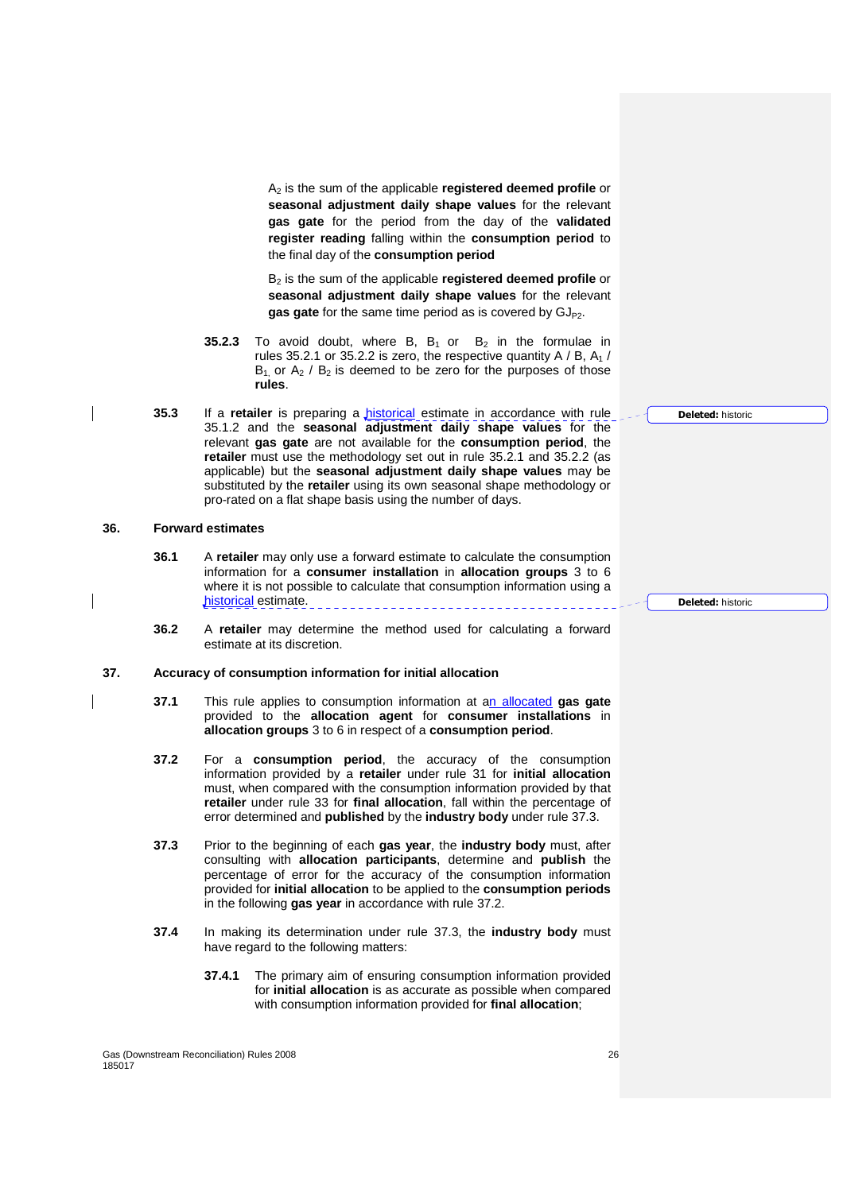A2 is the sum of the applicable **registered deemed profile** or **seasonal adjustment daily shape values** for the relevant **gas gate** for the period from the day of the **validated register reading** falling within the **consumption period** to the final day of the **consumption period**

B2 is the sum of the applicable **registered deemed profile** or **seasonal adjustment daily shape values** for the relevant gas gate for the same time period as is covered by GJ<sub>P2</sub>.

- **35.2.3** To avoid doubt, where B,  $B_1$  or  $B_2$  in the formulae in rules 35.2.1 or 35.2.2 is zero, the respective quantity A / B,  $A_1$  /  $B_1$  or  $A_2$  /  $B_2$  is deemed to be zero for the purposes of those **rules**.
- **35.3** If a **retailer** is preparing a historical estimate in accordance with rule 35.1.2 and the **seasonal adjustment daily shape values** for the relevant **gas gate** are not available for the **consumption period**, the **retailer** must use the methodology set out in rule 35.2.1 and 35.2.2 (as applicable) but the **seasonal adjustment daily shape values** may be substituted by the **retailer** using its own seasonal shape methodology or pro-rated on a flat shape basis using the number of days.

#### **36. Forward estimates**

- **36.1** A **retailer** may only use a forward estimate to calculate the consumption information for a **consumer installation** in **allocation groups** 3 to 6 where it is not possible to calculate that consumption information using a historical estimate.
- **36.2** A **retailer** may determine the method used for calculating a forward estimate at its discretion.

# **37. Accuracy of consumption information for initial allocation**

- **37.1** This rule applies to consumption information at an allocated **gas gate** provided to the **allocation agent** for **consumer installations** in **allocation groups** 3 to 6 in respect of a **consumption period**.
- **37.2** For a **consumption period**, the accuracy of the consumption information provided by a **retailer** under rule 31 for **initial allocation** must, when compared with the consumption information provided by that **retailer** under rule 33 for **final allocation**, fall within the percentage of error determined and **published** by the **industry body** under rule 37.3.
- **37.3** Prior to the beginning of each **gas year**, the **industry body** must, after consulting with **allocation participants**, determine and **publish** the percentage of error for the accuracy of the consumption information provided for **initial allocation** to be applied to the **consumption periods**  in the following **gas year** in accordance with rule 37.2.
- **37.4** In making its determination under rule 37.3, the **industry body** must have regard to the following matters:
	- **37.4.1** The primary aim of ensuring consumption information provided for **initial allocation** is as accurate as possible when compared with consumption information provided for **final allocation**;

**Deleted:** historic

**Deleted:** historic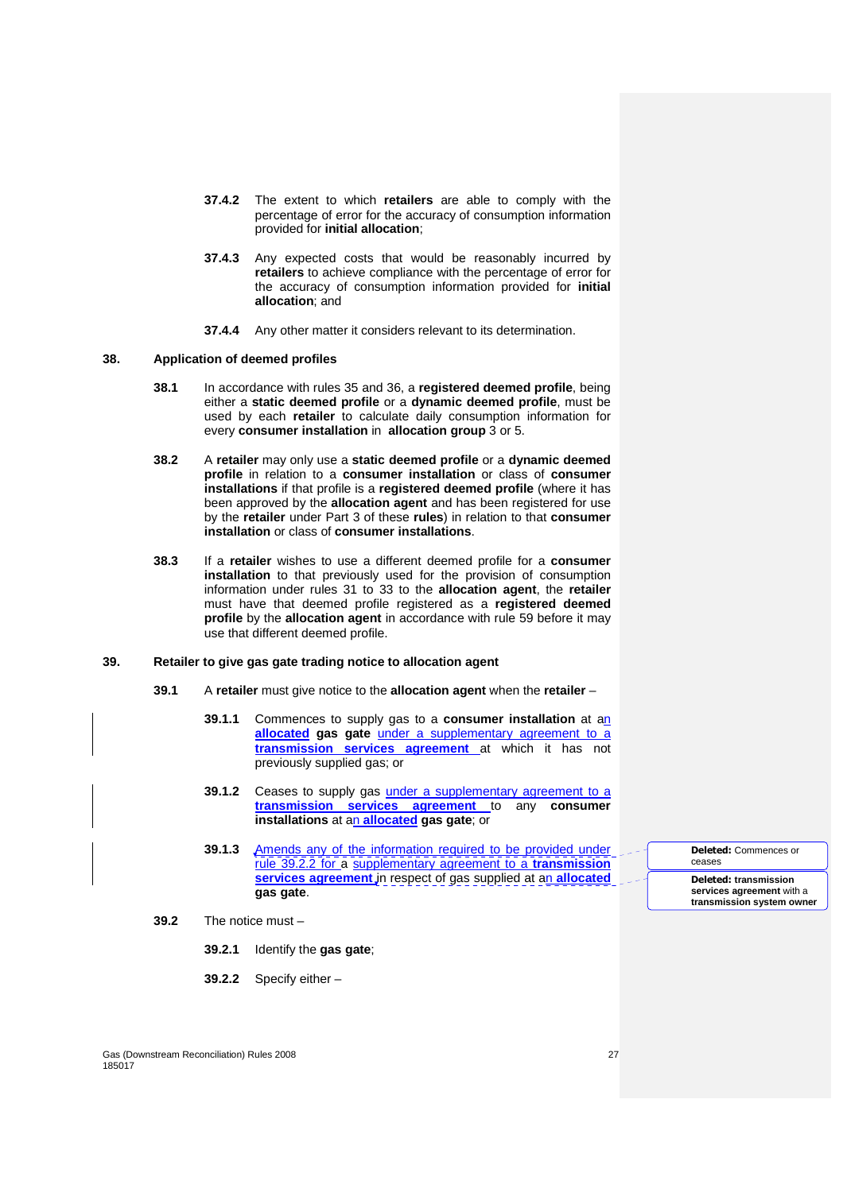- **37.4.2** The extent to which **retailers** are able to comply with the percentage of error for the accuracy of consumption information provided for **initial allocation**;
- **37.4.3** Any expected costs that would be reasonably incurred by **retailers** to achieve compliance with the percentage of error for the accuracy of consumption information provided for **initial allocation**; and
- **37.4.4** Any other matter it considers relevant to its determination.

#### **38. Application of deemed profiles**

- **38.1** In accordance with rules 35 and 36, a **registered deemed profile**, being either a **static deemed profile** or a **dynamic deemed profile**, must be used by each **retailer** to calculate daily consumption information for every **consumer installation** in **allocation group** 3 or 5.
- **38.2** A **retailer** may only use a **static deemed profile** or a **dynamic deemed profile** in relation to a **consumer installation** or class of **consumer installations** if that profile is a **registered deemed profile** (where it has been approved by the **allocation agent** and has been registered for use by the **retailer** under Part 3 of these **rules**) in relation to that **consumer installation** or class of **consumer installations**.
- **38.3** If a **retailer** wishes to use a different deemed profile for a **consumer installation** to that previously used for the provision of consumption information under rules 31 to 33 to the **allocation agent**, the **retailer** must have that deemed profile registered as a **registered deemed profile** by the **allocation agent** in accordance with rule 59 before it may use that different deemed profile.

# **39. Retailer to give gas gate trading notice to allocation agent**

- **39.1** A **retailer** must give notice to the **allocation agent** when the **retailer**
	- **39.1.1** Commences to supply gas to a **consumer installation** at an **allocated gas gate** under a supplementary agreement to a **transmission services agreement** at which it has not previously supplied gas; or
	- **39.1.2** Ceases to supply gas *under a supplementary agreement to a* **transmission services agreement** to any **consumer installations** at an **allocated gas gate**; or
	- **39.1.3** Amends any of the information required to be provided under rule 39.2.2 for a supplementary agreement to a **transmission services agreement** in respect of gas supplied at an **allocated gas gate**.

**Deleted:** Commences or ceases **Deleted: transmission** 

**services agreement** with a **transmission system owner**

- **39.2** The notice must
	- **39.2.1** Identify the **gas gate**;
	- **39.2.2** Specify either –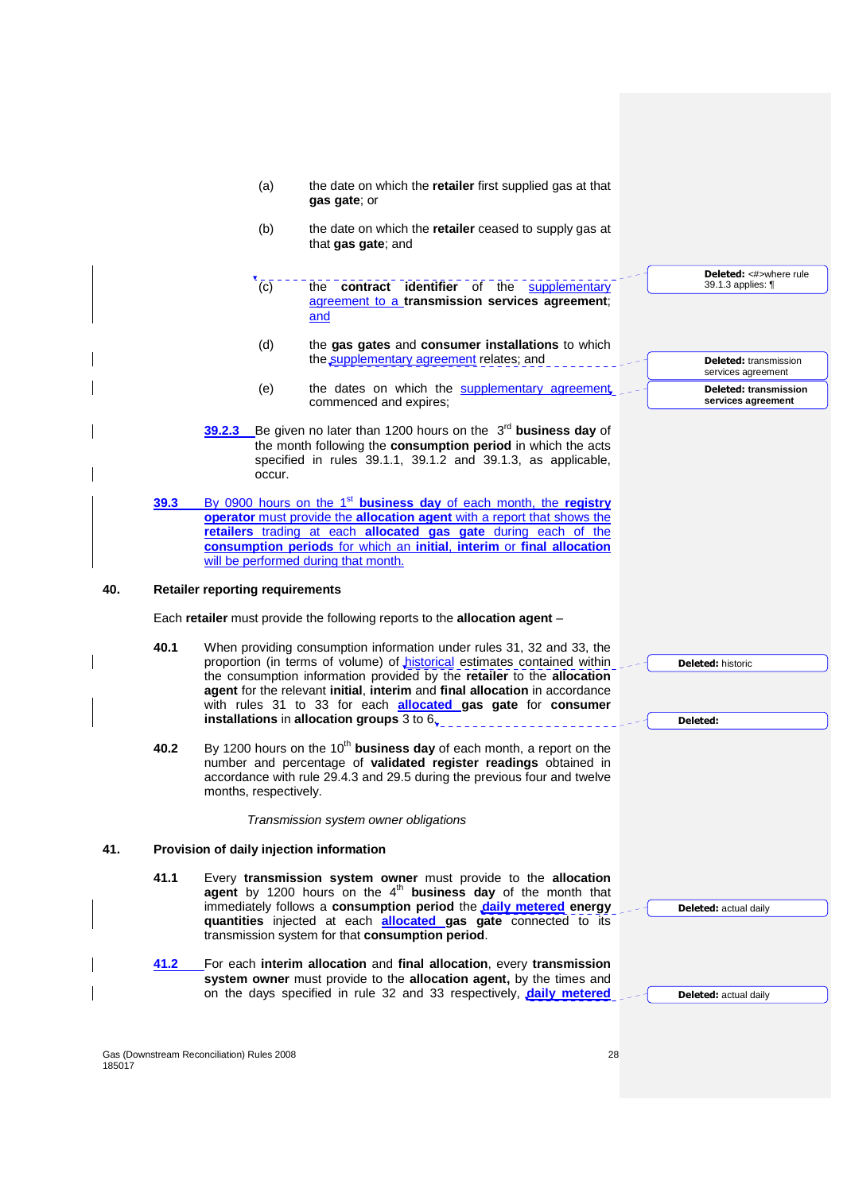|      | (a)                                      | the date on which the retailer first supplied gas at that<br>gas gate; or                                                                                                                                                                                                                                                                                                                                                                    |                                                                   |
|------|------------------------------------------|----------------------------------------------------------------------------------------------------------------------------------------------------------------------------------------------------------------------------------------------------------------------------------------------------------------------------------------------------------------------------------------------------------------------------------------------|-------------------------------------------------------------------|
|      | (b)                                      | the date on which the retailer ceased to supply gas at<br>that gas gate; and                                                                                                                                                                                                                                                                                                                                                                 |                                                                   |
|      | (c)                                      | the contract identifier of the supplementary<br>agreement to a transmission services agreement;<br>and                                                                                                                                                                                                                                                                                                                                       | Deleted: <#>where rule<br>39.1.3 applies: 1                       |
|      | (d)                                      | the gas gates and consumer installations to which<br>the supplementary agreement relates; and                                                                                                                                                                                                                                                                                                                                                | <b>Deleted:</b> transmission                                      |
|      | (e)                                      | the dates on which the supplementary agreement<br>commenced and expires;                                                                                                                                                                                                                                                                                                                                                                     | services agreement<br>Deleted: transmission<br>services agreement |
|      | 39.2.3<br>occur.                         | Be given no later than 1200 hours on the $3^{rd}$ business day of<br>the month following the consumption period in which the acts<br>specified in rules 39.1.1, 39.1.2 and 39.1.3, as applicable,                                                                                                                                                                                                                                            |                                                                   |
| 39.3 |                                          | By 0900 hours on the 1 <sup>st</sup> business day of each month, the registry<br>operator must provide the allocation agent with a report that shows the<br>retailers trading at each allocated gas gate during each of the<br>consumption periods for which an initial, interim or final allocation<br>will be performed during that month.                                                                                                 |                                                                   |
| 40.  | <b>Retailer reporting requirements</b>   |                                                                                                                                                                                                                                                                                                                                                                                                                                              |                                                                   |
|      |                                          | Each retailer must provide the following reports to the allocation agent -                                                                                                                                                                                                                                                                                                                                                                   |                                                                   |
| 40.1 |                                          | When providing consumption information under rules 31, 32 and 33, the<br>proportion (in terms of volume) of <i>historical</i> estimates contained within<br>the consumption information provided by the retailer to the allocation<br>agent for the relevant initial, interim and final allocation in accordance<br>with rules 31 to 33 for each <b>allocated gas gate</b> for <b>consumer</b><br>installations in allocation groups 3 to 6. | <b>Deleted: historic</b><br>Deleted:                              |
| 40.2 | months, respectively.                    | By 1200 hours on the $10^{th}$ business day of each month, a report on the<br>number and percentage of validated register readings obtained in<br>accordance with rule 29.4.3 and 29.5 during the previous four and twelve                                                                                                                                                                                                                   |                                                                   |
|      |                                          | Transmission system owner obligations                                                                                                                                                                                                                                                                                                                                                                                                        |                                                                   |
| 41.  | Provision of daily injection information |                                                                                                                                                                                                                                                                                                                                                                                                                                              |                                                                   |
| 41.1 |                                          | Every transmission system owner must provide to the allocation<br>agent by 1200 hours on the $4th$ business day of the month that<br>immediately follows a consumption period the daily metered energy<br>quantities injected at each <b>allocated gas gate</b> connected to its<br>transmission system for that consumption period.                                                                                                         | <b>Deleted:</b> actual daily                                      |
|      |                                          |                                                                                                                                                                                                                                                                                                                                                                                                                                              |                                                                   |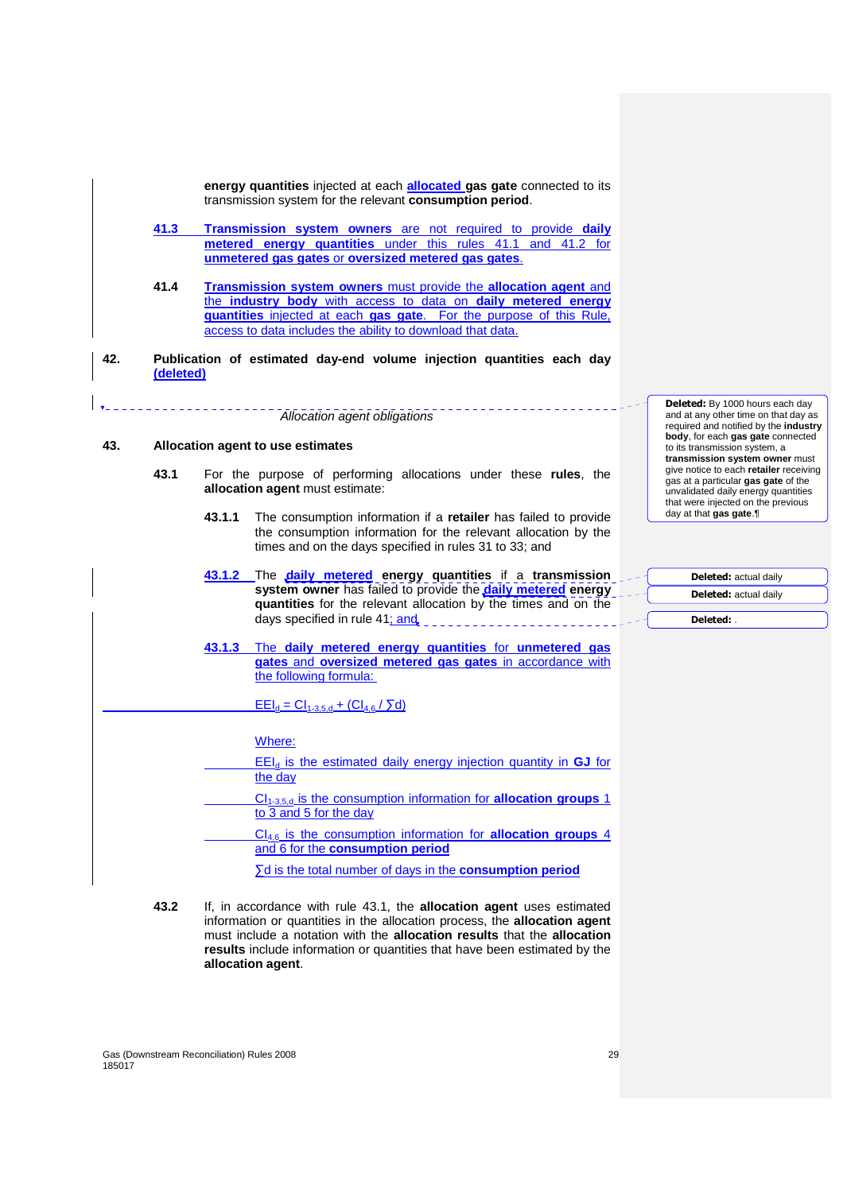**energy quantities** injected at each **allocated gas gate** connected to its transmission system for the relevant **consumption period**.

- **41.3 Transmission system owners** are not required to provide **daily metered energy quantities** under this rules 41.1 and 41.2 for **unmetered gas gates** or **oversized metered gas gates**.
- **41.4 Transmission system owners** must provide the **allocation agent** and the **industry body** with access to data on **daily metered energy quantities** injected at each **gas gate**. For the purpose of this Rule, access to data includes the ability to download that data.
- **42. Publication of estimated day-end volume injection quantities each day (deleted)**

Allocation agent obligations

# **43. Allocation agent to use estimates**

- **43.1** For the purpose of performing allocations under these **rules**, the **allocation agent** must estimate:
	- **43.1.1** The consumption information if a **retailer** has failed to provide the consumption information for the relevant allocation by the times and on the days specified in rules 31 to 33; and
	- **43.1.2** The **daily metered energy quantities** if a **transmission system owner** has failed to provide the **daily metered energy quantities** for the relevant allocation by the times and on the days specified in rule 41; and
	- **43.1.3** The **daily metered energy quantities** for **unmetered gas gates** and **oversized metered gas gates** in accordance with the following formula:

# $E E I_d = C I_{1-3,5,d} + (C I_{4,6}/ 5d)$

Where:

- EEId is the estimated daily energy injection quantity in **GJ** for the day
- CI<sub>1-3,5,d</sub> is the consumption information for **allocation groups** 1 to 3 and 5 for the day
	- CI4,6 is the consumption information for **allocation groups** 4 and 6 for the **consumption period**
		- ∑d is the total number of days in the **consumption period**
- **43.2** If, in accordance with rule 43.1, the **allocation agent** uses estimated information or quantities in the allocation process, the **allocation agent** must include a notation with the **allocation results** that the **allocation results** include information or quantities that have been estimated by the **allocation agent**.

**Deleted:** By 1000 hours each day and at any other time on that day as required and notified by the **industry body**, for each **gas gate** connected to its transmission system, a **transmission system owner** must give notice to each **retailer** receiving gas at a particular **gas gate** of the unvalidated daily energy quantities that were injected on the previous day at that **gas gate**.¶

| <b>Deleted:</b> actual daily |
|------------------------------|
| <b>Deleted:</b> actual daily |
|                              |
| Deleted:                     |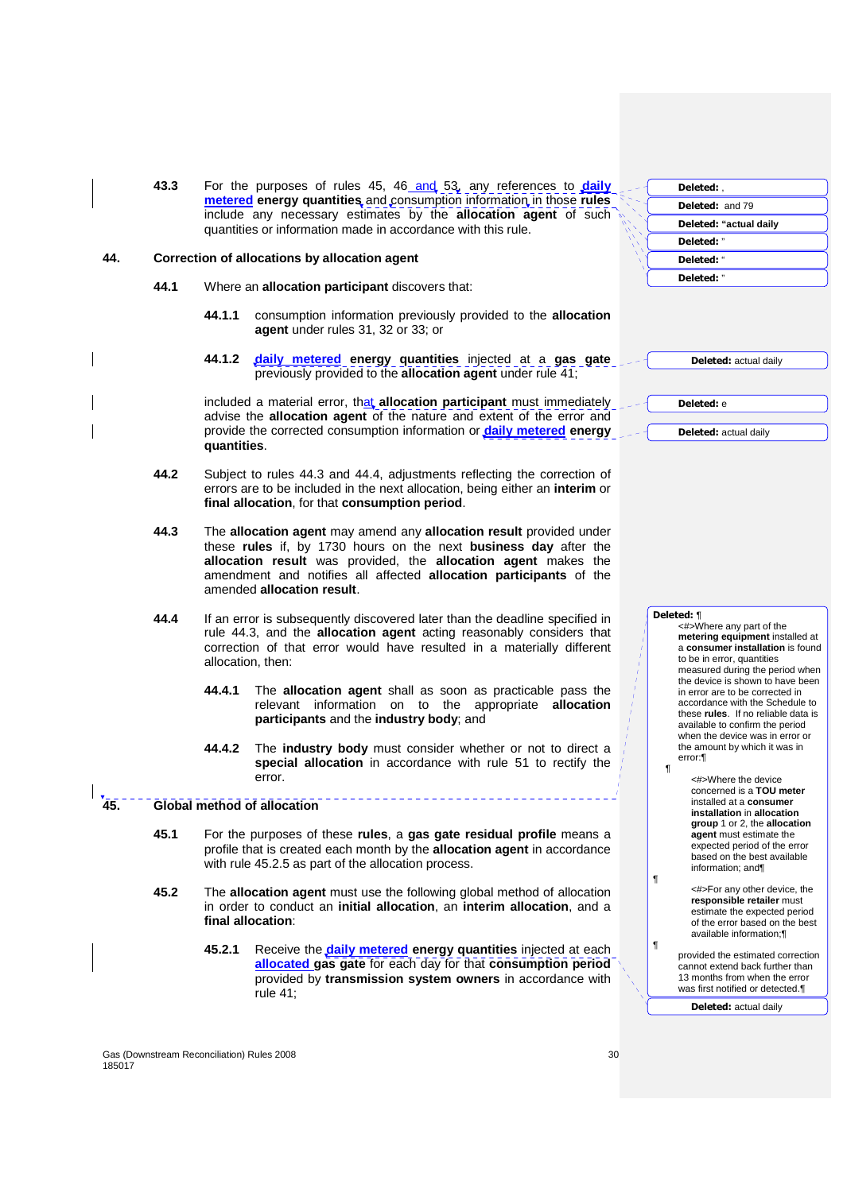| 43.3 | For the purposes of rules 45, 46 and 53, any references to <i>daily</i> |
|------|-------------------------------------------------------------------------|
|      | metered energy quantities, and consumption information in those rules   |
|      | include any necessary estimates by the <b>allocation agent</b> of such  |
|      | quantities or information made in accordance with this rule.            |

#### **44. Correction of allocations by allocation agent**

- **44.1** Where an **allocation participant** discovers that:
	- **44.1.1** consumption information previously provided to the **allocation agent** under rules 31, 32 or 33; or
	- **44.1.2 daily metered energy quantities** injected at a **gas gate** previously provided to the **allocation agent** under rule 41;

included a material error, that **allocation participant** must immediately advise the **allocation agent** of the nature and extent of the error and provide the corrected consumption information or **daily metered energy quantities**.

- **44.2** Subject to rules 44.3 and 44.4, adjustments reflecting the correction of errors are to be included in the next allocation, being either an **interim** or **final allocation**, for that **consumption period**.
- **44.3** The **allocation agent** may amend any **allocation result** provided under these **rules** if, by 1730 hours on the next **business day** after the **allocation result** was provided, the **allocation agent** makes the amendment and notifies all affected **allocation participants** of the amended **allocation result**.
- **44.4** If an error is subsequently discovered later than the deadline specified in rule 44.3, and the **allocation agent** acting reasonably considers that correction of that error would have resulted in a materially different allocation, then:
	- **44.4.1** The **allocation agent** shall as soon as practicable pass the relevant information on to the appropriate **allocation participants** and the **industry body**; and
	- **44.4.2** The **industry body** must consider whether or not to direct a **special allocation** in accordance with rule 51 to rectify the error.

# **45. Global method of allocation**

- **45.1** For the purposes of these **rules**, a **gas gate residual profile** means a profile that is created each month by the **allocation agent** in accordance with rule 45.2.5 as part of the allocation process.
- **45.2** The **allocation agent** must use the following global method of allocation in order to conduct an **initial allocation**, an **interim allocation**, and a **final allocation**:
	- **45.2.1** Receive the **daily metered energy quantities** injected at each **allocated gas gate** for each day for that **consumption period** provided by **transmission system owners** in accordance with rule 41;

| Deleted: .             |
|------------------------|
| <b>Deleted: and 79</b> |
| Deleted: "actual daily |
| Deleted: "             |
| Deleted: "             |
| Deleted: "             |
|                        |

**Deleted:** actual daily

**Deleted:** actual daily

**Deleted:** e

# **Deleted:** ¶

¶

¶

¶

<#>Where any part of the **metering equipment** installed at a **consumer installation** is found to be in error, quantities measured during the period when the device is shown to have been in error are to be corrected in accordance with the Schedule to these **rules**. If no reliable data is available to confirm the period when the device was in error or the amount by which it was in error:¶

- <#>Where the device concerned is a **TOU meter**  installed at a **consumer installation** in **allocation group** 1 or 2, the **allocation agent** must estimate the expected period of the error based on the best available information; and¶
- <#>For any other device, the **responsible retailer** must estimate the expected period of the error based on the best available information;¶
- provided the estimated correction cannot extend back further than 13 months from when the error was first notified or detected.¶

**Deleted:** actual daily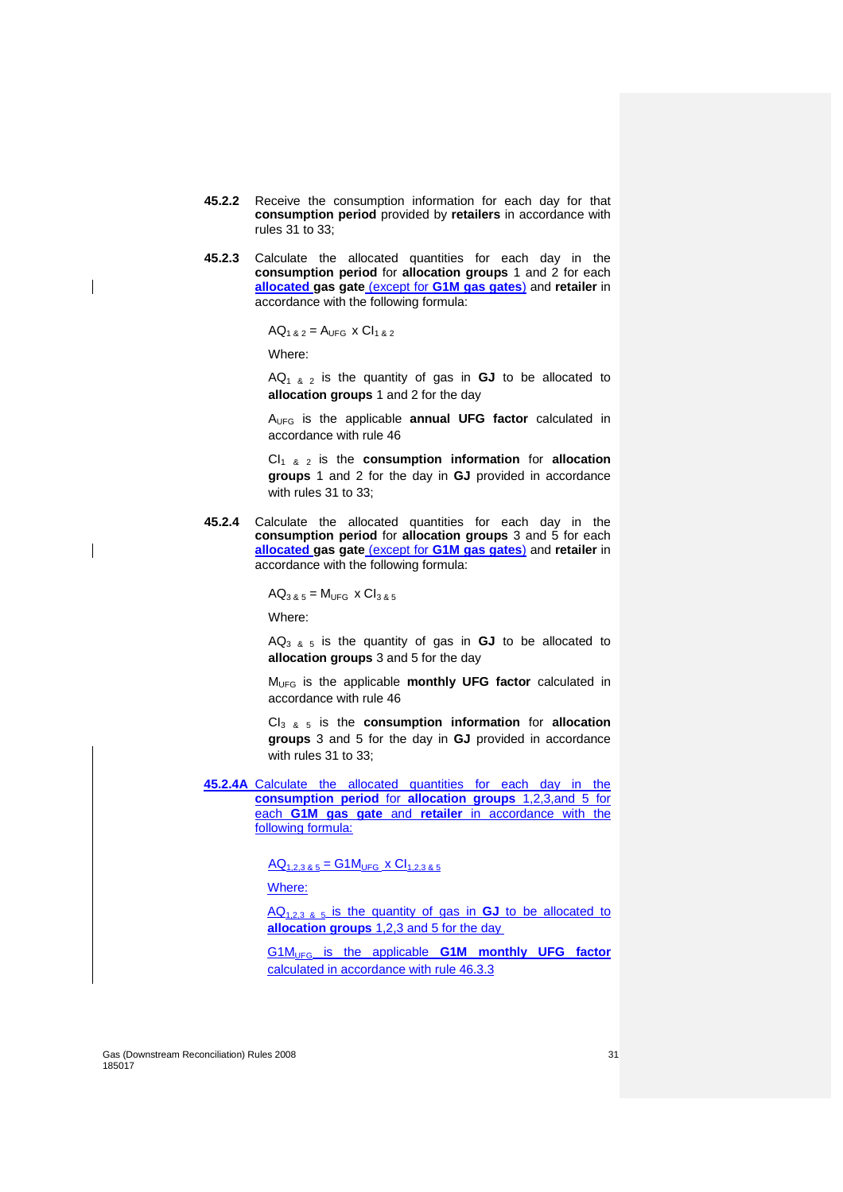- **45.2.2** Receive the consumption information for each day for that **consumption period** provided by **retailers** in accordance with rules 31 to 33;
- **45.2.3** Calculate the allocated quantities for each day in the **consumption period** for **allocation groups** 1 and 2 for each **allocated gas gate** (except for **G1M gas gates**) and **retailer** in accordance with the following formula:

 $AQ_{1,8,2} = A_{UFG} \times Cl_{1,8,2}$ 

Where:

 $AQ_{1, 8, 2}$  is the quantity of gas in **GJ** to be allocated to **allocation groups** 1 and 2 for the day

AUFG is the applicable **annual UFG factor** calculated in accordance with rule 46

CI<sub>1 & 2</sub> is the **consumption information** for **allocation groups** 1 and 2 for the day in **GJ** provided in accordance with rules 31 to 33;

**45.2.4** Calculate the allocated quantities for each day in the **consumption period** for **allocation groups** 3 and 5 for each **allocated gas gate** (except for **G1M gas gates**) and **retailer** in accordance with the following formula:

 $AQ_{385} = M_{UFG} \times Cl_{385}$ 

Where:

AQ3 & 5 is the quantity of gas in **GJ** to be allocated to **allocation groups** 3 and 5 for the day

MUFG is the applicable **monthly UFG factor** calculated in accordance with rule 46

CI3 & 5 is the **consumption information** for **allocation groups** 3 and 5 for the day in **GJ** provided in accordance with rules 31 to 33;

**45.2.4A** Calculate the allocated quantities for each day in the **consumption period** for **allocation groups** 1,2,3,and 5 for each **G1M gas gate** and **retailer** in accordance with the following formula:

 $AQ_{1,2,3,8,5} = G1M_{UFG} \times Cl_{1,2,3,8,5}$ 

Where:

AQ1,2,3 & 5 is the quantity of gas in **GJ** to be allocated to **allocation groups** 1,2,3 and 5 for the day

G1MUFG is the applicable **G1M monthly UFG factor** calculated in accordance with rule 46.3.3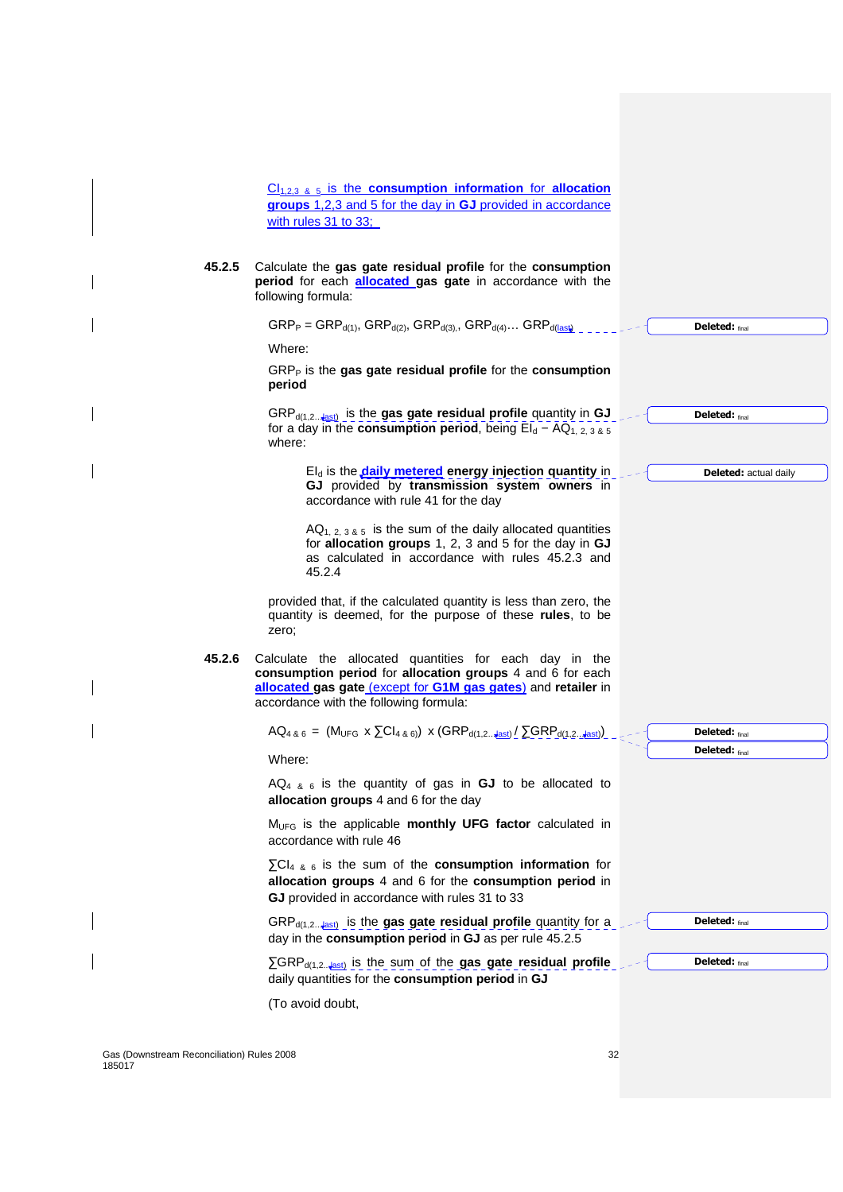$Cl_{1,2,3,8,5}$  is the **consumption information** for **allocation groups** 1,2,3 and 5 for the day in **GJ** provided in accordance with rules 31 to 33;

**45.2.5** Calculate the **gas gate residual profile** for the **consumption period** for each **allocated gas gate** in accordance with the following formula:

Gas (Downstream Reconciliation) Rules 2008 32  $\text{GRP}_P = \text{GRP}_{d(1)}$ ,  $\text{GRP}_{d(2)}$ ,  $\text{GRP}_{d(3)}$ ,  $\text{GRP}_{d(4)}$ ...  $\text{GRP}_{d(\text{last})}$ Where: GRP<sub>P</sub> is the **gas gate residual profile** for the **consumption period** GRP<sub>d(1,2… $\frac{1}{2}$ ast)</sub> is the **gas gate residual profile** quantity in **GJ** for a day in the **consumption period**, being  $EI_d - AQ_{1, 2, 3, 8, 5}$ where: EI<sub>d</sub> is the **daily metered** energy injection quantity in **GJ** provided by **transmission system owners** in accordance with rule 41 for the day  $AQ_{1, 2, 3, 8, 5}$  is the sum of the daily allocated quantities for **allocation groups** 1, 2, 3 and 5 for the day in **GJ** as calculated in accordance with rules 45.2.3 and 45.2.4 provided that, if the calculated quantity is less than zero, the quantity is deemed, for the purpose of these **rules**, to be zero; **45.2.6** Calculate the allocated quantities for each day in the **consumption period** for **allocation groups** 4 and 6 for each **allocated gas gate** (except for **G1M gas gates**) and **retailer** in accordance with the following formula:  $AQ_{4, 8, 6} = (M_{UFG} \times \sum Cl_{4, 8, 6}) \times (GRP_{d(1, 2... \frac{ |}{k!})} / \sum GRP_{d(1, 2... \frac{ |}{k!})}$ Where:  $AQ_{4, 8, 6}$  is the quantity of gas in **GJ** to be allocated to **allocation groups** 4 and 6 for the day MUFG is the applicable **monthly UFG factor** calculated in accordance with rule 46 ∑CI4 & 6 is the sum of the **consumption information** for **allocation groups** 4 and 6 for the **consumption period** in **GJ** provided in accordance with rules 31 to 33 GRP<sub>d(1,2…+ast)</sub> is the gas gate residual profile quantity for a day in the **consumption period** in **GJ** as per rule 45.2.5 ∑GRPd(1,2...last) is the sum of the **gas gate residual profile** daily quantities for the **consumption period** in **GJ** (To avoid doubt, **Deleted:** final **Deleted:** final **Deleted:** actual daily **Deleted:** final **Deleted:** final **Deleted:** final **Deleted:** final

185017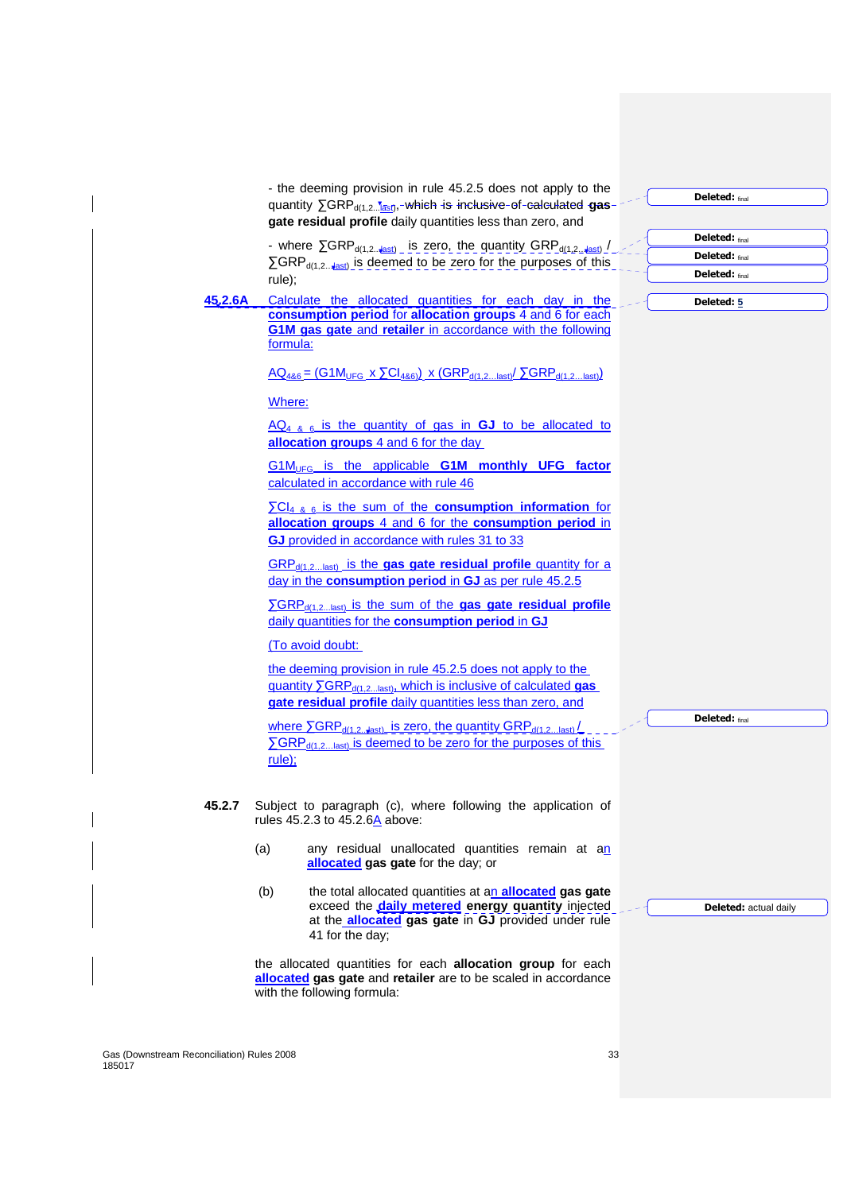- the deeming provision in rule 45.2.5 does not apply to the quantity ∑GRP<sub>d(1,2</sub>...<mark>last),⊤which is inclusive-of-calculated gas</mark> **gate residual profile** daily quantities less than zero, and

- where  $\Sigma$ GRP<sub>d(1,2…last)</sub> is zero, the quantity GRP<sub>d(1,2…last)</sub> / ∑GRP<sub>d(1,2…ast)</sub> is deemed to be zero for the purposes of this rule);

**45.2.6A** Calculate the allocated quantities for each day in the **consumption period** for **allocation groups** 4 and 6 for each **G1M gas gate** and **retailer** in accordance with the following formula:

 $AQ_{486} = (G1M_{UFG} \times \Sigma Cl_{486}) \times (GRP_{d(1,2...last)} \Sigma GRP_{d(1,2...last)})$ 

Where:

AQ4 & 6 is the quantity of gas in **GJ** to be allocated to **allocation groups** 4 and 6 for the day

G1M<sub>UFG</sub> is the applicable **G1M** monthly UFG factor calculated in accordance with rule 46

∑CI4 & 6 is the sum of the **consumption information** for **allocation groups** 4 and 6 for the **consumption period** in **GJ** provided in accordance with rules 31 to 33

GRPd(1,2…last) is the **gas gate residual profile** quantity for a day in the **consumption period** in **GJ** as per rule 45.2.5

∑GRP<sub>d(1,2...last)</sub> is the sum of the **gas gate residual profile** daily quantities for the **consumption period** in **GJ**

(To avoid doubt:

the deeming provision in rule 45.2.5 does not apply to the quantity ∑GRP<sub>d(1,2...last),</sub> which is inclusive of calculated **gas gate residual profile** daily quantities less than zero, and

where  $\overline{SGRP_{d(1,2...last)}}$  is zero, the quantity  $\overline{GRP_{d(1,2...last)}}/$  $\overline{\text{S}}$ GRP<sub>d(1,2…last)</sub> is deemed to be zero for the purposes of this rule);

- **45.2.7** Subject to paragraph (c), where following the application of rules 45.2.3 to  $45.2.6$ Å above:
	- (a) any residual unallocated quantities remain at an **allocated gas gate** for the day; or
	- (b) the total allocated quantities at an **allocated gas gate** exceed the **daily metered energy quantity** injected at the **allocated gas gate** in **GJ** provided under rule 41 for the day;

the allocated quantities for each **allocation group** for each **allocated gas gate** and **retailer** are to be scaled in accordance with the following formula:

**Deleted:** final

**Deleted:** final **Deleted:** final **Deleted:** final

**Deleted: 5**

**Deleted:** final

**Deleted:** actual daily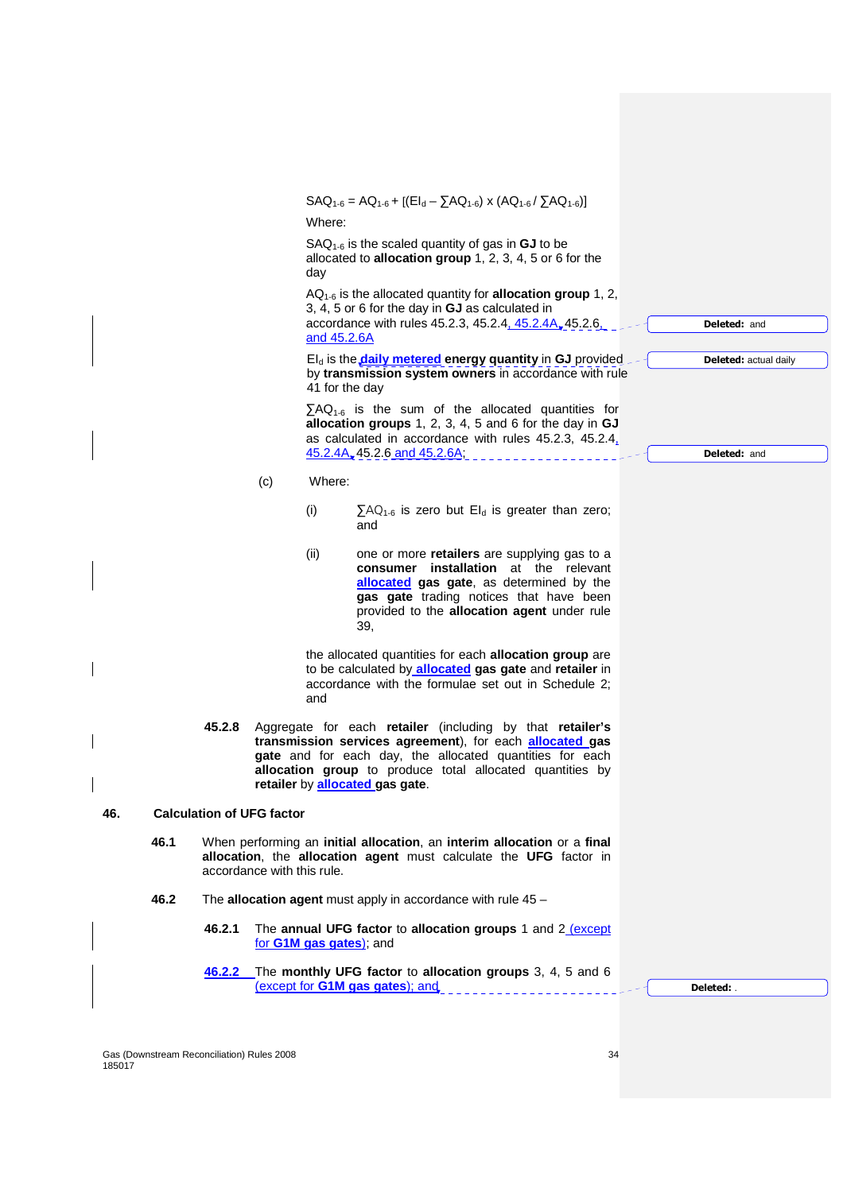|     |      |                                  |                                                                                                                                                                                                                                                                                                                                       | Where:         | $SAQ_{1-6} = AQ_{1-6} + [(El_d - \sum AQ_{1-6}) \times (AQ_{1-6}/\sum AQ_{1-6})]$                                                                                                                                                                                                               |                              |
|-----|------|----------------------------------|---------------------------------------------------------------------------------------------------------------------------------------------------------------------------------------------------------------------------------------------------------------------------------------------------------------------------------------|----------------|-------------------------------------------------------------------------------------------------------------------------------------------------------------------------------------------------------------------------------------------------------------------------------------------------|------------------------------|
|     |      |                                  |                                                                                                                                                                                                                                                                                                                                       | day            | $SAQ_{1.6}$ is the scaled quantity of gas in <b>GJ</b> to be<br>allocated to allocation group 1, 2, 3, 4, 5 or 6 for the                                                                                                                                                                        |                              |
|     |      |                                  |                                                                                                                                                                                                                                                                                                                                       | and 45.2.6A    | $AQ_{1-6}$ is the allocated quantity for <b>allocation group</b> 1, 2,<br>3, 4, 5 or 6 for the day in <b>GJ</b> as calculated in<br>accordance with rules 45.2.3, 45.2.4, 45.2.4A, 45.2.6,                                                                                                      | <b>Deleted: and</b>          |
|     |      |                                  |                                                                                                                                                                                                                                                                                                                                       | 41 for the day | $EI_d$ is the <b>daily metered</b> energy quantity in GJ provided<br>by transmission system owners in accordance with rule                                                                                                                                                                      | <b>Deleted:</b> actual daily |
|     |      |                                  |                                                                                                                                                                                                                                                                                                                                       |                | $\sum AQ_{1-6}$ is the sum of the allocated quantities for<br>allocation groups 1, 2, 3, 4, 5 and 6 for the day in GJ<br>as calculated in accordance with rules 45.2.3, 45.2.4.                                                                                                                 |                              |
|     |      |                                  |                                                                                                                                                                                                                                                                                                                                       |                | 45.2.4A, 45.2.6 and 45.2.6A,                                                                                                                                                                                                                                                                    | <b>Deleted: and</b>          |
|     |      |                                  | Where:<br>(c)<br>(i)<br>$\sum_{1}AQ_{1.6}$ is zero but El <sub>d</sub> is greater than zero;                                                                                                                                                                                                                                          |                |                                                                                                                                                                                                                                                                                                 |                              |
|     |      |                                  |                                                                                                                                                                                                                                                                                                                                       |                | and                                                                                                                                                                                                                                                                                             |                              |
|     |      |                                  |                                                                                                                                                                                                                                                                                                                                       | (ii)           | one or more retailers are supplying gas to a<br><b>consumer</b> installation at the relevant<br><b>allocated</b> gas gate, as determined by the<br>gas gate trading notices that have been<br>provided to the allocation agent under rule<br>39,                                                |                              |
|     |      |                                  |                                                                                                                                                                                                                                                                                                                                       | and            | the allocated quantities for each allocation group are<br>to be calculated by <b>allocated</b> gas gate and retailer in<br>accordance with the formulae set out in Schedule 2;                                                                                                                  |                              |
|     |      | 45.2.8                           |                                                                                                                                                                                                                                                                                                                                       |                | Aggregate for each retailer (including by that retailer's<br>transmission services agreement), for each <b>allocated</b> gas<br>gate and for each day, the allocated quantities for each<br>allocation group to produce total allocated quantities by<br>retailer by <b>allocated</b> gas gate. |                              |
| 46. |      | <b>Calculation of UFG factor</b> |                                                                                                                                                                                                                                                                                                                                       |                |                                                                                                                                                                                                                                                                                                 |                              |
|     | 46.1 |                                  | When performing an initial allocation, an interim allocation or a final<br>allocation, the allocation agent must calculate the UFG factor in<br>accordance with this rule.<br>The allocation agent must apply in accordance with rule $45 -$<br>The annual UFG factor to allocation groups 1 and 2 (except<br>for G1M gas gates); and |                |                                                                                                                                                                                                                                                                                                 |                              |
|     | 46.2 |                                  |                                                                                                                                                                                                                                                                                                                                       |                |                                                                                                                                                                                                                                                                                                 |                              |
|     |      | 46.2.1                           |                                                                                                                                                                                                                                                                                                                                       |                |                                                                                                                                                                                                                                                                                                 |                              |
|     |      | 46.2.2                           |                                                                                                                                                                                                                                                                                                                                       |                | The monthly UFG factor to allocation groups 3, 4, 5 and 6<br>(except for G1M gas gates); and                                                                                                                                                                                                    | Deleted: .                   |
|     |      |                                  |                                                                                                                                                                                                                                                                                                                                       |                |                                                                                                                                                                                                                                                                                                 |                              |

Gas (Downstream Reconciliation) Rules 2008 34 185017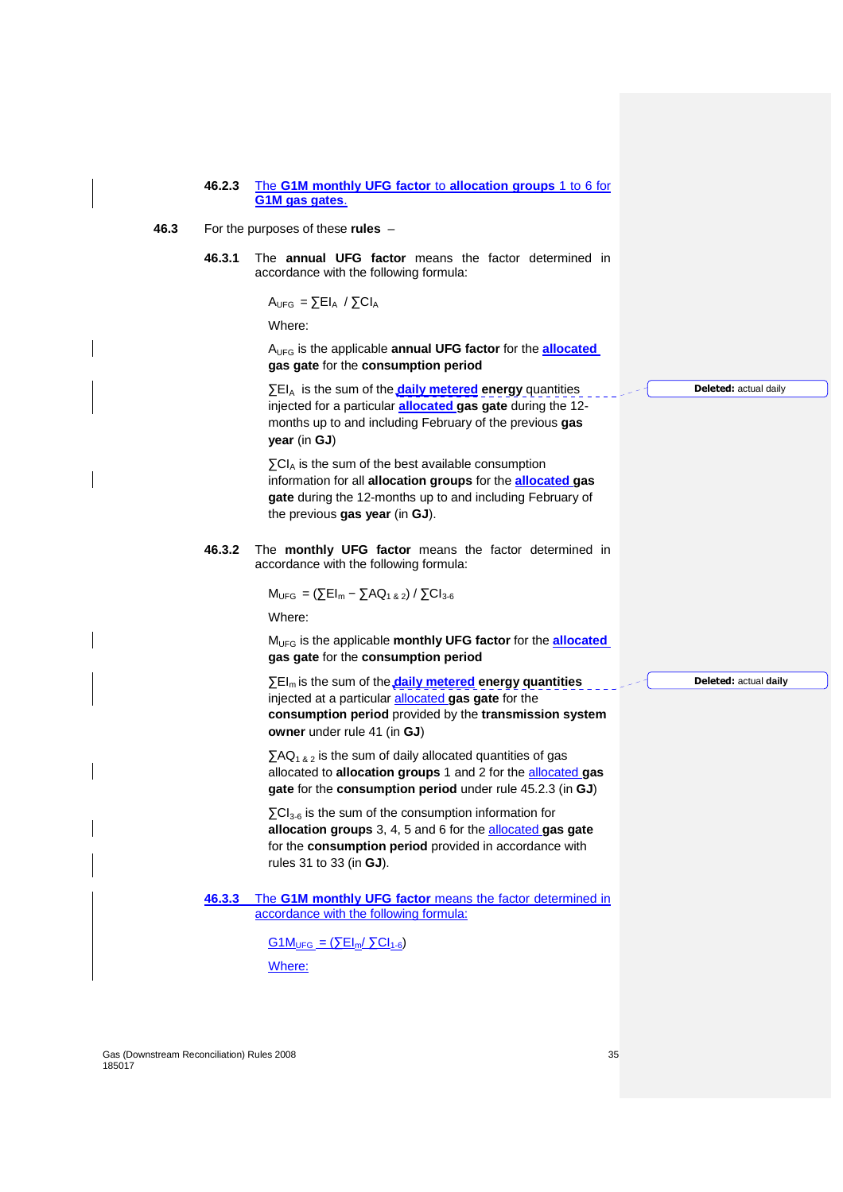#### **46.2.3** The **G1M monthly UFG factor** to **allocation groups** 1 to 6 for **G1M gas gates**.

- **46.3** For the purposes of these **rules**
	- **46.3.1** The **annual UFG factor** means the factor determined in accordance with the following formula:

 $A_{UFG} = \sum EI_A / \sum CI_A$ 

Where:

AUFG is the applicable **annual UFG factor** for the **allocated gas gate** for the **consumption period**

∑EIA is the sum of the **daily metered energy** quantities injected for a particular **allocated gas gate** during the 12 months up to and including February of the previous **gas year** (in **GJ**)

 $\Sigma$ CI<sub>A</sub> is the sum of the best available consumption information for all **allocation groups** for the **allocated gas gate** during the 12-months up to and including February of the previous **gas year** (in **GJ**).

**46.3.2** The **monthly UFG factor** means the factor determined in accordance with the following formula:

 $M_{UFG} = (\sum E I_m - \sum A Q_{1 & 2}) / \sum C I_{3-6}$ 

Where:

MUFG is the applicable **monthly UFG factor** for the **allocated gas gate** for the **consumption period**

∑EI<sub>m</sub> is the sum of the **daily metered energy quantities** injected at a particular allocated **gas gate** for the **consumption period** provided by the **transmission system owner** under rule 41 (in **GJ**)

 $\sum AQ_{1,8,2}$  is the sum of daily allocated quantities of gas allocated to **allocation groups** 1 and 2 for the allocated **gas gate** for the **consumption period** under rule 45.2.3 (in **GJ**)

 $\Sigma$ CI<sub>3-6</sub> is the sum of the consumption information for **allocation groups** 3, 4, 5 and 6 for the allocated **gas gate**  for the **consumption period** provided in accordance with rules 31 to 33 (in **GJ**).

**46.3.3** The **G1M monthly UFG factor** means the factor determined in accordance with the following formula:

> $G1M_{UFG} = (\Sigma E I_m / \Sigma C I_{1-6})$ Where:

**Deleted:** actual daily

**Deleted:** actual **daily**

Gas (Downstream Reconciliation) Rules 2008 35 185017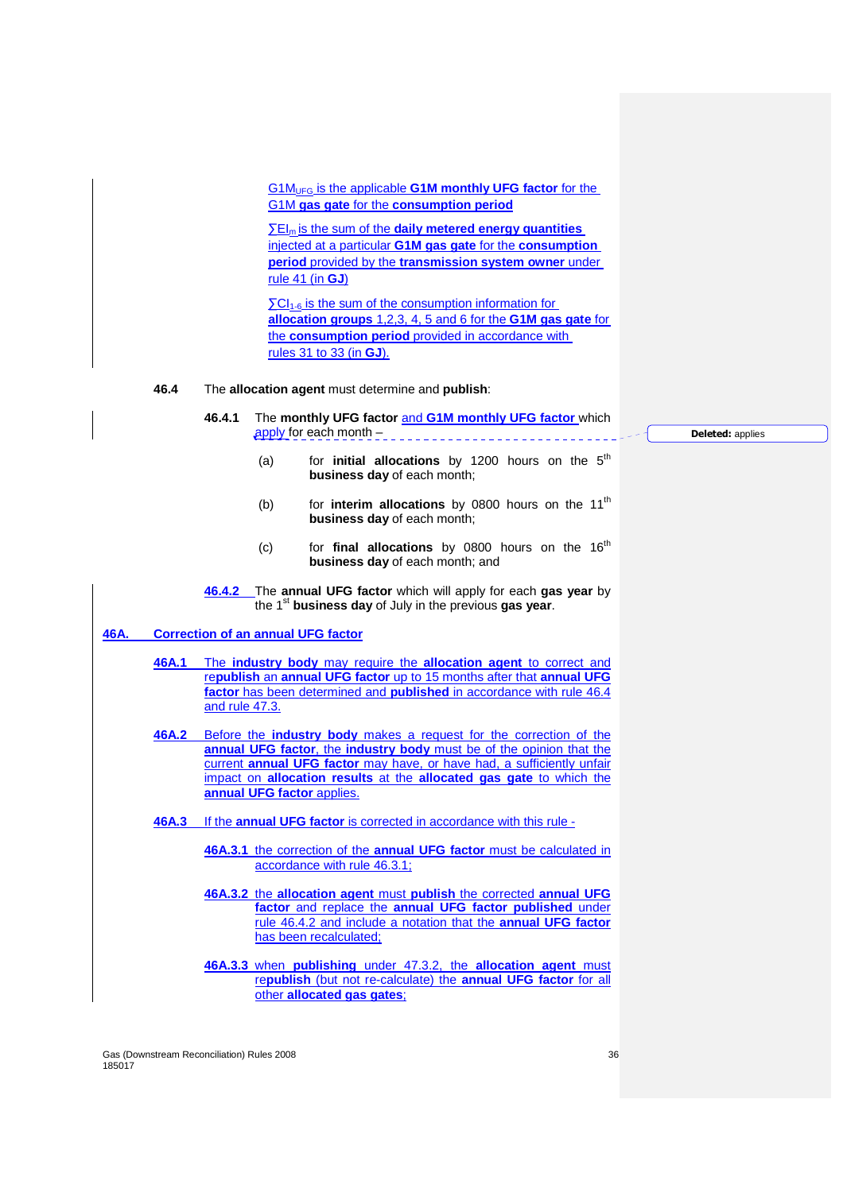G1MUFG is the applicable **G1M monthly UFG factor** for the G1M **gas gate** for the **consumption period**

∑EI<sub>m</sub> is the sum of the **daily metered energy quantities** injected at a particular **G1M gas gate** for the **consumption period** provided by the **transmission system owner** under rule 41 (in **GJ**)

 $\Sigma$ CI<sub>1-6</sub> is the sum of the consumption information for **allocation groups** 1,2,3, 4, 5 and 6 for the **G1M gas gate** for the **consumption period** provided in accordance with rules 31 to 33 (in **GJ**).

#### **46.4** The **allocation agent** must determine and **publish**:

**46.4.1** The **monthly UFG factor** and **G1M monthly UFG factor** which apply for each month -

> (a) for **initial allocations** by 1200 hours on the 5<sup>th</sup> **business day** of each month;

- (b) for **interim allocations** by 0800 hours on the 11<sup>th</sup> **business day** of each month;
- (c) for **final allocations** by 0800 hours on the 16<sup>th</sup> **business day** of each month; and

**46.4.2** The **annual UFG factor** which will apply for each **gas year** by the 1st **business day** of July in the previous **gas year**.

# **46A. Correction of an annual UFG factor**

**46A.1** The **industry body** may require the **allocation agent** to correct and re**publish** an **annual UFG factor** up to 15 months after that **annual UFG factor** has been determined and **published** in accordance with rule 46.4 and rule 47.3.

**46A.2** Before the **industry body** makes a request for the correction of the **annual UFG factor**, the **industry body** must be of the opinion that the current **annual UFG factor** may have, or have had, a sufficiently unfair impact on **allocation results** at the **allocated gas gate** to which the **annual UFG factor** applies.

- **46A.3** If the **annual UFG factor** is corrected in accordance with this rule
	- **46A.3.1** the correction of the **annual UFG factor** must be calculated in accordance with rule 46.3.1;
	- **46A.3.2** the **allocation agent** must **publish** the corrected **annual UFG factor** and replace the **annual UFG factor published** under rule 46.4.2 and include a notation that the **annual UFG factor** has been recalculated;
	- **46A.3.3** when **publishing** under 47.3.2, the **allocation agent** must re**publish** (but not re-calculate) the **annual UFG factor** for all other **allocated gas gates**;

**Deleted:** applies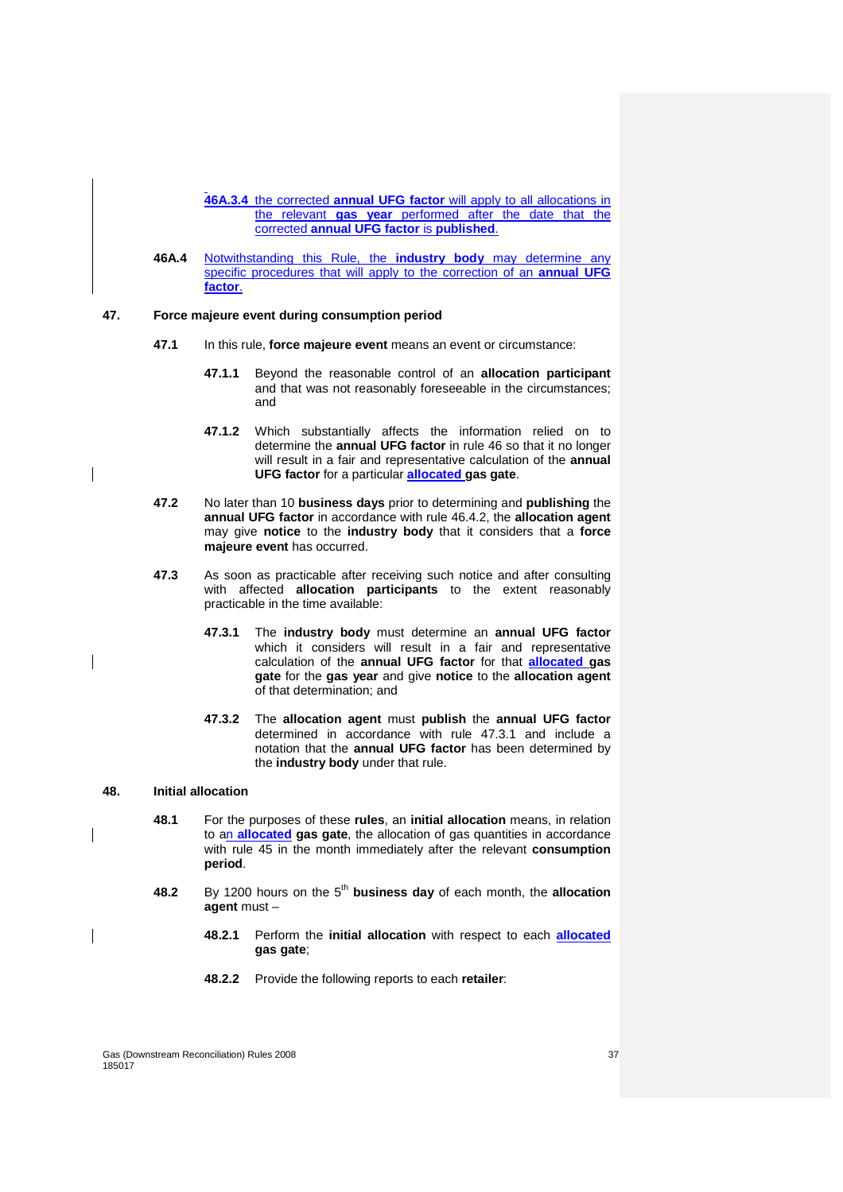**46A.3.4** the corrected **annual UFG factor** will apply to all allocations in the relevant **gas year** performed after the date that the corrected **annual UFG factor** is **published**.

**46A.4** Notwithstanding this Rule, the **industry body** may determine any specific procedures that will apply to the correction of an **annual UFG factor**.

# **47. Force majeure event during consumption period**

 $\overline{\phantom{a}}$ 

- **47.1** In this rule, **force majeure event** means an event or circumstance:
	- **47.1.1** Beyond the reasonable control of an **allocation participant** and that was not reasonably foreseeable in the circumstances; and
	- **47.1.2** Which substantially affects the information relied on to determine the **annual UFG factor** in rule 46 so that it no longer will result in a fair and representative calculation of the **annual UFG factor** for a particular **allocated gas gate**.
- **47.2** No later than 10 **business days** prior to determining and **publishing** the **annual UFG factor** in accordance with rule 46.4.2, the **allocation agent** may give **notice** to the **industry body** that it considers that a **force majeure event** has occurred.
- **47.3** As soon as practicable after receiving such notice and after consulting with affected **allocation participants** to the extent reasonably practicable in the time available:
	- **47.3.1** The **industry body** must determine an **annual UFG factor** which it considers will result in a fair and representative calculation of the **annual UFG factor** for that **allocated gas gate** for the **gas year** and give **notice** to the **allocation agent** of that determination; and
	- **47.3.2** The **allocation agent** must **publish** the **annual UFG factor** determined in accordance with rule 47.3.1 and include a notation that the **annual UFG factor** has been determined by the **industry body** under that rule.

#### **48. Initial allocation**

- **48.1** For the purposes of these **rules**, an **initial allocation** means, in relation to an **allocated gas gate**, the allocation of gas quantities in accordance with rule 45 in the month immediately after the relevant **consumption period**.
- **48.2** By 1200 hours on the 5<sup>th</sup> business day of each month, the allocation **agent** must –
	- **48.2.1** Perform the **initial allocation** with respect to each **allocated gas gate**;
	- **48.2.2** Provide the following reports to each **retailer**: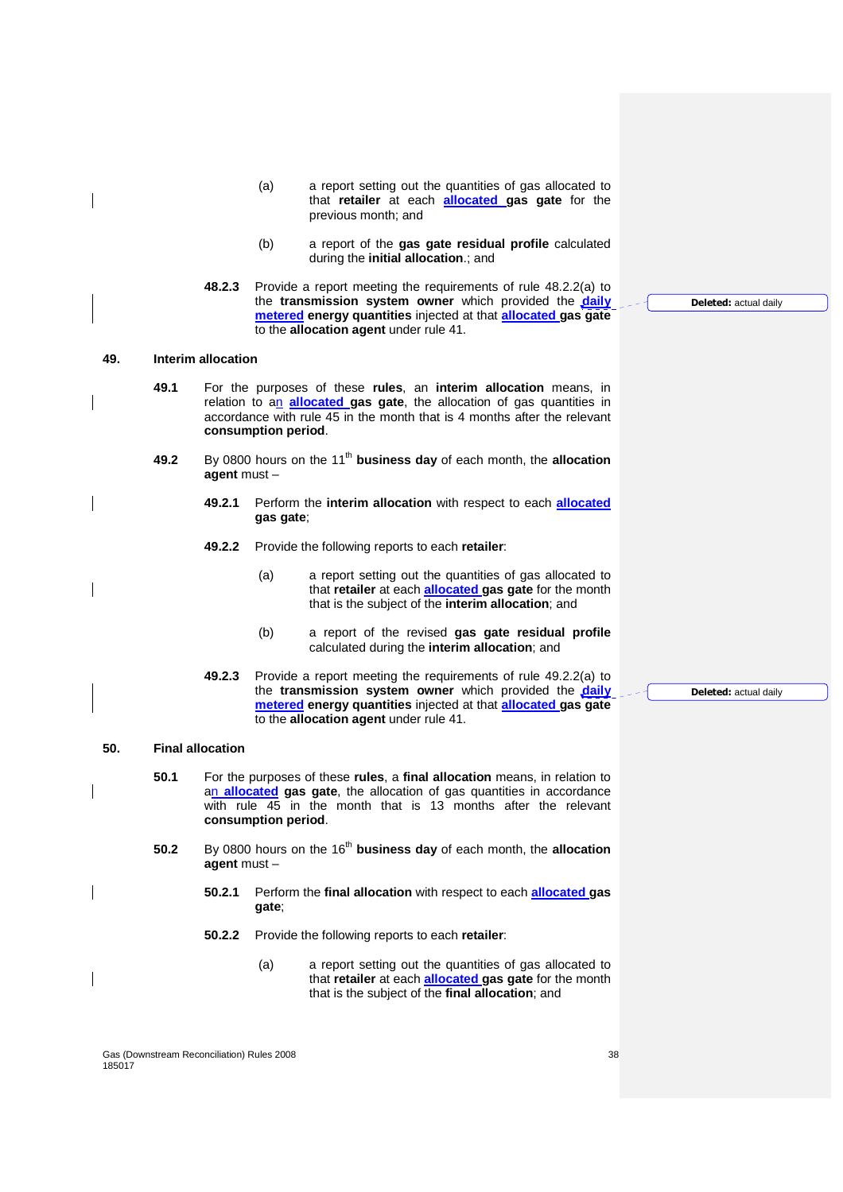- (a) a report setting out the quantities of gas allocated to that **retailer** at each **allocated gas gate** for the previous month; and
- (b) a report of the **gas gate residual profile** calculated during the **initial allocation**.; and
- **48.2.3** Provide a report meeting the requirements of rule 48.2.2(a) to the **transmission system owner** which provided the **daily metered energy quantities** injected at that **allocated gas gate** to the **allocation agent** under rule 41.

## **49. Interim allocation**

- **49.1** For the purposes of these **rules**, an **interim allocation** means, in relation to an **allocated gas gate**, the allocation of gas quantities in accordance with rule 45 in the month that is 4 months after the relevant **consumption period**.
- **49.2** By 0800 hours on the 11<sup>th</sup> business day of each month, the allocation **agent** must –
	- **49.2.1** Perform the **interim allocation** with respect to each **allocated gas gate**;
	- **49.2.2** Provide the following reports to each **retailer**:
		- (a) a report setting out the quantities of gas allocated to that **retailer** at each **allocated gas gate** for the month that is the subject of the **interim allocation**; and
		- (b) a report of the revised **gas gate residual profile** calculated during the **interim allocation**; and
	- **49.2.3** Provide a report meeting the requirements of rule 49.2.2(a) to the **transmission system owner** which provided the **daily metered energy quantities** injected at that **allocated gas gate** to the **allocation agent** under rule 41.

#### **50. Final allocation**

- **50.1** For the purposes of these **rules**, a **final allocation** means, in relation to an **allocated gas gate**, the allocation of gas quantities in accordance with rule 45 in the month that is 13 months after the relevant **consumption period**.
- **50.2** By 0800 hours on the 16<sup>th</sup> business day of each month, the allocation **agent** must –
	- **50.2.1** Perform the **final allocation** with respect to each **allocated gas gate**;
	- **50.2.2** Provide the following reports to each **retailer**:
		- (a) a report setting out the quantities of gas allocated to that **retailer** at each **allocated gas gate** for the month that is the subject of the **final allocation**; and

Gas (Downstream Reconciliation) Rules 2008 38 185017

**Deleted:** actual daily

**Deleted:** actual daily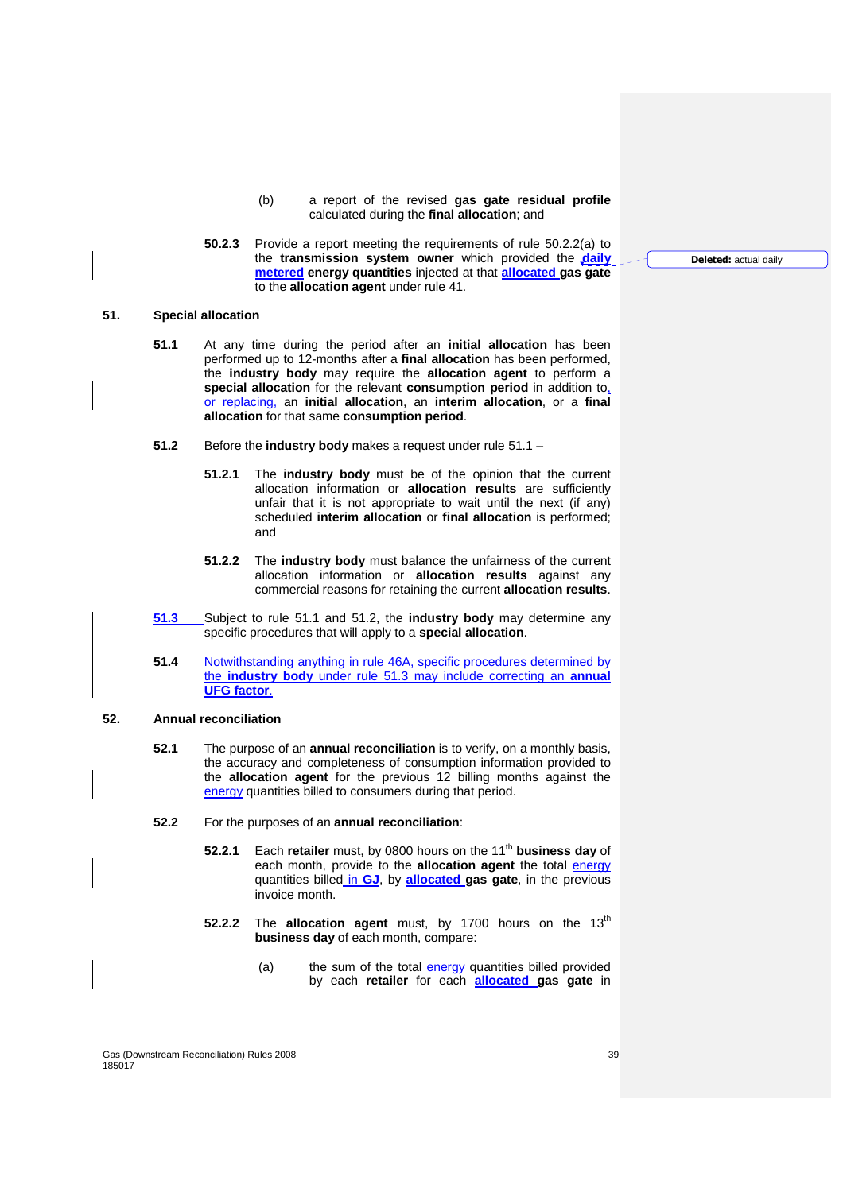- (b) a report of the revised **gas gate residual profile** calculated during the **final allocation**; and
- **50.2.3** Provide a report meeting the requirements of rule 50.2.2(a) to the **transmission system owner** which provided the **daily metered energy quantities** injected at that **allocated gas gate** to the **allocation agent** under rule 41.

# **51. Special allocation**

- **51.1** At any time during the period after an **initial allocation** has been performed up to 12-months after a **final allocation** has been performed, the **industry body** may require the **allocation agent** to perform a **special allocation** for the relevant **consumption period** in addition to, or replacing, an **initial allocation**, an **interim allocation**, or a **final allocation** for that same **consumption period**.
- **51.2** Before the **industry body** makes a request under rule 51.1
	- **51.2.1** The **industry body** must be of the opinion that the current allocation information or **allocation results** are sufficiently unfair that it is not appropriate to wait until the next (if any) scheduled **interim allocation** or **final allocation** is performed; and
	- **51.2.2** The **industry body** must balance the unfairness of the current allocation information or **allocation results** against any commercial reasons for retaining the current **allocation results**.
- **51.3** Subject to rule 51.1 and 51.2, the **industry body** may determine any specific procedures that will apply to a **special allocation**.
- **51.4** Notwithstanding anything in rule 46A, specific procedures determined by the **industry body** under rule 51.3 may include correcting an **annual UFG factor**.

# **52. Annual reconciliation**

- **52.1** The purpose of an **annual reconciliation** is to verify, on a monthly basis, the accuracy and completeness of consumption information provided to the **allocation agent** for the previous 12 billing months against the energy quantities billed to consumers during that period.
- **52.2** For the purposes of an **annual reconciliation**:
	- **52.2.1** Each **retailer** must, by 0800 hours on the 11<sup>th</sup> business day of each month, provide to the **allocation agent** the total energy quantities billed in **GJ**, by **allocated gas gate**, in the previous invoice month.
	- **52.2.2** The allocation agent must, by 1700 hours on the 13<sup>th</sup> **business day** of each month, compare:
		- (a) the sum of the total energy quantities billed provided by each **retailer** for each **allocated gas gate** in

Gas (Downstream Reconciliation) Rules 2008 39 185017

**Deleted:** actual daily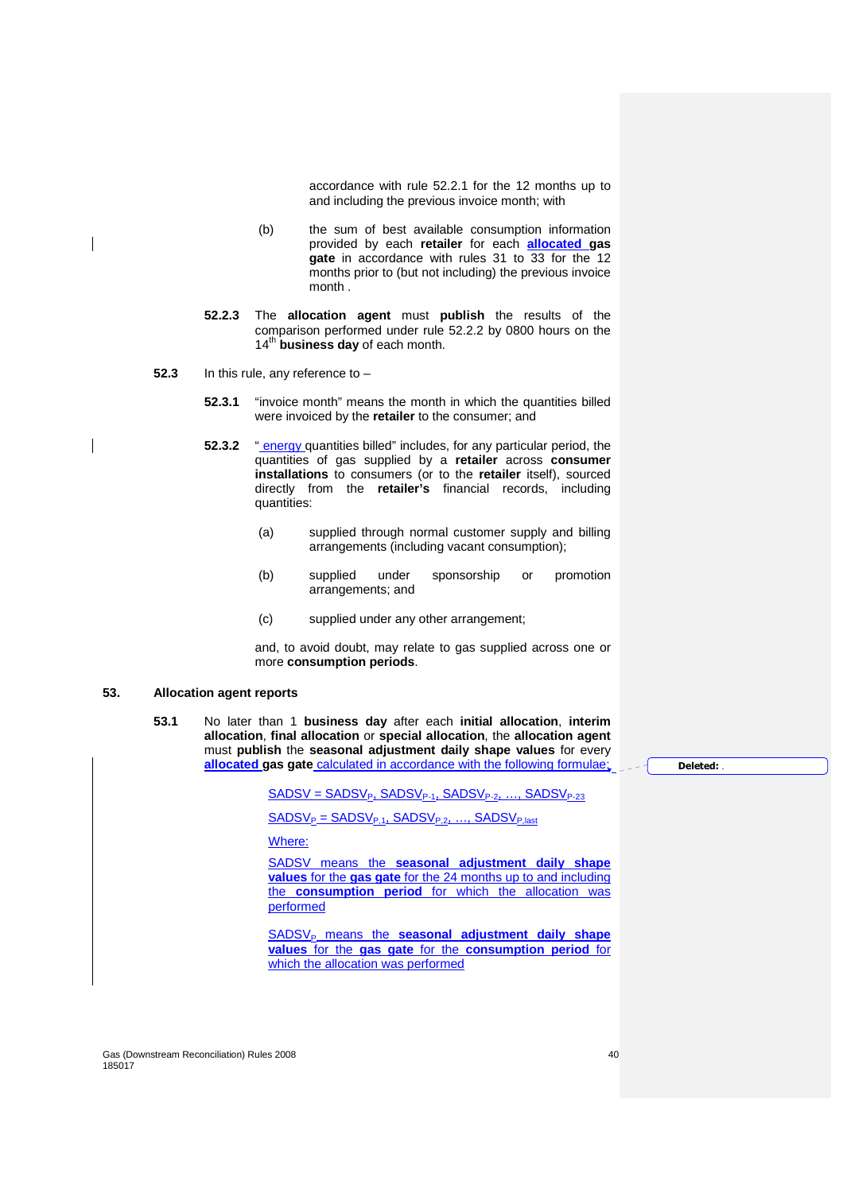accordance with rule 52.2.1 for the 12 months up to and including the previous invoice month; with

- (b) the sum of best available consumption information provided by each **retailer** for each **allocated gas gate** in accordance with rules 31 to 33 for the 12 months prior to (but not including) the previous invoice month .
- **52.2.3** The **allocation agent** must **publish** the results of the comparison performed under rule 52.2.2 by 0800 hours on the 14<sup>th</sup> business day of each month.
- **52.3** In this rule, any reference to
	- **52.3.1** "invoice month" means the month in which the quantities billed were invoiced by the **retailer** to the consumer; and
	- **52.3.2** " energy quantities billed" includes, for any particular period, the quantities of gas supplied by a **retailer** across **consumer installations** to consumers (or to the **retailer** itself), sourced directly from the **retailer's** financial records, including quantities:
		- (a) supplied through normal customer supply and billing arrangements (including vacant consumption);
		- (b) supplied under sponsorship or promotion arrangements; and
		- (c) supplied under any other arrangement;

and, to avoid doubt, may relate to gas supplied across one or more **consumption periods**.

# **53. Allocation agent reports**

**53.1** No later than 1 **business day** after each **initial allocation**, **interim allocation**, **final allocation** or **special allocation**, the **allocation agent** must **publish** the **seasonal adjustment daily shape values** for every **allocated gas gate** calculated in accordance with the following formulae:

 $SADSV = SADSV_{P_1} SADSV_{P-1} SADSV_{P-2}$ , ...,  $SADSV_{P-23}$ 

 $SADSV_P = SADSV_{P,1}$ ,  $SADSV_{P,2}$ , ...,  $SADSV_{P,last}$ 

Where:

SADSV means the **seasonal adjustment daily shape values** for the **gas gate** for the 24 months up to and including the **consumption period** for which the allocation was performed

SADSV<sub>P</sub> means the **seasonal adjustment daily shape values** for the **gas gate** for the **consumption period** for which the allocation was performed

**Deleted:** .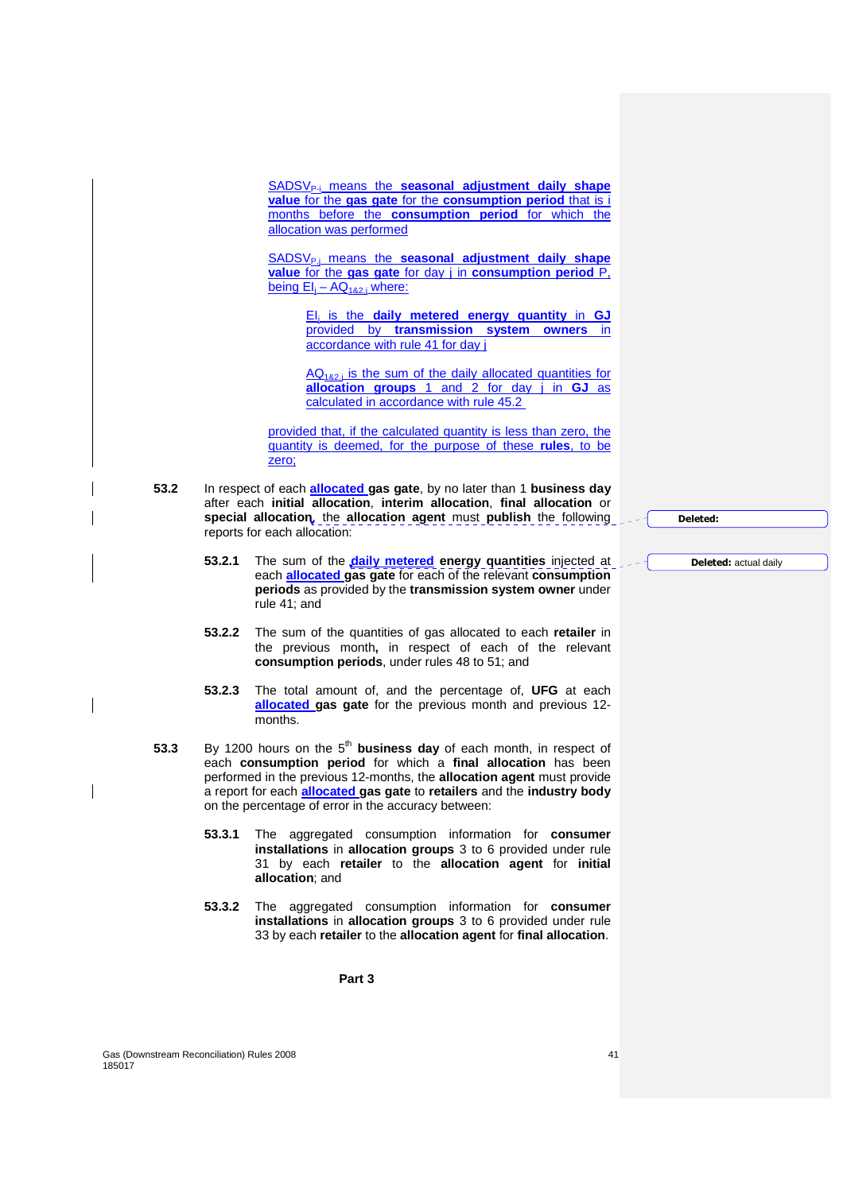SADSV<sub>P-i</sub> means the **seasonal adjustment daily shape value** for the **gas gate** for the **consumption period** that is i months before the **consumption period** for which the allocation was performed

SADSV<sub>P</sub>; means the **seasonal adjustment daily shape value** for the **gas gate** for day j in **consumption period** P, being EI<sub>i</sub> – AQ<sub>1&2,i</sub> where:

> EI<sup>j</sup> is the **daily metered energy quantity** in **GJ** provided by **transmission system owners** in accordance with rule 41 for day j

> $AQ<sub>182i</sub>$  is the sum of the daily allocated quantities for **allocation groups** 1 and 2 for day j in **GJ** as calculated in accordance with rule 45.2

provided that, if the calculated quantity is less than zero, the quantity is deemed, for the purpose of these **rules**, to be zero;

- **53.2** In respect of each **allocated gas gate**, by no later than 1 **business day**  after each **initial allocation**, **interim allocation**, **final allocation** or **special allocation**, the **allocation agent** must **publish** the following reports for each allocation:
	- **53.2.1** The sum of the **daily metered energy quantities** injected at each **allocated gas gate** for each of the relevant **consumption periods** as provided by the **transmission system owner** under rule 41; and
	- **53.2.2** The sum of the quantities of gas allocated to each **retailer** in the previous month**,** in respect of each of the relevant **consumption periods**, under rules 48 to 51; and
	- **53.2.3** The total amount of, and the percentage of, **UFG** at each **allocated gas gate** for the previous month and previous 12 months.
- **53.3** By 1200 hours on the 5<sup>th</sup> business day of each month, in respect of each **consumption period** for which a **final allocation** has been performed in the previous 12-months, the **allocation agent** must provide a report for each **allocated gas gate** to **retailers** and the **industry body** on the percentage of error in the accuracy between:
	- **53.3.1** The aggregated consumption information for **consumer installations** in **allocation groups** 3 to 6 provided under rule 31 by each **retailer** to the **allocation agent** for **initial allocation**; and
	- **53.3.2** The aggregated consumption information for **consumer installations** in **allocation groups** 3 to 6 provided under rule 33 by each **retailer** to the **allocation agent** for **final allocation**.

**Part 3** 

**Deleted:** 

**Deleted:** actual daily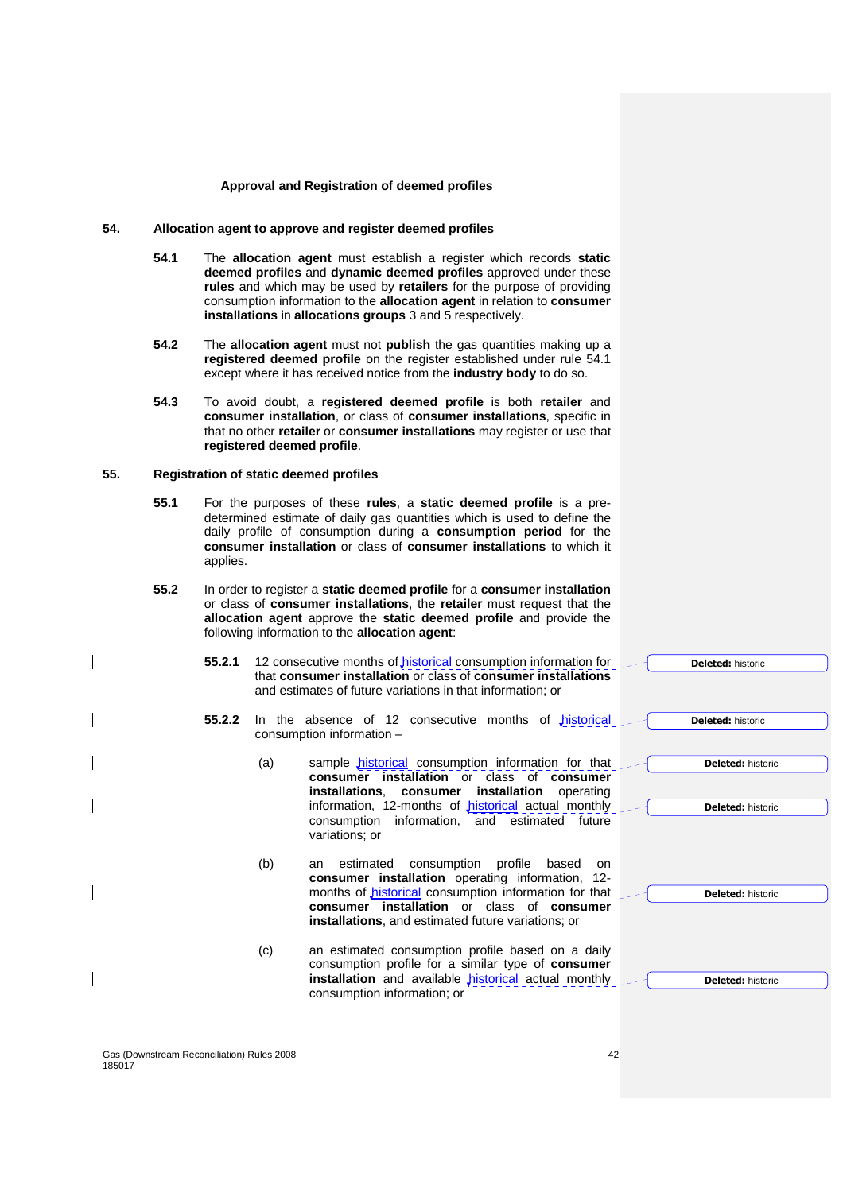#### **Approval and Registration of deemed profiles**

# **54. Allocation agent to approve and register deemed profiles**

- **54.1** The **allocation agent** must establish a register which records **static deemed profiles** and **dynamic deemed profiles** approved under these **rules** and which may be used by **retailers** for the purpose of providing consumption information to the **allocation agent** in relation to **consumer installations** in **allocations groups** 3 and 5 respectively.
- **54.2** The **allocation agent** must not **publish** the gas quantities making up a **registered deemed profile** on the register established under rule 54.1 except where it has received notice from the **industry body** to do so.
- **54.3** To avoid doubt, a **registered deemed profile** is both **retailer** and **consumer installation**, or class of **consumer installations**, specific in that no other **retailer** or **consumer installations** may register or use that **registered deemed profile**.

# **55. Registration of static deemed profiles**

- **55.1** For the purposes of these **rules**, a **static deemed profile** is a predetermined estimate of daily gas quantities which is used to define the daily profile of consumption during a **consumption period** for the **consumer installation** or class of **consumer installations** to which it applies.
- **55.2** In order to register a **static deemed profile** for a **consumer installation** or class of **consumer installations**, the **retailer** must request that the **allocation agent** approve the **static deemed profile** and provide the following information to the **allocation agent**:
	- **55.2.1** 12 consecutive months of **historical** consumption information for that **consumer installation** or class of **consumer installations** and estimates of future variations in that information; or
	- 55.2.2 In the absence of 12 consecutive months of historical consumption information –
		- (a) sample historical consumption information for that **consumer installation** or class of **consumer installations**, **consumer installation** operating information, 12-months of *historical* actual monthly consumption information, and estimated future variations; or
		- (b) an estimated consumption profile based on **consumer installation** operating information, 12 months of *historical* consumption information for that **consumer installation** or class of **consumer installations**, and estimated future variations; or
		- (c) an estimated consumption profile based on a daily consumption profile for a similar type of **consumer**  installation and available **historical** actual monthly consumption information; or

**Deleted:** historic

**Deleted:** historic

**Deleted:** historic

**Deleted:** historic

**Deleted:** historic

**Deleted:** historic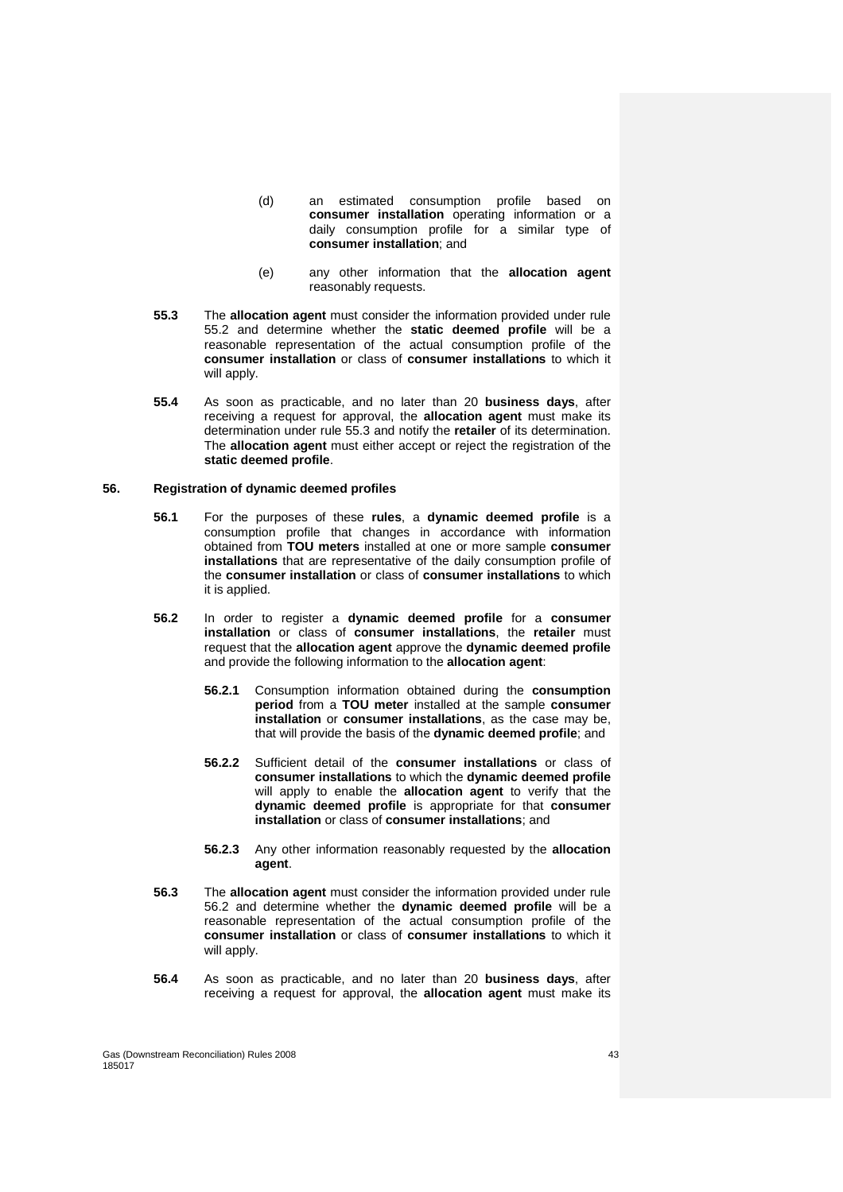- (d) an estimated consumption profile based on **consumer installation** operating information or a daily consumption profile for a similar type of **consumer installation**; and
- (e) any other information that the **allocation agent** reasonably requests.
- **55.3** The **allocation agent** must consider the information provided under rule 55.2 and determine whether the **static deemed profile** will be a reasonable representation of the actual consumption profile of the **consumer installation** or class of **consumer installations** to which it will apply.
- **55.4** As soon as practicable, and no later than 20 **business days**, after receiving a request for approval, the **allocation agent** must make its determination under rule 55.3 and notify the **retailer** of its determination. The **allocation agent** must either accept or reject the registration of the **static deemed profile**.

## **56. Registration of dynamic deemed profiles**

- **56.1** For the purposes of these **rules**, a **dynamic deemed profile** is a consumption profile that changes in accordance with information obtained from **TOU meters** installed at one or more sample **consumer installations** that are representative of the daily consumption profile of the **consumer installation** or class of **consumer installations** to which it is applied.
- **56.2** In order to register a **dynamic deemed profile** for a **consumer installation** or class of **consumer installations**, the **retailer** must request that the **allocation agent** approve the **dynamic deemed profile** and provide the following information to the **allocation agent**:
	- **56.2.1** Consumption information obtained during the **consumption period** from a **TOU meter** installed at the sample **consumer installation** or **consumer installations**, as the case may be, that will provide the basis of the **dynamic deemed profile**; and
	- **56.2.2** Sufficient detail of the **consumer installations** or class of **consumer installations** to which the **dynamic deemed profile** will apply to enable the **allocation agent** to verify that the **dynamic deemed profile** is appropriate for that **consumer installation** or class of **consumer installations**; and
	- **56.2.3** Any other information reasonably requested by the **allocation agent**.
- **56.3** The **allocation agent** must consider the information provided under rule 56.2 and determine whether the **dynamic deemed profile** will be a reasonable representation of the actual consumption profile of the **consumer installation** or class of **consumer installations** to which it will apply.
- **56.4** As soon as practicable, and no later than 20 **business days**, after receiving a request for approval, the **allocation agent** must make its

Gas (Downstream Reconciliation) Rules 2008 43 185017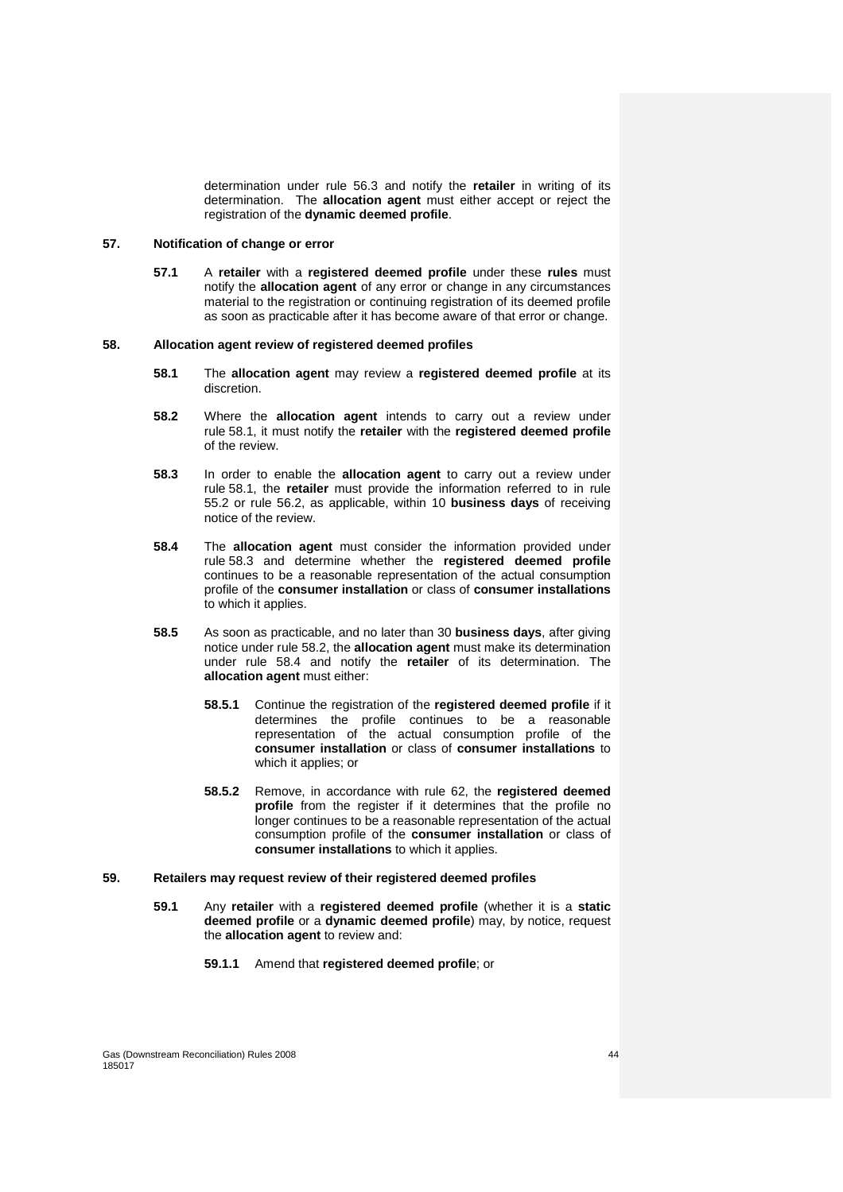determination under rule 56.3 and notify the **retailer** in writing of its determination. The **allocation agent** must either accept or reject the registration of the **dynamic deemed profile**.

# **57. Notification of change or error**

**57.1** A **retailer** with a **registered deemed profile** under these **rules** must notify the **allocation agent** of any error or change in any circumstances material to the registration or continuing registration of its deemed profile as soon as practicable after it has become aware of that error or change.

#### **58. Allocation agent review of registered deemed profiles**

- **58.1** The **allocation agent** may review a **registered deemed profile** at its discretion.
- **58.2** Where the **allocation agent** intends to carry out a review under rule 58.1, it must notify the **retailer** with the **registered deemed profile** of the review.
- **58.3** In order to enable the **allocation agent** to carry out a review under rule 58.1, the **retailer** must provide the information referred to in rule 55.2 or rule 56.2, as applicable, within 10 **business days** of receiving notice of the review.
- **58.4** The **allocation agent** must consider the information provided under rule 58.3 and determine whether the **registered deemed profile** continues to be a reasonable representation of the actual consumption profile of the **consumer installation** or class of **consumer installations** to which it applies.
- **58.5** As soon as practicable, and no later than 30 **business days**, after giving notice under rule 58.2, the **allocation agent** must make its determination under rule 58.4 and notify the **retailer** of its determination. The **allocation agent** must either:
	- **58.5.1** Continue the registration of the **registered deemed profile** if it determines the profile continues to be a reasonable representation of the actual consumption profile of the **consumer installation** or class of **consumer installations** to which it applies; or
	- **58.5.2** Remove, in accordance with rule 62, the **registered deemed profile** from the register if it determines that the profile no longer continues to be a reasonable representation of the actual consumption profile of the **consumer installation** or class of **consumer installations** to which it applies.
- **59. Retailers may request review of their registered deemed profiles** 
	- **59.1** Any **retailer** with a **registered deemed profile** (whether it is a **static deemed profile** or a **dynamic deemed profile**) may, by notice, request the **allocation agent** to review and:
		- **59.1.1** Amend that **registered deemed profile**; or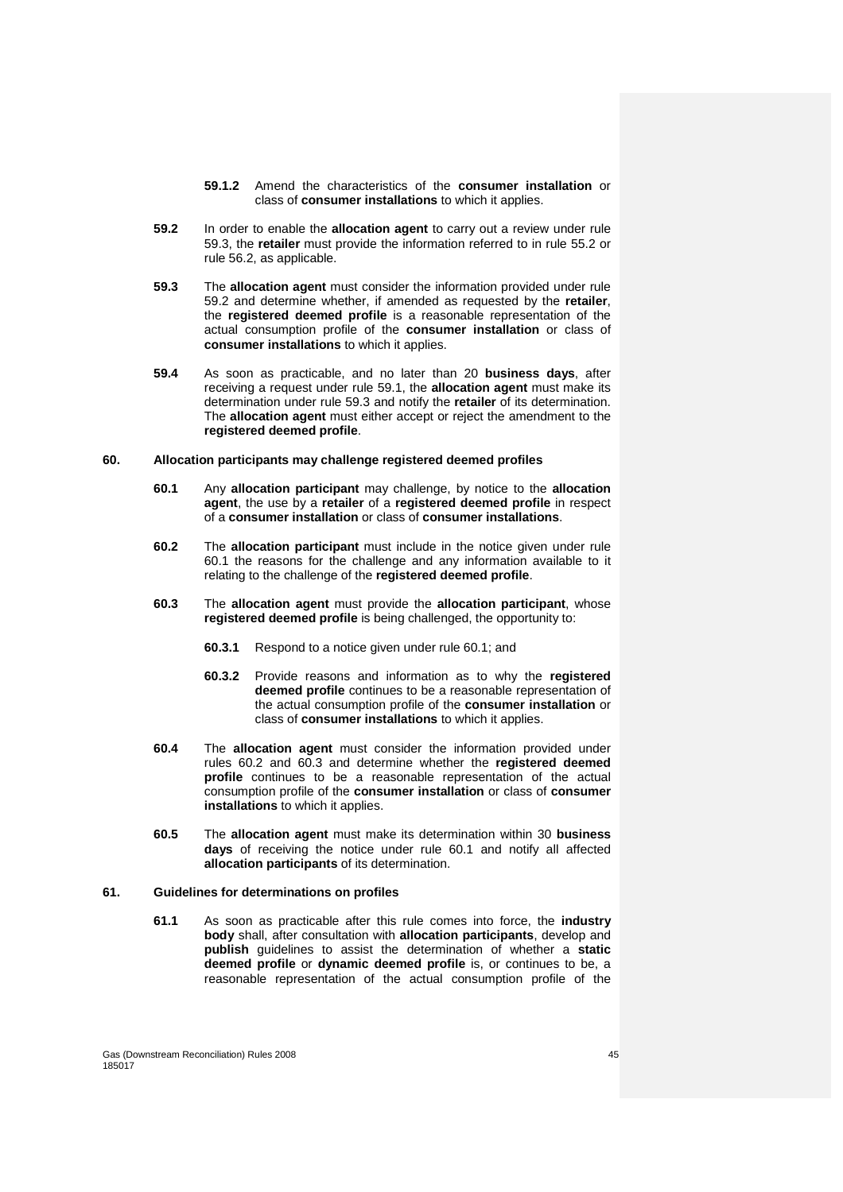- **59.1.2** Amend the characteristics of the **consumer installation** or class of **consumer installations** to which it applies.
- **59.2** In order to enable the **allocation agent** to carry out a review under rule 59.3, the **retailer** must provide the information referred to in rule 55.2 or rule 56.2, as applicable.
- **59.3** The **allocation agent** must consider the information provided under rule 59.2 and determine whether, if amended as requested by the **retailer**, the **registered deemed profile** is a reasonable representation of the actual consumption profile of the **consumer installation** or class of **consumer installations** to which it applies.
- **59.4** As soon as practicable, and no later than 20 **business days**, after receiving a request under rule 59.1, the **allocation agent** must make its determination under rule 59.3 and notify the **retailer** of its determination. The **allocation agent** must either accept or reject the amendment to the **registered deemed profile**.

# **60. Allocation participants may challenge registered deemed profiles**

- **60.1** Any **allocation participant** may challenge, by notice to the **allocation agent**, the use by a **retailer** of a **registered deemed profile** in respect of a **consumer installation** or class of **consumer installations**.
- **60.2** The **allocation participant** must include in the notice given under rule 60.1 the reasons for the challenge and any information available to it relating to the challenge of the **registered deemed profile**.
- **60.3** The **allocation agent** must provide the **allocation participant**, whose **registered deemed profile** is being challenged, the opportunity to:
	- **60.3.1** Respond to a notice given under rule 60.1; and
	- **60.3.2** Provide reasons and information as to why the **registered deemed profile** continues to be a reasonable representation of the actual consumption profile of the **consumer installation** or class of **consumer installations** to which it applies.
- **60.4** The **allocation agent** must consider the information provided under rules 60.2 and 60.3 and determine whether the **registered deemed profile** continues to be a reasonable representation of the actual consumption profile of the **consumer installation** or class of **consumer installations** to which it applies.
- **60.5** The **allocation agent** must make its determination within 30 **business days** of receiving the notice under rule 60.1 and notify all affected **allocation participants** of its determination.

## **61. Guidelines for determinations on profiles**

**61.1** As soon as practicable after this rule comes into force, the **industry body** shall, after consultation with **allocation participants**, develop and **publish** guidelines to assist the determination of whether a **static deemed profile** or **dynamic deemed profile** is, or continues to be, a reasonable representation of the actual consumption profile of the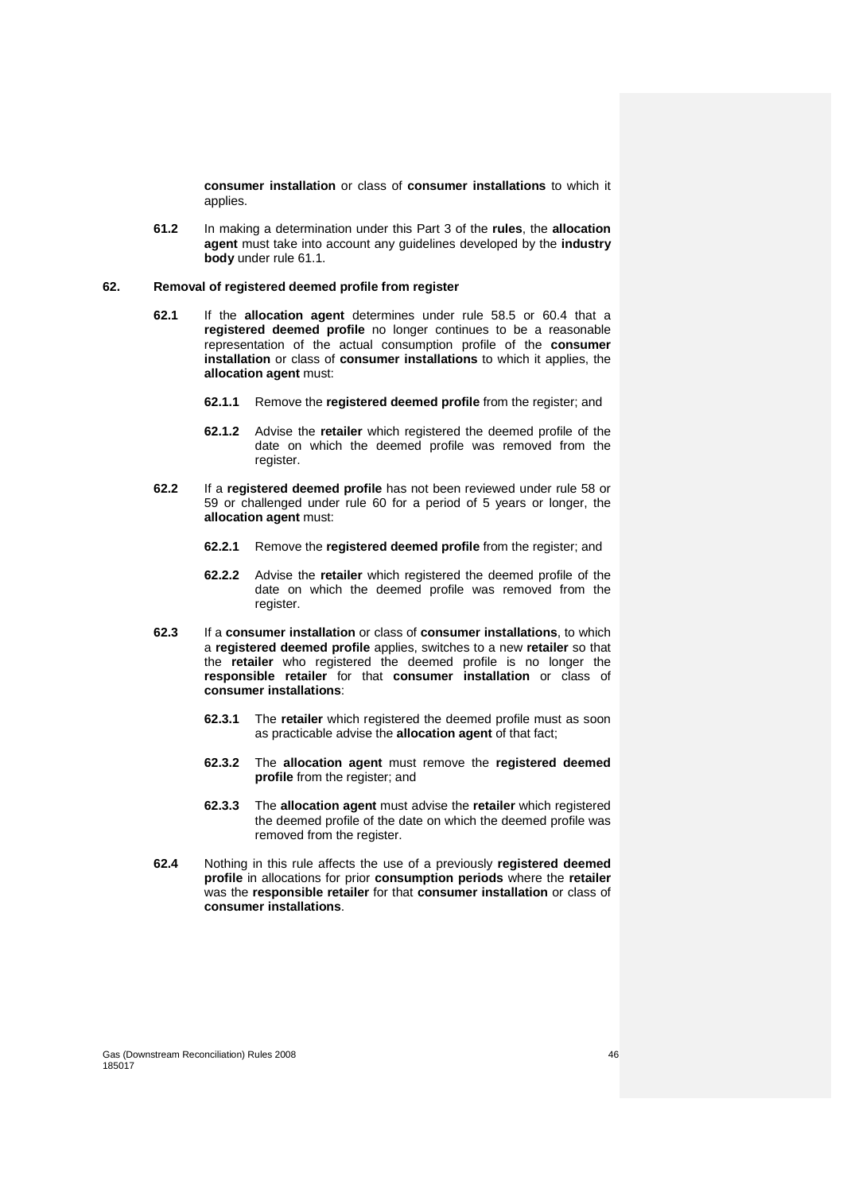**consumer installation** or class of **consumer installations** to which it applies.

**61.2** In making a determination under this Part 3 of the **rules**, the **allocation agent** must take into account any guidelines developed by the **industry body** under rule 61.1.

### **62. Removal of registered deemed profile from register**

- **62.1** If the **allocation agent** determines under rule 58.5 or 60.4 that a **registered deemed profile** no longer continues to be a reasonable representation of the actual consumption profile of the **consumer installation** or class of **consumer installations** to which it applies, the **allocation agent** must:
	- **62.1.1** Remove the **registered deemed profile** from the register; and
	- **62.1.2** Advise the **retailer** which registered the deemed profile of the date on which the deemed profile was removed from the register.
- **62.2** If a **registered deemed profile** has not been reviewed under rule 58 or 59 or challenged under rule 60 for a period of 5 years or longer, the **allocation agent** must:
	- **62.2.1** Remove the **registered deemed profile** from the register; and
	- **62.2.2** Advise the **retailer** which registered the deemed profile of the date on which the deemed profile was removed from the register.
- **62.3** If a **consumer installation** or class of **consumer installations**, to which a **registered deemed profile** applies, switches to a new **retailer** so that the **retailer** who registered the deemed profile is no longer the **responsible retailer** for that **consumer installation** or class of **consumer installations**:
	- **62.3.1** The **retailer** which registered the deemed profile must as soon as practicable advise the **allocation agent** of that fact;
	- **62.3.2** The **allocation agent** must remove the **registered deemed profile** from the register; and
	- **62.3.3** The **allocation agent** must advise the **retailer** which registered the deemed profile of the date on which the deemed profile was removed from the register.
- **62.4** Nothing in this rule affects the use of a previously **registered deemed profile** in allocations for prior **consumption periods** where the **retailer** was the **responsible retailer** for that **consumer installation** or class of **consumer installations**.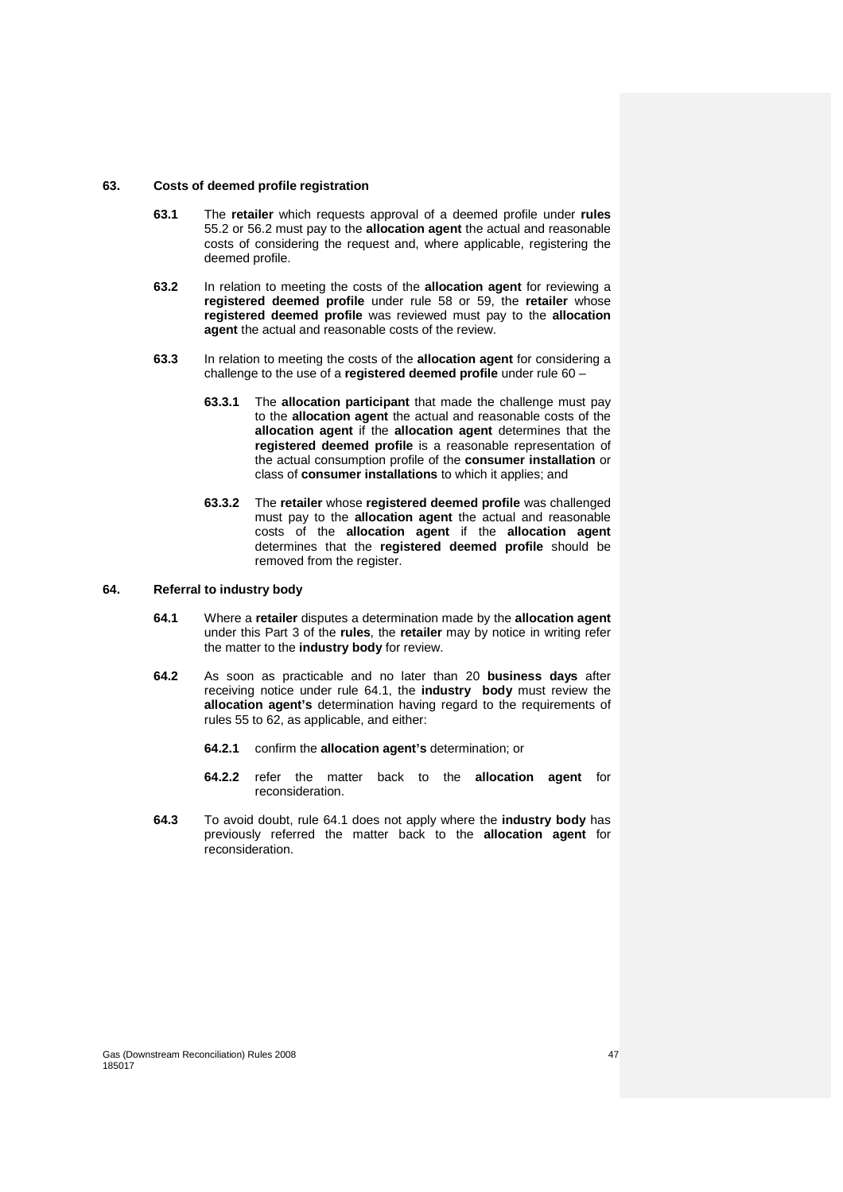#### **63. Costs of deemed profile registration**

- **63.1** The **retailer** which requests approval of a deemed profile under **rules** 55.2 or 56.2 must pay to the **allocation agent** the actual and reasonable costs of considering the request and, where applicable, registering the deemed profile.
- **63.2** In relation to meeting the costs of the **allocation agent** for reviewing a **registered deemed profile** under rule 58 or 59, the **retailer** whose **registered deemed profile** was reviewed must pay to the **allocation agent** the actual and reasonable costs of the review.
- **63.3** In relation to meeting the costs of the **allocation agent** for considering a challenge to the use of a **registered deemed profile** under rule 60 –
	- **63.3.1** The **allocation participant** that made the challenge must pay to the **allocation agent** the actual and reasonable costs of the **allocation agent** if the **allocation agent** determines that the **registered deemed profile** is a reasonable representation of the actual consumption profile of the **consumer installation** or class of **consumer installations** to which it applies; and
	- **63.3.2** The **retailer** whose **registered deemed profile** was challenged must pay to the **allocation agent** the actual and reasonable costs of the **allocation agent** if the **allocation agent** determines that the **registered deemed profile** should be removed from the register.

#### **64. Referral to industry body**

- **64.1** Where a **retailer** disputes a determination made by the **allocation agent** under this Part 3 of the **rules**, the **retailer** may by notice in writing refer the matter to the **industry body** for review.
- **64.2** As soon as practicable and no later than 20 **business days** after receiving notice under rule 64.1, the **industry body** must review the **allocation agent's** determination having regard to the requirements of rules 55 to 62, as applicable, and either:
	- **64.2.1** confirm the **allocation agent's** determination; or
	- **64.2.2** refer the matter back to the **allocation agent** for reconsideration.
- **64.3** To avoid doubt, rule 64.1 does not apply where the **industry body** has previously referred the matter back to the **allocation agent** for reconsideration.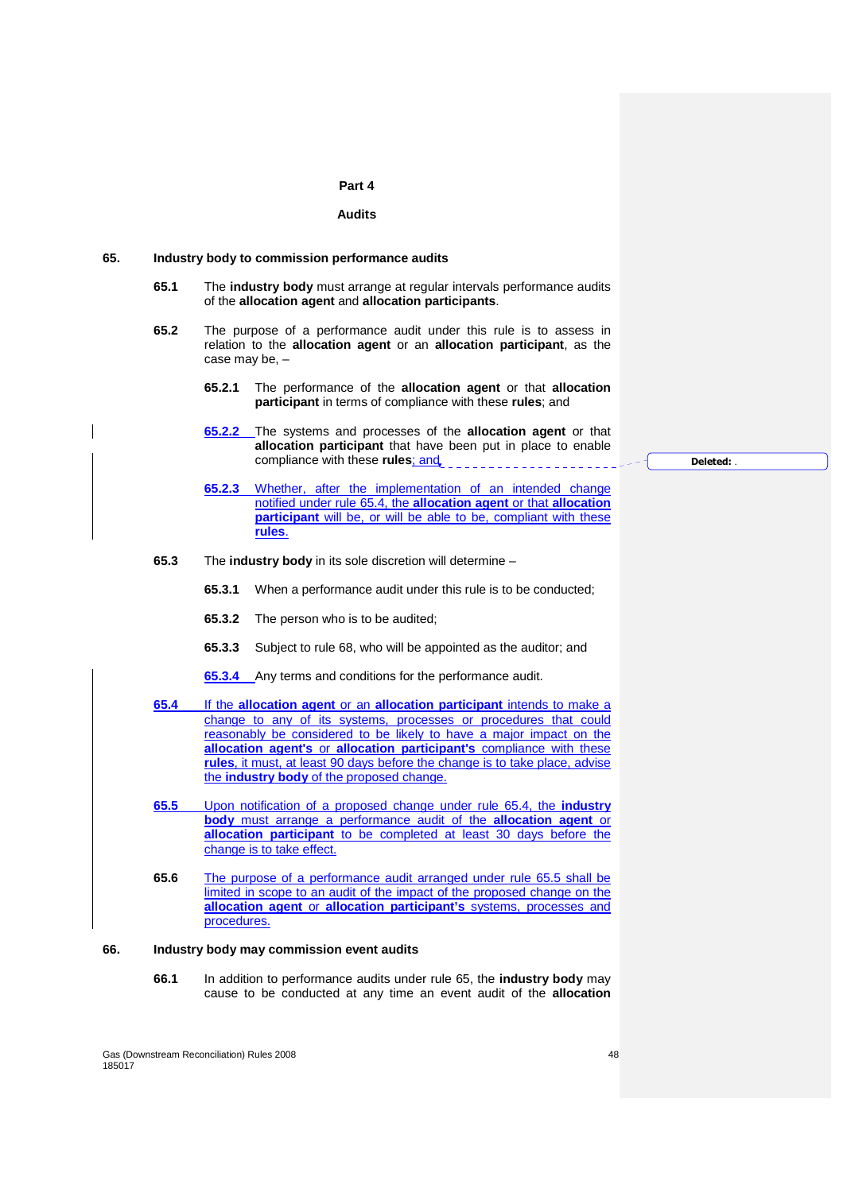#### **Part 4**

#### **Audits**

#### **65. Industry body to commission performance audits**

- **65.1** The **industry body** must arrange at regular intervals performance audits of the **allocation agent** and **allocation participants**.
- **65.2** The purpose of a performance audit under this rule is to assess in relation to the **allocation agent** or an **allocation participant**, as the case may be, –
	- **65.2.1** The performance of the **allocation agent** or that **allocation participant** in terms of compliance with these **rules**; and
	- **65.2.2** The systems and processes of the **allocation agent** or that **allocation participant** that have been put in place to enable compliance with these **rules**; and
	- **65.2.3** Whether, after the implementation of an intended change notified under rule 65.4, the **allocation agent** or that **allocation participant** will be, or will be able to be, compliant with these **rules**.
- **65.3** The **industry body** in its sole discretion will determine
	- **65.3.1** When a performance audit under this rule is to be conducted;
	- **65.3.2** The person who is to be audited;
	- **65.3.3** Subject to rule 68, who will be appointed as the auditor; and
	- **65.3.4** Any terms and conditions for the performance audit.
- **65.4** If the **allocation agent** or an **allocation participant** intends to make a change to any of its systems, processes or procedures that could reasonably be considered to be likely to have a major impact on the **allocation agent's** or **allocation participant's** compliance with these **rules**, it must, at least 90 days before the change is to take place, advise the **industry body** of the proposed change.
- **65.5** Upon notification of a proposed change under rule 65.4, the **industry body** must arrange a performance audit of the **allocation agent** or **allocation participant** to be completed at least 30 days before the change is to take effect.
- **65.6** The purpose of a performance audit arranged under rule 65.5 shall be limited in scope to an audit of the impact of the proposed change on the **allocation agent** or **allocation participant's** systems, processes and procedures.

#### **66. Industry body may commission event audits**

**66.1** In addition to performance audits under rule 65, the **industry body** may cause to be conducted at any time an event audit of the **allocation** 

Gas (Downstream Reconciliation) Rules 2008 48 185017

**Deleted:** .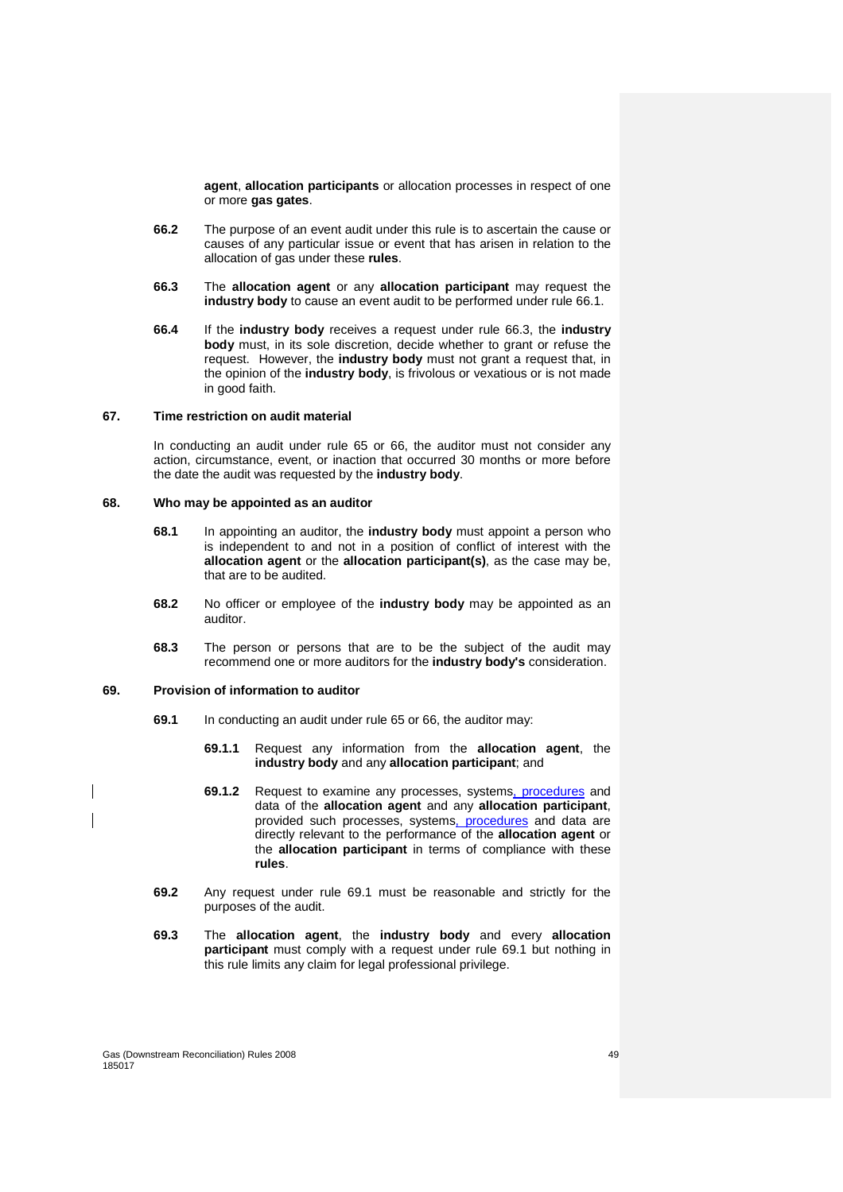**agent**, **allocation participants** or allocation processes in respect of one or more **gas gates**.

- **66.2** The purpose of an event audit under this rule is to ascertain the cause or causes of any particular issue or event that has arisen in relation to the allocation of gas under these **rules**.
- **66.3** The **allocation agent** or any **allocation participant** may request the **industry body** to cause an event audit to be performed under rule 66.1.
- **66.4** If the **industry body** receives a request under rule 66.3, the **industry body** must, in its sole discretion, decide whether to grant or refuse the request. However, the **industry body** must not grant a request that, in the opinion of the **industry body**, is frivolous or vexatious or is not made in good faith.

#### **67. Time restriction on audit material**

In conducting an audit under rule 65 or 66, the auditor must not consider any action, circumstance, event, or inaction that occurred 30 months or more before the date the audit was requested by the **industry body**.

# **68. Who may be appointed as an auditor**

- **68.1** In appointing an auditor, the **industry body** must appoint a person who is independent to and not in a position of conflict of interest with the **allocation agent** or the **allocation participant(s)**, as the case may be, that are to be audited.
- **68.2** No officer or employee of the **industry body** may be appointed as an auditor.
- **68.3** The person or persons that are to be the subject of the audit may recommend one or more auditors for the **industry body's** consideration.

#### **69. Provision of information to auditor**

- **69.1** In conducting an audit under rule 65 or 66, the auditor may:
	- **69.1.1** Request any information from the **allocation agent**, the **industry body** and any **allocation participant**; and
	- **69.1.2** Request to examine any processes, systems, procedures and data of the **allocation agent** and any **allocation participant**, provided such processes, systems, procedures and data are directly relevant to the performance of the **allocation agent** or the **allocation participant** in terms of compliance with these **rules**.
- **69.2** Any request under rule 69.1 must be reasonable and strictly for the purposes of the audit.
- **69.3** The **allocation agent**, the **industry body** and every **allocation participant** must comply with a request under rule 69.1 but nothing in this rule limits any claim for legal professional privilege.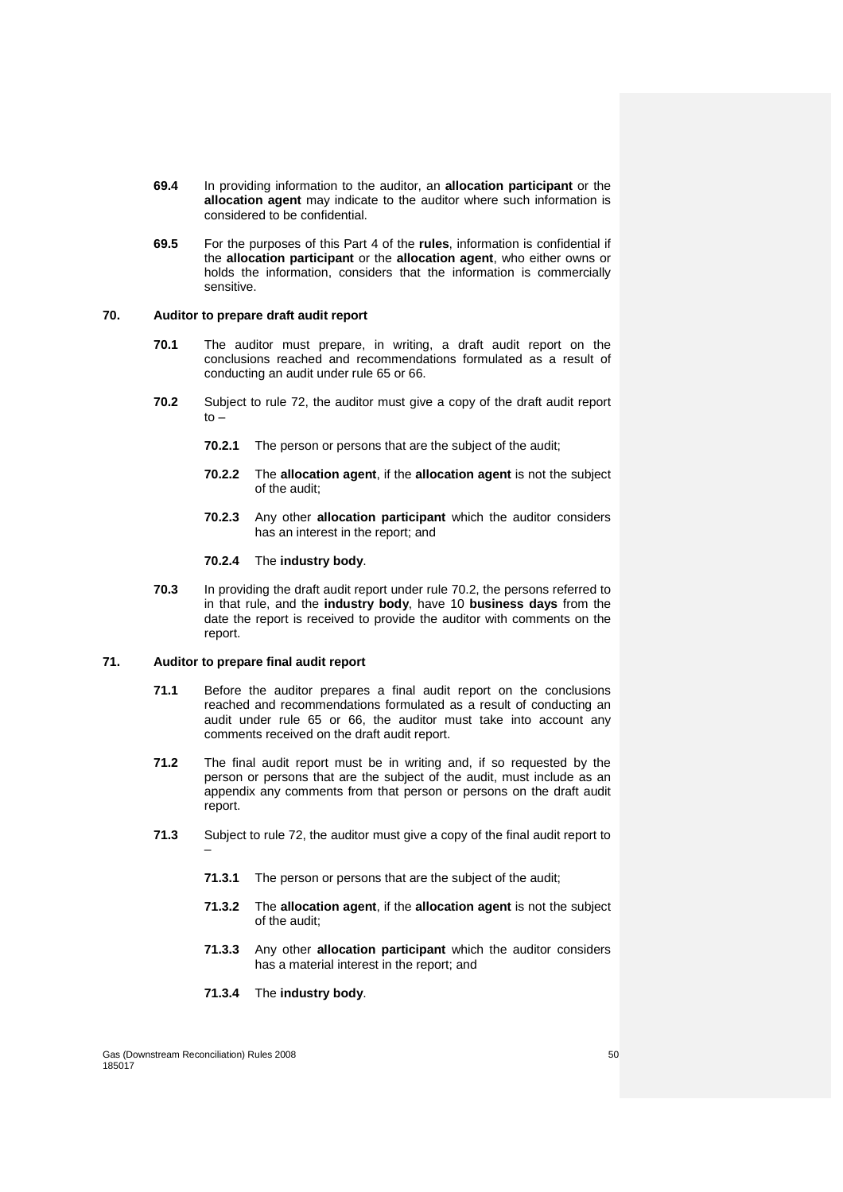- **69.4** In providing information to the auditor, an **allocation participant** or the **allocation agent** may indicate to the auditor where such information is considered to be confidential.
- **69.5** For the purposes of this Part 4 of the **rules**, information is confidential if the **allocation participant** or the **allocation agent**, who either owns or holds the information, considers that the information is commercially sensitive.

# **70. Auditor to prepare draft audit report**

- **70.1** The auditor must prepare, in writing, a draft audit report on the conclusions reached and recommendations formulated as a result of conducting an audit under rule 65 or 66.
- **70.2** Subject to rule 72, the auditor must give a copy of the draft audit report  $t \circ -$ 
	- **70.2.1** The person or persons that are the subject of the audit;
	- **70.2.2** The **allocation agent**, if the **allocation agent** is not the subject of the audit;
	- **70.2.3** Any other **allocation participant** which the auditor considers has an interest in the report; and

#### **70.2.4** The **industry body**.

**70.3** In providing the draft audit report under rule 70.2, the persons referred to in that rule, and the **industry body**, have 10 **business days** from the date the report is received to provide the auditor with comments on the report.

# **71. Auditor to prepare final audit report**

- **71.1** Before the auditor prepares a final audit report on the conclusions reached and recommendations formulated as a result of conducting an audit under rule 65 or 66, the auditor must take into account any comments received on the draft audit report.
- **71.2** The final audit report must be in writing and, if so requested by the person or persons that are the subject of the audit, must include as an appendix any comments from that person or persons on the draft audit report.
- **71.3** Subject to rule 72, the auditor must give a copy of the final audit report to –
	- **71.3.1** The person or persons that are the subject of the audit;
	- **71.3.2** The **allocation agent**, if the **allocation agent** is not the subject of the audit;
	- **71.3.3** Any other **allocation participant** which the auditor considers has a material interest in the report; and
	- **71.3.4** The **industry body**.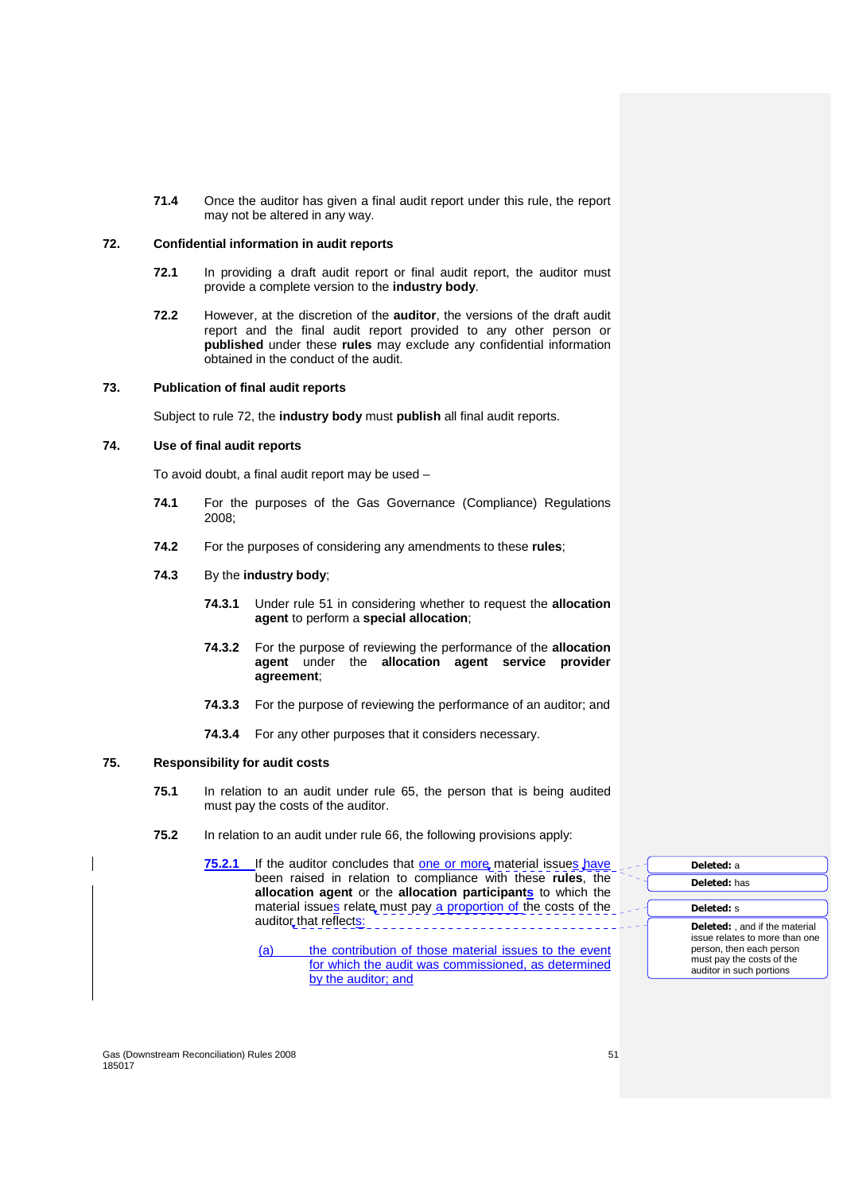**71.4** Once the auditor has given a final audit report under this rule, the report may not be altered in any way.

## **72. Confidential information in audit reports**

- **72.1** In providing a draft audit report or final audit report, the auditor must provide a complete version to the **industry body**.
- **72.2** However, at the discretion of the **auditor**, the versions of the draft audit report and the final audit report provided to any other person or **published** under these **rules** may exclude any confidential information obtained in the conduct of the audit.

# **73. Publication of final audit reports**

Subject to rule 72, the **industry body** must **publish** all final audit reports.

# **74. Use of final audit reports**

To avoid doubt, a final audit report may be used –

- **74.1** For the purposes of the Gas Governance (Compliance) Regulations 2008;
- **74.2** For the purposes of considering any amendments to these **rules**;
- **74.3** By the **industry body**;
	- **74.3.1** Under rule 51 in considering whether to request the **allocation agent** to perform a **special allocation**;
	- **74.3.2** For the purpose of reviewing the performance of the **allocation agent** under the **allocation agent service provider agreement**;
	- **74.3.3** For the purpose of reviewing the performance of an auditor; and
	- **74.3.4** For any other purposes that it considers necessary.

#### **75. Responsibility for audit costs**

- **75.1** In relation to an audit under rule 65, the person that is being audited must pay the costs of the auditor.
- **75.2** In relation to an audit under rule 66, the following provisions apply:

**75.2.1** If the auditor concludes that one or more material issues have been raised in relation to compliance with these **rules**, the **allocation agent** or the **allocation participants** to which the material issues relate must pay a proportion of the costs of the auditor that reflects:

> (a) the contribution of those material issues to the event for which the audit was commissioned, as determined by the auditor; and

**Deleted:** a **Deleted:** has **Deleted:** s **Deleted:** , and if the material issue relates to more than one person, then each person must pay the costs of the auditor in such portions

Gas (Downstream Reconciliation) Rules 2008 51 185017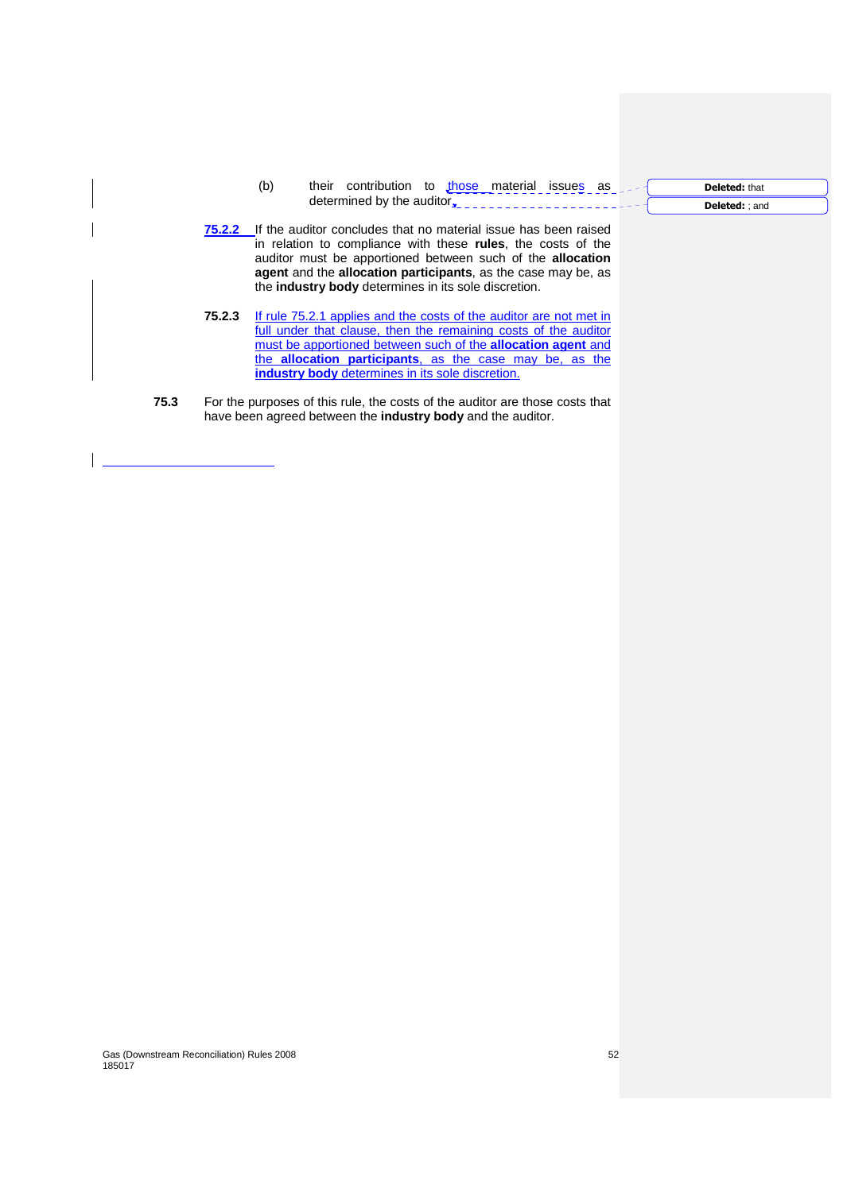- (b) their contribution to those material issues as determined by the auditor<sub>s</sub>
- **75.2.2** If the auditor concludes that no material issue has been raised in relation to compliance with these **rules**, the costs of the auditor must be apportioned between such of the **allocation agent** and the **allocation participants**, as the case may be, as the **industry body** determines in its sole discretion.
- **75.2.3** If rule 75.2.1 applies and the costs of the auditor are not met in full under that clause, then the remaining costs of the auditor must be apportioned between such of the **allocation agent** and the **allocation participants**, as the case may be, as the **industry body** determines in its sole discretion.
- **75.3** For the purposes of this rule, the costs of the auditor are those costs that have been agreed between the **industry body** and the auditor.

# Gas (Downstream Reconciliation) Rules 2008 52

185017

**Deleted:** that

**Deleted:** ; and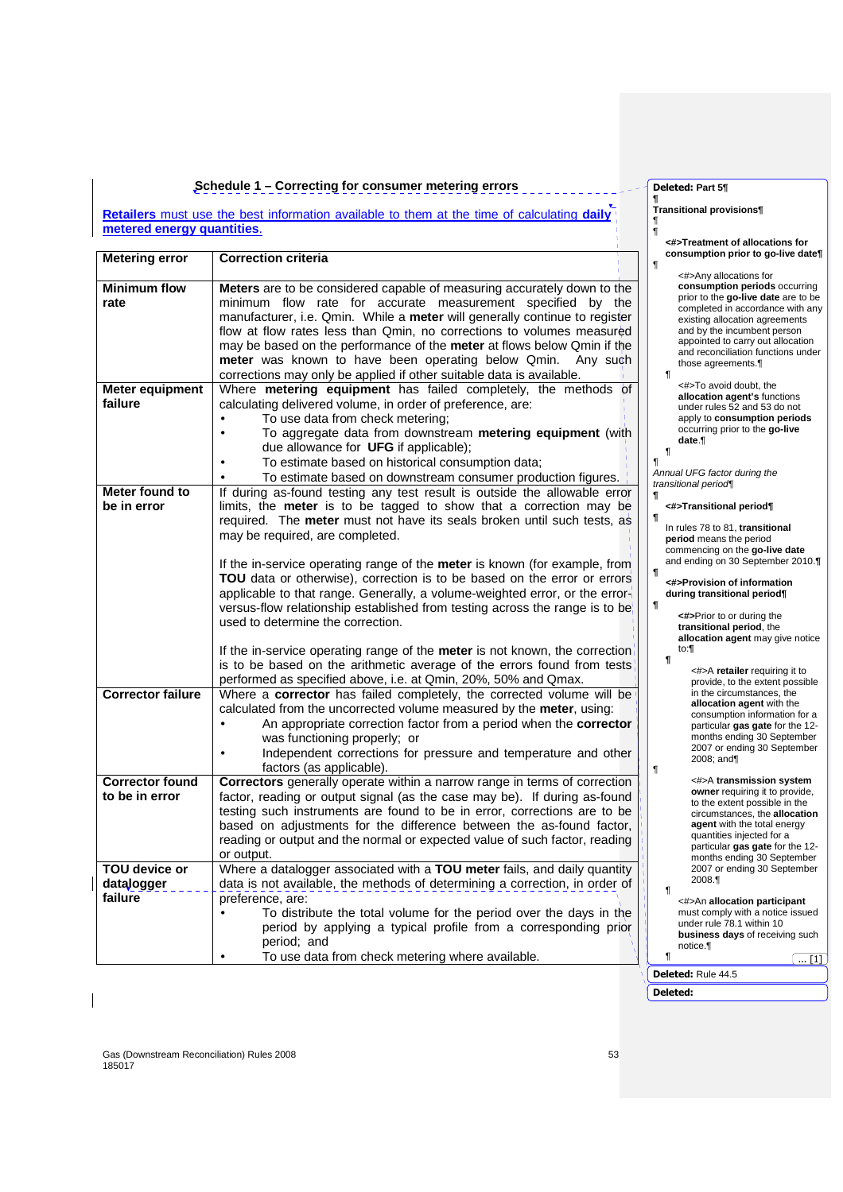#### **Schedule 1 – Correcting for consumer metering errors**

**Retailers** must use the best information available to them at the time of calculating **daily metered energy quantities**.

| <b>Metering error</b>       | <b>Correction criteria</b>                                                                                                                                                                                                                                                                                                                                                                                                                                                                                                | $\P$ |
|-----------------------------|---------------------------------------------------------------------------------------------------------------------------------------------------------------------------------------------------------------------------------------------------------------------------------------------------------------------------------------------------------------------------------------------------------------------------------------------------------------------------------------------------------------------------|------|
| <b>Minimum flow</b><br>rate | <b>Meters</b> are to be considered capable of measuring accurately down to the<br>minimum flow rate for accurate measurement specified by the<br>manufacturer, i.e. Qmin. While a meter will generally continue to register<br>flow at flow rates less than Qmin, no corrections to volumes measured<br>may be based on the performance of the meter at flows below Qmin if the<br>meter was known to have been operating below Qmin.<br>Any such<br>corrections may only be applied if other suitable data is available. |      |
| <b>Meter equipment</b>      | Where metering equipment has failed completely, the methods of                                                                                                                                                                                                                                                                                                                                                                                                                                                            |      |
| failure                     | calculating delivered volume, in order of preference, are:                                                                                                                                                                                                                                                                                                                                                                                                                                                                |      |
|                             | To use data from check metering:<br>To aggregate data from downstream metering equipment (with                                                                                                                                                                                                                                                                                                                                                                                                                            |      |
|                             | due allowance for UFG if applicable);                                                                                                                                                                                                                                                                                                                                                                                                                                                                                     |      |
|                             | To estimate based on historical consumption data;                                                                                                                                                                                                                                                                                                                                                                                                                                                                         | 1    |
|                             | To estimate based on downstream consumer production figures.                                                                                                                                                                                                                                                                                                                                                                                                                                                              | A    |
| Meter found to              | If during as-found testing any test result is outside the allowable error                                                                                                                                                                                                                                                                                                                                                                                                                                                 | ¶    |
| be in error                 | limits, the <b>meter</b> is to be tagged to show that a correction may be                                                                                                                                                                                                                                                                                                                                                                                                                                                 |      |
|                             | required. The meter must not have its seals broken until such tests, as                                                                                                                                                                                                                                                                                                                                                                                                                                                   | ſ    |
|                             | may be required, are completed.                                                                                                                                                                                                                                                                                                                                                                                                                                                                                           |      |
|                             | If the in-service operating range of the <b>meter</b> is known (for example, from                                                                                                                                                                                                                                                                                                                                                                                                                                         |      |
|                             | TOU data or otherwise), correction is to be based on the error or errors                                                                                                                                                                                                                                                                                                                                                                                                                                                  | ſ    |
|                             | applicable to that range. Generally, a volume-weighted error, or the error-                                                                                                                                                                                                                                                                                                                                                                                                                                               |      |
|                             | versus-flow relationship established from testing across the range is to be                                                                                                                                                                                                                                                                                                                                                                                                                                               | ſ    |
|                             | used to determine the correction.                                                                                                                                                                                                                                                                                                                                                                                                                                                                                         |      |
|                             | If the in-service operating range of the <b>meter</b> is not known, the correction<br>is to be based on the arithmetic average of the errors found from tests<br>performed as specified above, i.e. at Qmin, 20%, 50% and Qmax.                                                                                                                                                                                                                                                                                           |      |
| <b>Corrector failure</b>    | Where a corrector has failed completely, the corrected volume will be                                                                                                                                                                                                                                                                                                                                                                                                                                                     |      |
|                             | calculated from the uncorrected volume measured by the meter, using:                                                                                                                                                                                                                                                                                                                                                                                                                                                      |      |
|                             | An appropriate correction factor from a period when the corrector                                                                                                                                                                                                                                                                                                                                                                                                                                                         |      |
|                             | was functioning properly; or<br>Independent corrections for pressure and temperature and other                                                                                                                                                                                                                                                                                                                                                                                                                            |      |
|                             | factors (as applicable).                                                                                                                                                                                                                                                                                                                                                                                                                                                                                                  | $\P$ |
| <b>Corrector found</b>      | Correctors generally operate within a narrow range in terms of correction                                                                                                                                                                                                                                                                                                                                                                                                                                                 |      |
| to be in error              | factor, reading or output signal (as the case may be). If during as-found                                                                                                                                                                                                                                                                                                                                                                                                                                                 |      |
|                             | testing such instruments are found to be in error, corrections are to be                                                                                                                                                                                                                                                                                                                                                                                                                                                  |      |
|                             | based on adjustments for the difference between the as-found factor,                                                                                                                                                                                                                                                                                                                                                                                                                                                      |      |
|                             | reading or output and the normal or expected value of such factor, reading                                                                                                                                                                                                                                                                                                                                                                                                                                                |      |
|                             | or output.                                                                                                                                                                                                                                                                                                                                                                                                                                                                                                                |      |
| <b>TOU device or</b>        | Where a datalogger associated with a TOU meter fails, and daily quantity                                                                                                                                                                                                                                                                                                                                                                                                                                                  |      |
| datalogger<br>failure       | data is not available, the methods of determining a correction, in order of<br>preference, are:                                                                                                                                                                                                                                                                                                                                                                                                                           |      |
|                             | To distribute the total volume for the period over the days in the                                                                                                                                                                                                                                                                                                                                                                                                                                                        |      |
|                             | period by applying a typical profile from a corresponding prior                                                                                                                                                                                                                                                                                                                                                                                                                                                           |      |
|                             | period; and                                                                                                                                                                                                                                                                                                                                                                                                                                                                                                               |      |
|                             | To use data from check metering where available.                                                                                                                                                                                                                                                                                                                                                                                                                                                                          |      |

#### **Deleted: Part 5¶**

¶

# **¶ Transitional provisions¶** ¶

#### **<#>Treatment of allocations for consumption prior to go-live date¶**

- <#>Any allocations for **consumption periods** occurring prior to the **go-live date** are to be completed in accordance with any existing allocation agreements and by the incumbent person appointed to carry out allocation and reconciliation functions under those agreements.¶
- ¶ <#>To avoid doubt, the **allocation agent's** functions under rules 52 and 53 do not apply to **consumption periods** occurring prior to the **go-live date**.¶ ¶

¶ Annual UFG factor during the transitional period¶

#### **<#>Transitional period¶**

- In rules 78 to 81, **transitional period** means the period commencing on the **go-live date** and ending on 30 September 2010.**¶**
- **<#>Provision of information during transitional period¶**
- **<#>**Prior to or during the **transitional period**, the **allocation agent** may give notice to:**¶ ¶**

<#>A **retailer** requiring it to provide, to the extent possible in the circumstances, the **allocation agent** with the consumption information for a particular **gas gate** for the 12- months ending 30 September 2007 or ending 30 September 2008; and¶

<#>A **transmission system owner** requiring it to provide, to the extent possible in the circumstances, the **allocation agent** with the total energy quantities injected for a particular **gas gate** for the 12 months ending 30 September 2007 or ending 30 September<br>2008.¶

<#>An **allocation participant** must comply with a notice issued under rule 78.1 within 10 **business days** of receiving such notice.¶  $\blacksquare$ 

**Deleted:** Rule 44.5

**Deleted:** 

¶

Gas (Downstream Reconciliation) Rules 2008 53 185017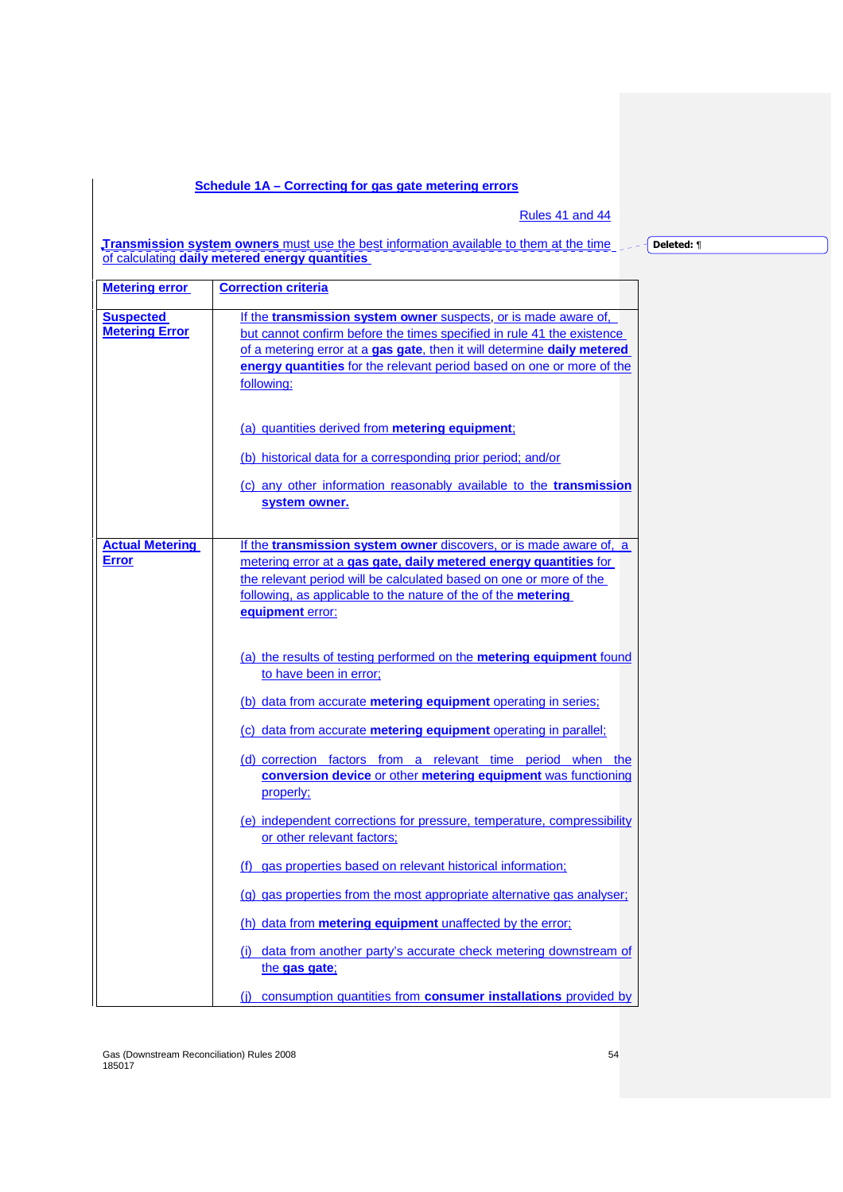# **Schedule 1A – Correcting for gas gate metering errors**

Rules 41 and 44

**Transmission system owners** must use the best information available to them at the time of calculating **daily metered energy quantities** 

**Deleted:** ¶

| <b>Metering error</b>                     | <b>Correction criteria</b>                                                                                                                                                                                                                                                                                                                                                                                                                                                                                                                                                                                                                                                                                                                                                                                                                                                                                                                                                                                                                                                                                                                                                                |
|-------------------------------------------|-------------------------------------------------------------------------------------------------------------------------------------------------------------------------------------------------------------------------------------------------------------------------------------------------------------------------------------------------------------------------------------------------------------------------------------------------------------------------------------------------------------------------------------------------------------------------------------------------------------------------------------------------------------------------------------------------------------------------------------------------------------------------------------------------------------------------------------------------------------------------------------------------------------------------------------------------------------------------------------------------------------------------------------------------------------------------------------------------------------------------------------------------------------------------------------------|
| <b>Suspected</b><br><b>Metering Error</b> | If the transmission system owner suspects, or is made aware of,<br>but cannot confirm before the times specified in rule 41 the existence<br>of a metering error at a gas gate, then it will determine daily metered<br>energy quantities for the relevant period based on one or more of the<br>following:                                                                                                                                                                                                                                                                                                                                                                                                                                                                                                                                                                                                                                                                                                                                                                                                                                                                               |
|                                           | (a) quantities derived from metering equipment;<br>(b) historical data for a corresponding prior period; and/or<br>(c) any other information reasonably available to the transmission<br>system owner.                                                                                                                                                                                                                                                                                                                                                                                                                                                                                                                                                                                                                                                                                                                                                                                                                                                                                                                                                                                    |
| <b>Actual Metering</b><br><b>Error</b>    | If the transmission system owner discovers, or is made aware of, a<br>metering error at a gas gate, daily metered energy quantities for<br>the relevant period will be calculated based on one or more of the<br>following, as applicable to the nature of the of the <b>metering</b><br>equipment error:<br>(a) the results of testing performed on the <b>metering equipment</b> found<br>to have been in error:<br>(b) data from accurate metering equipment operating in series;<br>(c) data from accurate <b>metering equipment</b> operating in parallel;<br>(d) correction factors from a relevant time period when the<br>conversion device or other metering equipment was functioning<br>properly;<br>(e) independent corrections for pressure, temperature, compressibility<br>or other relevant factors;<br>(f) gas properties based on relevant historical information;<br>(g) gas properties from the most appropriate alternative gas analyser;<br>(h) data from metering equipment unaffected by the error;<br>(i) data from another party's accurate check metering downstream of<br>the gas gate;<br>(i) consumption quantities from consumer installations provided by |

Gas (Downstream Reconciliation) Rules 2008 54 185017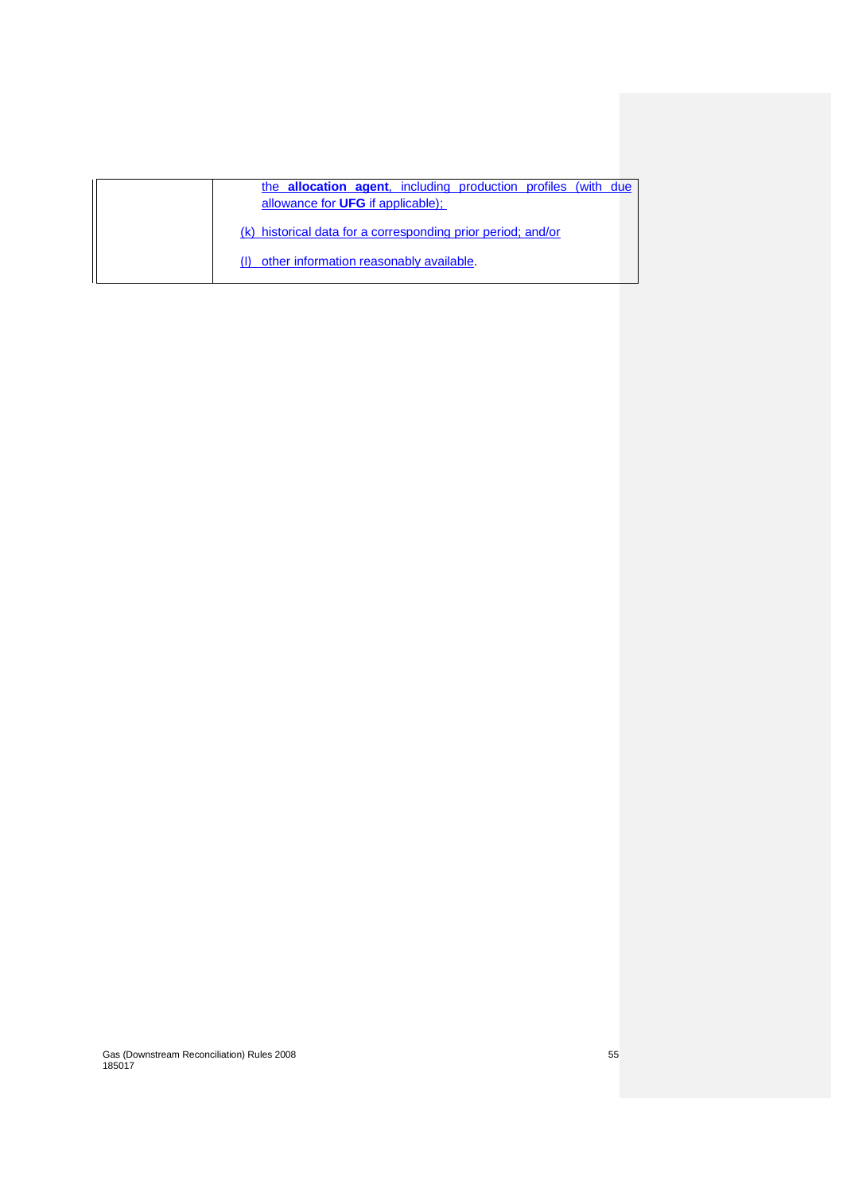| the <b>allocation agent</b> , including production profiles (with due |
|-----------------------------------------------------------------------|
| allowance for <b>UFG</b> if applicable);                              |
| (k) historical data for a corresponding prior period; and/or          |
| (I) other information reasonably available.                           |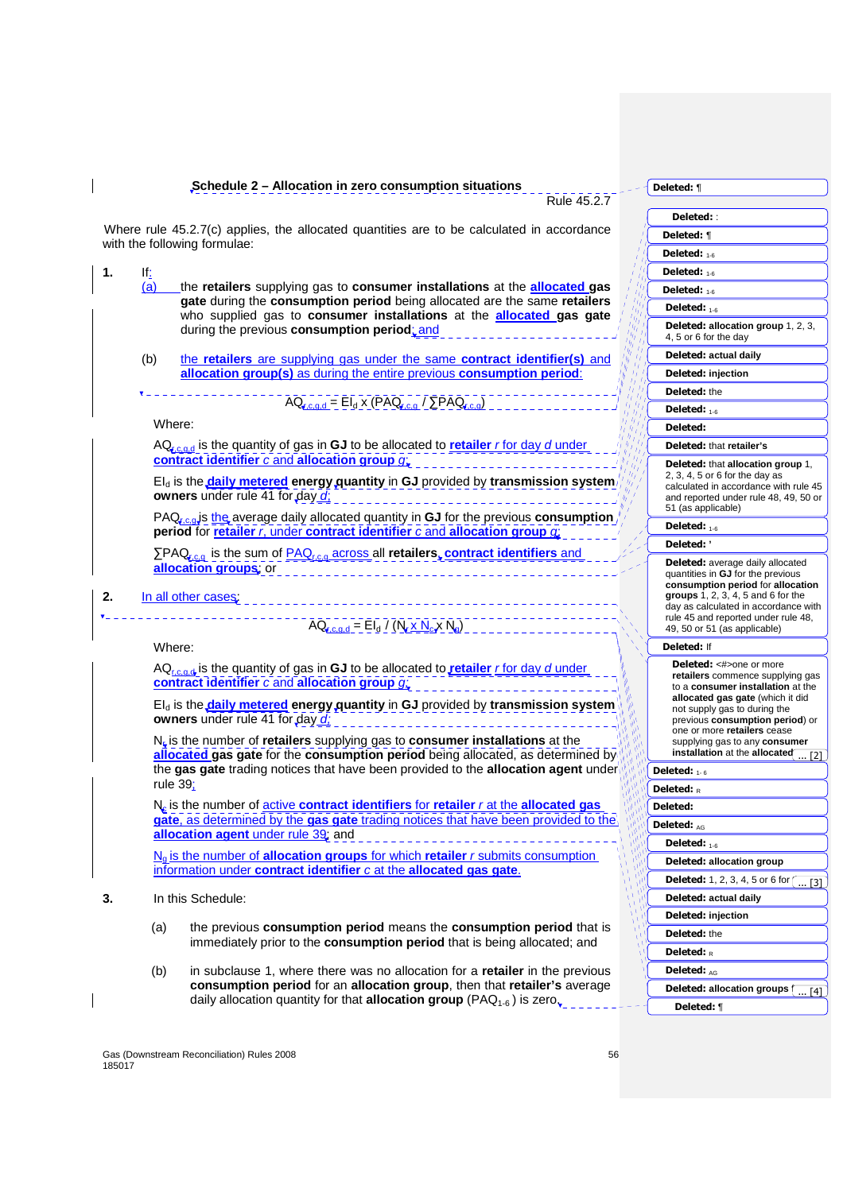**Schedule 2 – Allocation in zero consumption situations** 

**Deleted:** ¶

Rule 45.2.7

| Deleted: :                                                                   |
|------------------------------------------------------------------------------|
| Deleted: ¶                                                                   |
| Deleted: $_{1-6}$                                                            |
| Deleted: $1-6$                                                               |
| Deleted: 1-6                                                                 |
| Deleted: 1-6                                                                 |
| Deleted: allocation group 1, 2, 3,                                           |
| 4, 5 or 6 for the day                                                        |
| Deleted: actual daily                                                        |
| Deleted: injection                                                           |
| Deleted: the                                                                 |
| Deleted: $1.6$                                                               |
| Deleted:                                                                     |
| Deleted: that retailer's                                                     |
| Deleted: that allocation group 1,                                            |
| 2, 3, 4, 5 or 6 for the day as<br>calculated in accordance with rule 45      |
| and reported under rule 48, 49, 50 or<br>51 (as applicable)                  |
| Deleted: 1-6                                                                 |
| Deleted: '                                                                   |
|                                                                              |
| Deleted: average daily allocated<br>quantities in GJ for the previous        |
| consumption period for allocation<br>groups 1, 2, 3, 4, 5 and 6 for the      |
| day as calculated in accordance with                                         |
| rule 45 and reported under rule 48,<br>49, 50 or 51 (as applicable)          |
| <b>Deleted: If</b>                                                           |
| <b>Deleted:</b> <#>one or more                                               |
| retailers commence supplying gas                                             |
| to a consumer installation at the<br>allocated gas gate (which it did        |
| not supply gas to during the<br>previous consumption period) or              |
| one or more retailers cease                                                  |
| supplying gas to any <b>consumer</b><br>installation at the allocated<br>[2] |
| Deleted: $_{1-\bar{6}}$                                                      |
| Deleted: $_R$                                                                |
| Deleted:                                                                     |
| Deleted: AG                                                                  |
| Deleted: 1-6                                                                 |
| Deleted: allocation group                                                    |
| <b>Deleted:</b> 1, 2, 3, 4, 5 or 6 for $\cap$<br>[3]                         |
| Deleted: actual daily                                                        |
| Deleted: injection                                                           |
| Deleted: the                                                                 |
| Deleted: $_R$                                                                |
| Deleted: AG                                                                  |
| Deleted: allocation groups (<br>[4]                                          |
| Deleted: ¶                                                                   |
|                                                                              |

Where rule 45.2.7(c) applies, the allocated quantities are to be calculated in accordance with the following formulae:

- **1.**  $\frac{1}{2}$   $\frac{1}{2}$ (a) the **retailers** supplying gas to **consumer installations** at the **allocated gas gate** during the **consumption period** being allocated are the same **retailers** who supplied gas to **consumer installations** at the **allocated gas gate** during the previous **consumption period**; and
	- (b) the **retailers** are supplying gas under the same **contract identifier(s)** and **allocation group(s)** as during the entire previous **consumption period**:

 $A_{\text{rad}} = EI_d \times (PAQ_{\text{rad}})$ <u>/ ΣΡΑQr,c,q)</u>

Where:

AQr,c,g,d is the quantity of gas in **GJ** to be allocated to **retailer** r for day d under **contract identifier** c and **allocation group** g;

EId is the **daily metered energy quantity** in **GJ** provided by **transmission system owners** under rule 41 for day d;

PAQ<sub>r,c,q</sub> is the average daily allocated quantity in **GJ** for the previous consumption **period** for **retailer** r, under **contract identifier** c and **allocation group** g;

∑PAQ<sub>r,c,g</sub> is the sum of **PAQ<sub>r,c,q</sub> across all retailers**, **contract identifiers** and **allocation groups**; or

**2.** In all other cases

 $AQ_{r,c,q,d} = El_d / (N_r \times N_c \times N_q)$ 

Where:

AQ<sub>r,c,q,d</sub> is the quantity of gas in **GJ** to be allocated to **retailer** r for day d under **contract identifier** c and **allocation group** g;

EId is the **daily metered energy quantity** in **GJ** provided by **transmission system owners** under rule 41 for day d;

N<sub>r</sub> is the number of **retailers** supplying gas to **consumer installations** at the **allocated gas gate** for the **consumption period** being allocated, as determined by the **gas gate** trading notices that have been provided to the **allocation agent** under rule 39;

N<sup>c</sup> is the number of active **contract identifiers** for **retailer** r at the **allocated gas gate**, as determined by the **gas gate** trading notices that have been provided to the **allocation agent** under rule 39; and

Ng is the number of **allocation groups** for which **retailer** r submits consumption information under **contract identifier** c at the **allocated gas gate**.

- **3.** In this Schedule:
	- (a) the previous **consumption period** means the **consumption period** that is immediately prior to the **consumption period** that is being allocated; and
	- (b) in subclause 1, where there was no allocation for a **retailer** in the previous **consumption period** for an **allocation group**, then that **retailer's** average daily allocation quantity for that **allocation group** (PAQ<sub>1-6</sub>) is zero.

Gas (Downstream Reconciliation) Rules 2008 56 185017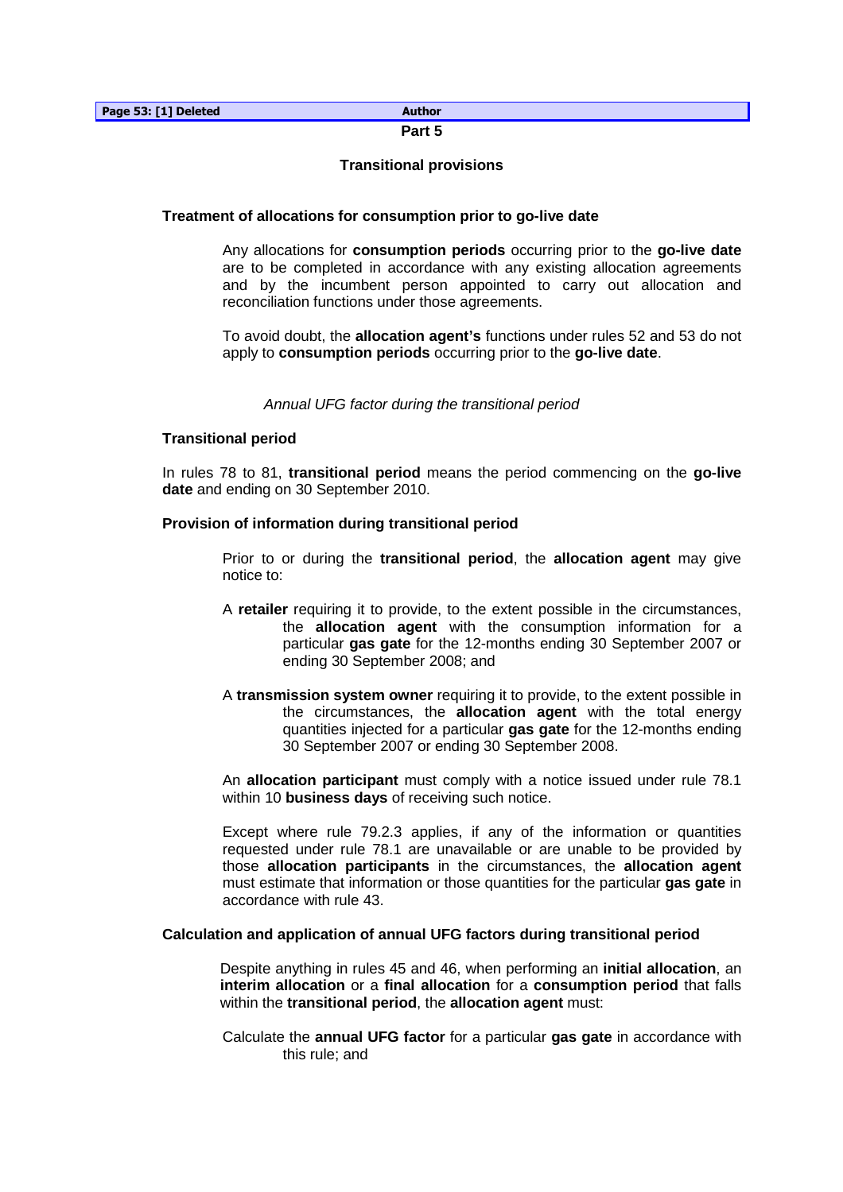# **Part 5**

# **Transitional provisions**

# **Treatment of allocations for consumption prior to go-live date**

 Any allocations for **consumption periods** occurring prior to the **go-live date** are to be completed in accordance with any existing allocation agreements and by the incumbent person appointed to carry out allocation and reconciliation functions under those agreements.

 To avoid doubt, the **allocation agent's** functions under rules 52 and 53 do not apply to **consumption periods** occurring prior to the **go-live date**.

Annual UFG factor during the transitional period

# **Transitional period**

In rules 78 to 81, **transitional period** means the period commencing on the **go-live date** and ending on 30 September 2010.

# **Provision of information during transitional period**

Prior to or during the **transitional period**, the **allocation agent** may give notice to:

- A **retailer** requiring it to provide, to the extent possible in the circumstances, the **allocation agent** with the consumption information for a particular **gas gate** for the 12-months ending 30 September 2007 or ending 30 September 2008; and
- A **transmission system owner** requiring it to provide, to the extent possible in the circumstances, the **allocation agent** with the total energy quantities injected for a particular **gas gate** for the 12-months ending 30 September 2007 or ending 30 September 2008.

 An **allocation participant** must comply with a notice issued under rule 78.1 within 10 **business days** of receiving such notice.

 Except where rule 79.2.3 applies, if any of the information or quantities requested under rule 78.1 are unavailable or are unable to be provided by those **allocation participants** in the circumstances, the **allocation agent** must estimate that information or those quantities for the particular **gas gate** in accordance with rule 43.

# **Calculation and application of annual UFG factors during transitional period**

 Despite anything in rules 45 and 46, when performing an **initial allocation**, an **interim allocation** or a **final allocation** for a **consumption period** that falls within the **transitional period**, the **allocation agent** must:

Calculate the **annual UFG factor** for a particular **gas gate** in accordance with this rule; and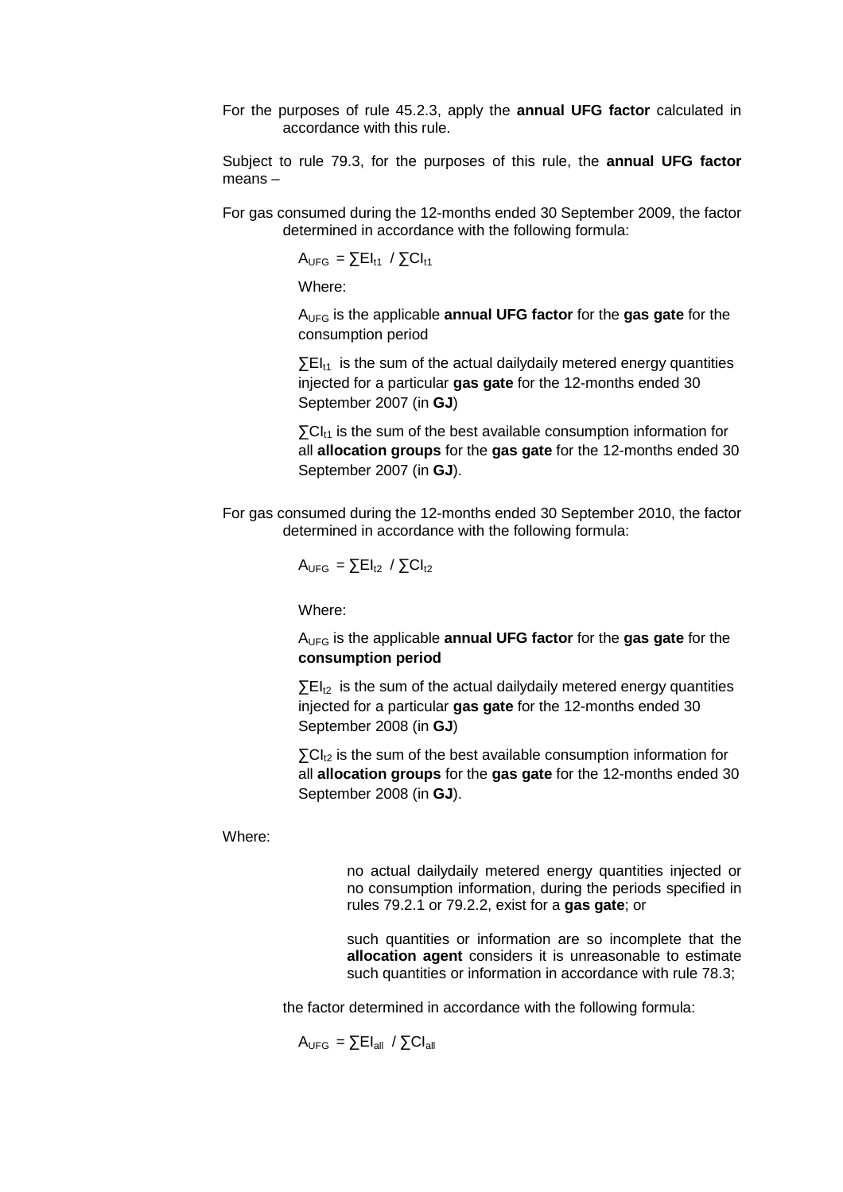For the purposes of rule 45.2.3, apply the **annual UFG factor** calculated in accordance with this rule.

 Subject to rule 79.3, for the purposes of this rule, the **annual UFG factor** means –

For gas consumed during the 12-months ended 30 September 2009, the factor determined in accordance with the following formula:

 $A_{UFG} = \sum E I_{t1} / \sum C I_{t1}$ 

Where:

AUFG is the applicable **annual UFG factor** for the **gas gate** for the consumption period

 $\Sigma$ EI<sub>t1</sub> is the sum of the actual dailydaily metered energy quantities injected for a particular **gas gate** for the 12-months ended 30 September 2007 (in **GJ**)

 $\Sigma$ CI<sub>t1</sub> is the sum of the best available consumption information for all **allocation groups** for the **gas gate** for the 12-months ended 30 September 2007 (in **GJ**).

For gas consumed during the 12-months ended 30 September 2010, the factor determined in accordance with the following formula:

 $A_{UFG} = \sum E I_{t2} / \sum C I_{t2}$ 

Where:

AUFG is the applicable **annual UFG factor** for the **gas gate** for the **consumption period**

 $\Sigma$ EI<sub>t2</sub> is the sum of the actual dailydaily metered energy quantities injected for a particular **gas gate** for the 12-months ended 30 September 2008 (in **GJ**)

 $\sum C I_{12}$  is the sum of the best available consumption information for all **allocation groups** for the **gas gate** for the 12-months ended 30 September 2008 (in **GJ**).

Where:

 no actual dailydaily metered energy quantities injected or no consumption information, during the periods specified in rules 79.2.1 or 79.2.2, exist for a **gas gate**; or

 such quantities or information are so incomplete that the **allocation agent** considers it is unreasonable to estimate such quantities or information in accordance with rule 78.3;

the factor determined in accordance with the following formula:

 $A_{UFG} = \sum E I_{all} / \sum C I_{all}$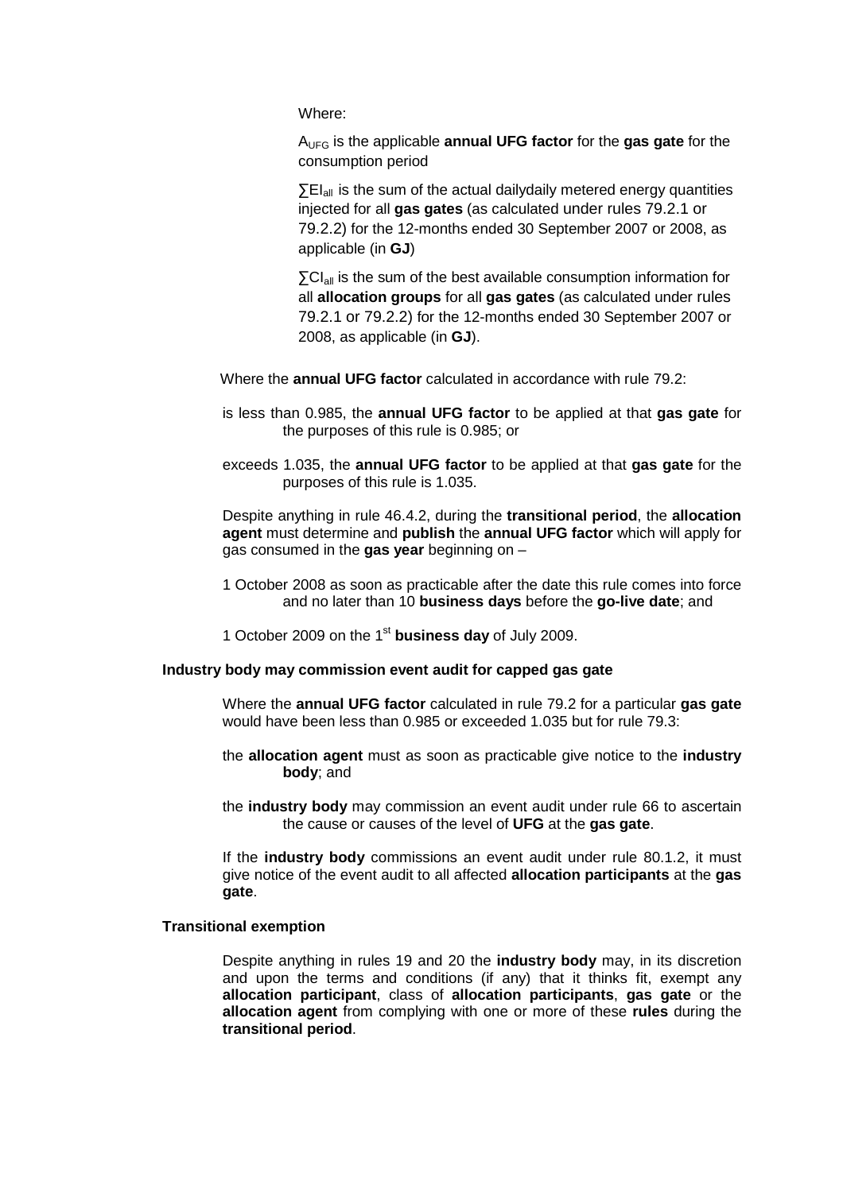Where:

AUFG is the applicable **annual UFG factor** for the **gas gate** for the consumption period

 $\Sigma$ EI<sub>all</sub> is the sum of the actual dailydaily metered energy quantities injected for all **gas gates** (as calculated under rules 79.2.1 or 79.2.2) for the 12-months ended 30 September 2007 or 2008, as applicable (in **GJ**)

∑CIall is the sum of the best available consumption information for all **allocation groups** for all **gas gates** (as calculated under rules 79.2.1 or 79.2.2) for the 12-months ended 30 September 2007 or 2008, as applicable (in **GJ**).

- Where the **annual UFG factor** calculated in accordance with rule 79.2:
- is less than 0.985, the **annual UFG factor** to be applied at that **gas gate** for the purposes of this rule is 0.985; or
- exceeds 1.035, the **annual UFG factor** to be applied at that **gas gate** for the purposes of this rule is 1.035.

 Despite anything in rule 46.4.2, during the **transitional period**, the **allocation agent** must determine and **publish** the **annual UFG factor** which will apply for gas consumed in the **gas year** beginning on –

- 1 October 2008 as soon as practicable after the date this rule comes into force and no later than 10 **business days** before the **go-live date**; and
- 1 October 2009 on the 1st **business day** of July 2009.

# **Industry body may commission event audit for capped gas gate**

 Where the **annual UFG factor** calculated in rule 79.2 for a particular **gas gate** would have been less than 0.985 or exceeded 1.035 but for rule 79.3:

- the **allocation agent** must as soon as practicable give notice to the **industry body**; and
- the **industry body** may commission an event audit under rule 66 to ascertain the cause or causes of the level of **UFG** at the **gas gate**.

 If the **industry body** commissions an event audit under rule 80.1.2, it must give notice of the event audit to all affected **allocation participants** at the **gas gate**.

# **Transitional exemption**

 Despite anything in rules 19 and 20 the **industry body** may, in its discretion and upon the terms and conditions (if any) that it thinks fit, exempt any **allocation participant**, class of **allocation participants**, **gas gate** or the **allocation agent** from complying with one or more of these **rules** during the **transitional period**.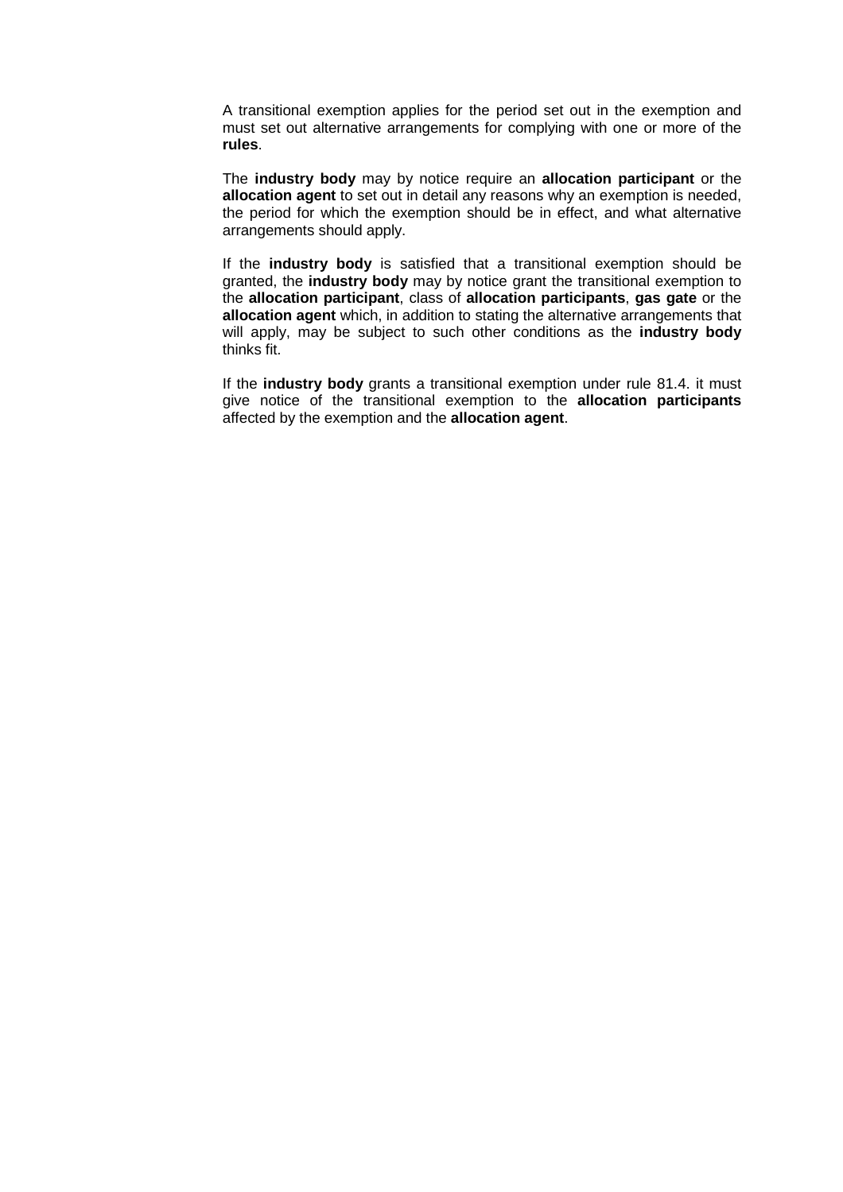A transitional exemption applies for the period set out in the exemption and must set out alternative arrangements for complying with one or more of the **rules**.

 The **industry body** may by notice require an **allocation participant** or the **allocation agent** to set out in detail any reasons why an exemption is needed, the period for which the exemption should be in effect, and what alternative arrangements should apply.

If the **industry body** is satisfied that a transitional exemption should be granted, the **industry body** may by notice grant the transitional exemption to the **allocation participant**, class of **allocation participants**, **gas gate** or the **allocation agent** which, in addition to stating the alternative arrangements that will apply, may be subject to such other conditions as the **industry body** thinks fit.

If the **industry body** grants a transitional exemption under rule 81.4. it must give notice of the transitional exemption to the **allocation participants**  affected by the exemption and the **allocation agent**.